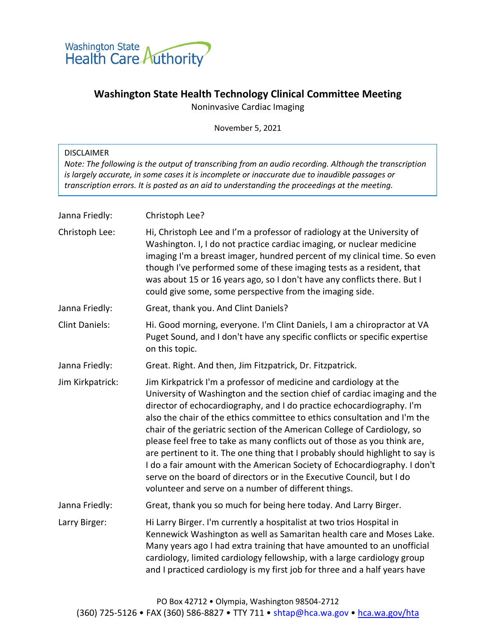

## **Washington State Health Technology Clinical Committee Meeting**

Noninvasive Cardiac Imaging

November 5, 2021

| <b>DISCLAIMER</b><br>Note: The following is the output of transcribing from an audio recording. Although the transcription<br>is largely accurate, in some cases it is incomplete or inaccurate due to inaudible passages or<br>transcription errors. It is posted as an aid to understanding the proceedings at the meeting. |                                                                                                                                                                                                                                                                                                                                                                                                                                                                                                                                                                                                                                                                                                                                                              |  |
|-------------------------------------------------------------------------------------------------------------------------------------------------------------------------------------------------------------------------------------------------------------------------------------------------------------------------------|--------------------------------------------------------------------------------------------------------------------------------------------------------------------------------------------------------------------------------------------------------------------------------------------------------------------------------------------------------------------------------------------------------------------------------------------------------------------------------------------------------------------------------------------------------------------------------------------------------------------------------------------------------------------------------------------------------------------------------------------------------------|--|
| Janna Friedly:                                                                                                                                                                                                                                                                                                                | Christoph Lee?                                                                                                                                                                                                                                                                                                                                                                                                                                                                                                                                                                                                                                                                                                                                               |  |
| Christoph Lee:                                                                                                                                                                                                                                                                                                                | Hi, Christoph Lee and I'm a professor of radiology at the University of<br>Washington. I, I do not practice cardiac imaging, or nuclear medicine<br>imaging I'm a breast imager, hundred percent of my clinical time. So even<br>though I've performed some of these imaging tests as a resident, that<br>was about 15 or 16 years ago, so I don't have any conflicts there. But I<br>could give some, some perspective from the imaging side.                                                                                                                                                                                                                                                                                                               |  |
| Janna Friedly:                                                                                                                                                                                                                                                                                                                | Great, thank you. And Clint Daniels?                                                                                                                                                                                                                                                                                                                                                                                                                                                                                                                                                                                                                                                                                                                         |  |
| <b>Clint Daniels:</b>                                                                                                                                                                                                                                                                                                         | Hi. Good morning, everyone. I'm Clint Daniels, I am a chiropractor at VA<br>Puget Sound, and I don't have any specific conflicts or specific expertise<br>on this topic.                                                                                                                                                                                                                                                                                                                                                                                                                                                                                                                                                                                     |  |
| Janna Friedly:                                                                                                                                                                                                                                                                                                                | Great. Right. And then, Jim Fitzpatrick, Dr. Fitzpatrick.                                                                                                                                                                                                                                                                                                                                                                                                                                                                                                                                                                                                                                                                                                    |  |
| Jim Kirkpatrick:                                                                                                                                                                                                                                                                                                              | Jim Kirkpatrick I'm a professor of medicine and cardiology at the<br>University of Washington and the section chief of cardiac imaging and the<br>director of echocardiography, and I do practice echocardiography. I'm<br>also the chair of the ethics committee to ethics consultation and I'm the<br>chair of the geriatric section of the American College of Cardiology, so<br>please feel free to take as many conflicts out of those as you think are,<br>are pertinent to it. The one thing that I probably should highlight to say is<br>I do a fair amount with the American Society of Echocardiography. I don't<br>serve on the board of directors or in the Executive Council, but I do<br>volunteer and serve on a number of different things. |  |
| Janna Friedly:                                                                                                                                                                                                                                                                                                                | Great, thank you so much for being here today. And Larry Birger.                                                                                                                                                                                                                                                                                                                                                                                                                                                                                                                                                                                                                                                                                             |  |
| Larry Birger:                                                                                                                                                                                                                                                                                                                 | Hi Larry Birger. I'm currently a hospitalist at two trios Hospital in<br>Kennewick Washington as well as Samaritan health care and Moses Lake.<br>Many years ago I had extra training that have amounted to an unofficial<br>cardiology, limited cardiology fellowship, with a large cardiology group<br>and I practiced cardiology is my first job for three and a half years have                                                                                                                                                                                                                                                                                                                                                                          |  |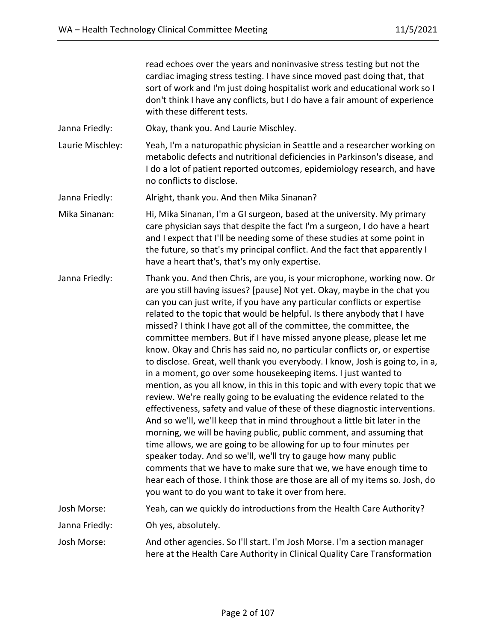read echoes over the years and noninvasive stress testing but not the cardiac imaging stress testing. I have since moved past doing that, that sort of work and I'm just doing hospitalist work and educational work so I don't think I have any conflicts, but I do have a fair amount of experience with these different tests.

- Janna Friedly: Okay, thank you. And Laurie Mischley.
- Laurie Mischley: Yeah, I'm a naturopathic physician in Seattle and a researcher working on metabolic defects and nutritional deficiencies in Parkinson's disease, and I do a lot of patient reported outcomes, epidemiology research, and have no conflicts to disclose.
- Janna Friedly: Alright, thank you. And then Mika Sinanan?
- Mika Sinanan: Hi, Mika Sinanan, I'm a GI surgeon, based at the university. My primary care physician says that despite the fact I'm a surgeon, I do have a heart and I expect that I'll be needing some of these studies at some point in the future, so that's my principal conflict. And the fact that apparently I have a heart that's, that's my only expertise.
- Janna Friedly: Thank you. And then Chris, are you, is your microphone, working now. Or are you still having issues? [pause] Not yet. Okay, maybe in the chat you can you can just write, if you have any particular conflicts or expertise related to the topic that would be helpful. Is there anybody that I have missed? I think I have got all of the committee, the committee, the committee members. But if I have missed anyone please, please let me know. Okay and Chris has said no, no particular conflicts or, or expertise to disclose. Great, well thank you everybody. I know, Josh is going to, in a, in a moment, go over some housekeeping items. I just wanted to mention, as you all know, in this in this topic and with every topic that we review. We're really going to be evaluating the evidence related to the effectiveness, safety and value of these of these diagnostic interventions. And so we'll, we'll keep that in mind throughout a little bit later in the morning, we will be having public, public comment, and assuming that time allows, we are going to be allowing for up to four minutes per speaker today. And so we'll, we'll try to gauge how many public comments that we have to make sure that we, we have enough time to hear each of those. I think those are those are all of my items so. Josh, do you want to do you want to take it over from here. Josh Morse: Yeah, can we quickly do introductions from the Health Care Authority?

Janna Friedly: Oh yes, absolutely.

Josh Morse: And other agencies. So I'll start. I'm Josh Morse. I'm a section manager here at the Health Care Authority in Clinical Quality Care Transformation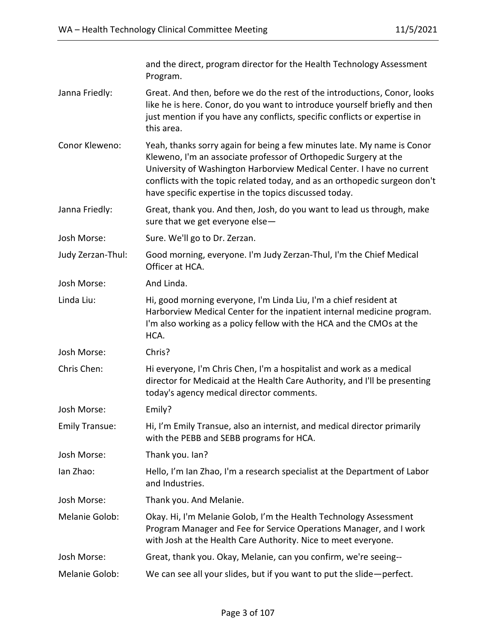|                       | and the direct, program director for the Health Technology Assessment<br>Program.                                                                                                                                                                                                                                                                            |
|-----------------------|--------------------------------------------------------------------------------------------------------------------------------------------------------------------------------------------------------------------------------------------------------------------------------------------------------------------------------------------------------------|
| Janna Friedly:        | Great. And then, before we do the rest of the introductions, Conor, looks<br>like he is here. Conor, do you want to introduce yourself briefly and then<br>just mention if you have any conflicts, specific conflicts or expertise in<br>this area.                                                                                                          |
| Conor Kleweno:        | Yeah, thanks sorry again for being a few minutes late. My name is Conor<br>Kleweno, I'm an associate professor of Orthopedic Surgery at the<br>University of Washington Harborview Medical Center. I have no current<br>conflicts with the topic related today, and as an orthopedic surgeon don't<br>have specific expertise in the topics discussed today. |
| Janna Friedly:        | Great, thank you. And then, Josh, do you want to lead us through, make<br>sure that we get everyone else-                                                                                                                                                                                                                                                    |
| Josh Morse:           | Sure. We'll go to Dr. Zerzan.                                                                                                                                                                                                                                                                                                                                |
| Judy Zerzan-Thul:     | Good morning, everyone. I'm Judy Zerzan-Thul, I'm the Chief Medical<br>Officer at HCA.                                                                                                                                                                                                                                                                       |
| Josh Morse:           | And Linda.                                                                                                                                                                                                                                                                                                                                                   |
| Linda Liu:            | Hi, good morning everyone, I'm Linda Liu, I'm a chief resident at<br>Harborview Medical Center for the inpatient internal medicine program.<br>I'm also working as a policy fellow with the HCA and the CMOs at the<br>HCA.                                                                                                                                  |
| Josh Morse:           | Chris?                                                                                                                                                                                                                                                                                                                                                       |
| Chris Chen:           | Hi everyone, I'm Chris Chen, I'm a hospitalist and work as a medical<br>director for Medicaid at the Health Care Authority, and I'll be presenting<br>today's agency medical director comments.                                                                                                                                                              |
| Josh Morse:           | Emily?                                                                                                                                                                                                                                                                                                                                                       |
| <b>Emily Transue:</b> | Hi, I'm Emily Transue, also an internist, and medical director primarily<br>with the PEBB and SEBB programs for HCA.                                                                                                                                                                                                                                         |
| Josh Morse:           | Thank you. Ian?                                                                                                                                                                                                                                                                                                                                              |
| lan Zhao:             | Hello, I'm Ian Zhao, I'm a research specialist at the Department of Labor<br>and Industries.                                                                                                                                                                                                                                                                 |
| Josh Morse:           | Thank you. And Melanie.                                                                                                                                                                                                                                                                                                                                      |
| Melanie Golob:        | Okay. Hi, I'm Melanie Golob, I'm the Health Technology Assessment<br>Program Manager and Fee for Service Operations Manager, and I work<br>with Josh at the Health Care Authority. Nice to meet everyone.                                                                                                                                                    |
| Josh Morse:           | Great, thank you. Okay, Melanie, can you confirm, we're seeing--                                                                                                                                                                                                                                                                                             |
| Melanie Golob:        | We can see all your slides, but if you want to put the slide-perfect.                                                                                                                                                                                                                                                                                        |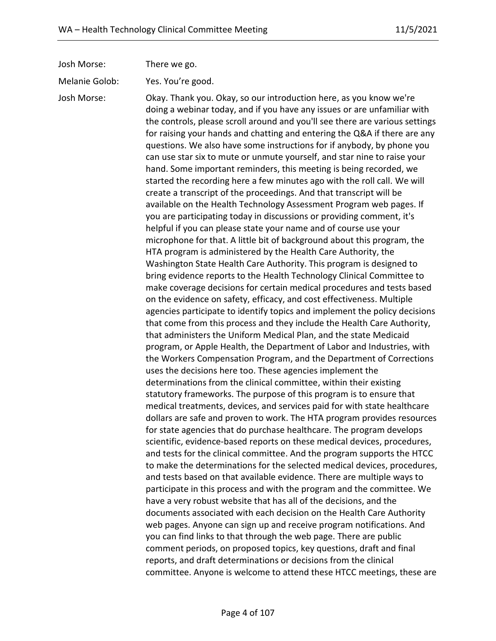| Josh Morse:                   | There we go.                                                                                                                                                                                                                                                                                                                                                                                                                                                                                                                                                                                                                                                                                                                                                                                                                                                                                                                                                                                                                                                                                                                                                                                                                                                                                                                                                                                                                                                                                                                                                                                                                                                                                                                                                                                                                                                                                                                                                                                                                                                                                                 |
|-------------------------------|--------------------------------------------------------------------------------------------------------------------------------------------------------------------------------------------------------------------------------------------------------------------------------------------------------------------------------------------------------------------------------------------------------------------------------------------------------------------------------------------------------------------------------------------------------------------------------------------------------------------------------------------------------------------------------------------------------------------------------------------------------------------------------------------------------------------------------------------------------------------------------------------------------------------------------------------------------------------------------------------------------------------------------------------------------------------------------------------------------------------------------------------------------------------------------------------------------------------------------------------------------------------------------------------------------------------------------------------------------------------------------------------------------------------------------------------------------------------------------------------------------------------------------------------------------------------------------------------------------------------------------------------------------------------------------------------------------------------------------------------------------------------------------------------------------------------------------------------------------------------------------------------------------------------------------------------------------------------------------------------------------------------------------------------------------------------------------------------------------------|
|                               | Yes. You're good.                                                                                                                                                                                                                                                                                                                                                                                                                                                                                                                                                                                                                                                                                                                                                                                                                                                                                                                                                                                                                                                                                                                                                                                                                                                                                                                                                                                                                                                                                                                                                                                                                                                                                                                                                                                                                                                                                                                                                                                                                                                                                            |
| Melanie Golob:<br>Josh Morse: | Okay. Thank you. Okay, so our introduction here, as you know we're<br>doing a webinar today, and if you have any issues or are unfamiliar with<br>the controls, please scroll around and you'll see there are various settings<br>for raising your hands and chatting and entering the Q&A if there are any<br>questions. We also have some instructions for if anybody, by phone you<br>can use star six to mute or unmute yourself, and star nine to raise your<br>hand. Some important reminders, this meeting is being recorded, we<br>started the recording here a few minutes ago with the roll call. We will<br>create a transcript of the proceedings. And that transcript will be<br>available on the Health Technology Assessment Program web pages. If<br>you are participating today in discussions or providing comment, it's<br>helpful if you can please state your name and of course use your<br>microphone for that. A little bit of background about this program, the<br>HTA program is administered by the Health Care Authority, the<br>Washington State Health Care Authority. This program is designed to<br>bring evidence reports to the Health Technology Clinical Committee to<br>make coverage decisions for certain medical procedures and tests based<br>on the evidence on safety, efficacy, and cost effectiveness. Multiple<br>agencies participate to identify topics and implement the policy decisions<br>that come from this process and they include the Health Care Authority,<br>that administers the Uniform Medical Plan, and the state Medicaid<br>program, or Apple Health, the Department of Labor and Industries, with<br>the Workers Compensation Program, and the Department of Corrections<br>uses the decisions here too. These agencies implement the<br>determinations from the clinical committee, within their existing<br>statutory frameworks. The purpose of this program is to ensure that<br>medical treatments, devices, and services paid for with state healthcare<br>dollars are safe and proven to work. The HTA program provides resources |
|                               | for state agencies that do purchase healthcare. The program develops<br>scientific, evidence-based reports on these medical devices, procedures,                                                                                                                                                                                                                                                                                                                                                                                                                                                                                                                                                                                                                                                                                                                                                                                                                                                                                                                                                                                                                                                                                                                                                                                                                                                                                                                                                                                                                                                                                                                                                                                                                                                                                                                                                                                                                                                                                                                                                             |
|                               | and tests for the clinical committee. And the program supports the HTCC<br>to make the determinations for the selected medical devices, procedures,<br>and tests based on that available evidence. There are multiple ways to                                                                                                                                                                                                                                                                                                                                                                                                                                                                                                                                                                                                                                                                                                                                                                                                                                                                                                                                                                                                                                                                                                                                                                                                                                                                                                                                                                                                                                                                                                                                                                                                                                                                                                                                                                                                                                                                                |
|                               | participate in this process and with the program and the committee. We<br>have a very robust website that has all of the decisions, and the                                                                                                                                                                                                                                                                                                                                                                                                                                                                                                                                                                                                                                                                                                                                                                                                                                                                                                                                                                                                                                                                                                                                                                                                                                                                                                                                                                                                                                                                                                                                                                                                                                                                                                                                                                                                                                                                                                                                                                  |
|                               | documents associated with each decision on the Health Care Authority                                                                                                                                                                                                                                                                                                                                                                                                                                                                                                                                                                                                                                                                                                                                                                                                                                                                                                                                                                                                                                                                                                                                                                                                                                                                                                                                                                                                                                                                                                                                                                                                                                                                                                                                                                                                                                                                                                                                                                                                                                         |
|                               | web pages. Anyone can sign up and receive program notifications. And<br>you can find links to that through the web page. There are public                                                                                                                                                                                                                                                                                                                                                                                                                                                                                                                                                                                                                                                                                                                                                                                                                                                                                                                                                                                                                                                                                                                                                                                                                                                                                                                                                                                                                                                                                                                                                                                                                                                                                                                                                                                                                                                                                                                                                                    |
|                               | comment periods, on proposed topics, key questions, draft and final<br>reports, and draft determinations or decisions from the clinical                                                                                                                                                                                                                                                                                                                                                                                                                                                                                                                                                                                                                                                                                                                                                                                                                                                                                                                                                                                                                                                                                                                                                                                                                                                                                                                                                                                                                                                                                                                                                                                                                                                                                                                                                                                                                                                                                                                                                                      |
|                               | committee. Anyone is welcome to attend these HTCC meetings, these are                                                                                                                                                                                                                                                                                                                                                                                                                                                                                                                                                                                                                                                                                                                                                                                                                                                                                                                                                                                                                                                                                                                                                                                                                                                                                                                                                                                                                                                                                                                                                                                                                                                                                                                                                                                                                                                                                                                                                                                                                                        |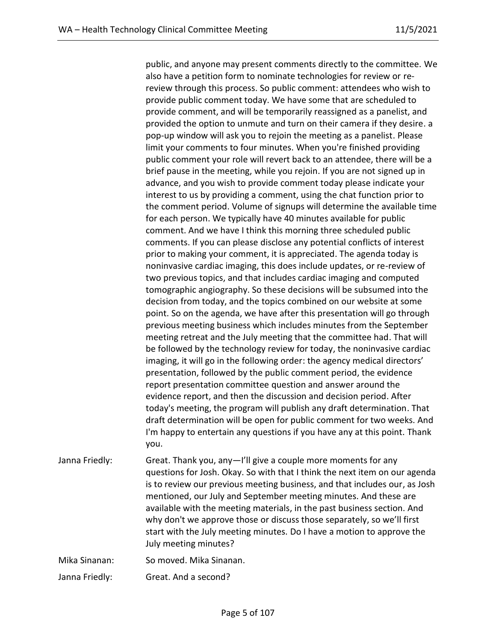public, and anyone may present comments directly to the committee. We also have a petition form to nominate technologies for review or rereview through this process. So public comment: attendees who wish to provide public comment today. We have some that are scheduled to provide comment, and will be temporarily reassigned as a panelist, and provided the option to unmute and turn on their camera if they desire. a pop-up window will ask you to rejoin the meeting as a panelist. Please limit your comments to four minutes. When you're finished providing public comment your role will revert back to an attendee, there will be a brief pause in the meeting, while you rejoin. If you are not signed up in advance, and you wish to provide comment today please indicate your interest to us by providing a comment, using the chat function prior to the comment period. Volume of signups will determine the available time for each person. We typically have 40 minutes available for public comment. And we have I think this morning three scheduled public comments. If you can please disclose any potential conflicts of interest prior to making your comment, it is appreciated. The agenda today is noninvasive cardiac imaging, this does include updates, or re-review of two previous topics, and that includes cardiac imaging and computed tomographic angiography. So these decisions will be subsumed into the decision from today, and the topics combined on our website at some point. So on the agenda, we have after this presentation will go through previous meeting business which includes minutes from the September meeting retreat and the July meeting that the committee had. That will be followed by the technology review for today, the noninvasive cardiac imaging, it will go in the following order: the agency medical directors' presentation, followed by the public comment period, the evidence report presentation committee question and answer around the evidence report, and then the discussion and decision period. After today's meeting, the program will publish any draft determination. That draft determination will be open for public comment for two weeks. And I'm happy to entertain any questions if you have any at this point. Thank you.

Janna Friedly: Great. Thank you, any—I'll give a couple more moments for any questions for Josh. Okay. So with that I think the next item on our agenda is to review our previous meeting business, and that includes our, as Josh mentioned, our July and September meeting minutes. And these are available with the meeting materials, in the past business section. And why don't we approve those or discuss those separately, so we'll first start with the July meeting minutes. Do I have a motion to approve the July meeting minutes?

Mika Sinanan: So moved. Mika Sinanan.

Janna Friedly: Great. And a second?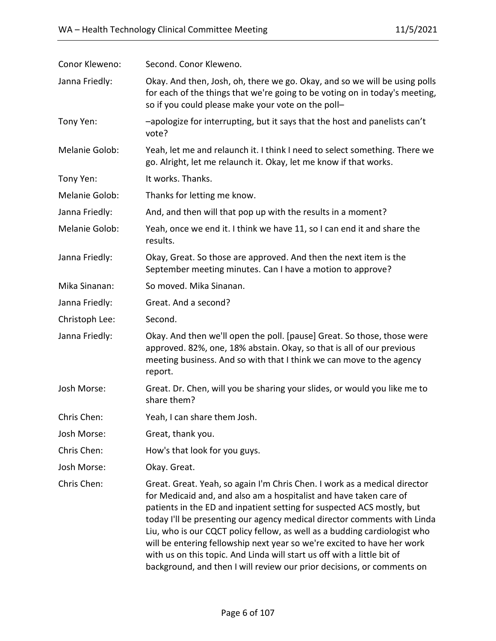| Conor Kleweno: | Second. Conor Kleweno.                                                                                                                                                                                                                                                                                                                                                                                                                                                                                                                                                                                             |
|----------------|--------------------------------------------------------------------------------------------------------------------------------------------------------------------------------------------------------------------------------------------------------------------------------------------------------------------------------------------------------------------------------------------------------------------------------------------------------------------------------------------------------------------------------------------------------------------------------------------------------------------|
| Janna Friedly: | Okay. And then, Josh, oh, there we go. Okay, and so we will be using polls<br>for each of the things that we're going to be voting on in today's meeting,<br>so if you could please make your vote on the poll-                                                                                                                                                                                                                                                                                                                                                                                                    |
| Tony Yen:      | -apologize for interrupting, but it says that the host and panelists can't<br>vote?                                                                                                                                                                                                                                                                                                                                                                                                                                                                                                                                |
| Melanie Golob: | Yeah, let me and relaunch it. I think I need to select something. There we<br>go. Alright, let me relaunch it. Okay, let me know if that works.                                                                                                                                                                                                                                                                                                                                                                                                                                                                    |
| Tony Yen:      | It works. Thanks.                                                                                                                                                                                                                                                                                                                                                                                                                                                                                                                                                                                                  |
| Melanie Golob: | Thanks for letting me know.                                                                                                                                                                                                                                                                                                                                                                                                                                                                                                                                                                                        |
| Janna Friedly: | And, and then will that pop up with the results in a moment?                                                                                                                                                                                                                                                                                                                                                                                                                                                                                                                                                       |
| Melanie Golob: | Yeah, once we end it. I think we have 11, so I can end it and share the<br>results.                                                                                                                                                                                                                                                                                                                                                                                                                                                                                                                                |
| Janna Friedly: | Okay, Great. So those are approved. And then the next item is the<br>September meeting minutes. Can I have a motion to approve?                                                                                                                                                                                                                                                                                                                                                                                                                                                                                    |
| Mika Sinanan:  | So moved. Mika Sinanan.                                                                                                                                                                                                                                                                                                                                                                                                                                                                                                                                                                                            |
| Janna Friedly: | Great. And a second?                                                                                                                                                                                                                                                                                                                                                                                                                                                                                                                                                                                               |
| Christoph Lee: | Second.                                                                                                                                                                                                                                                                                                                                                                                                                                                                                                                                                                                                            |
| Janna Friedly: | Okay. And then we'll open the poll. [pause] Great. So those, those were<br>approved. 82%, one, 18% abstain. Okay, so that is all of our previous<br>meeting business. And so with that I think we can move to the agency<br>report.                                                                                                                                                                                                                                                                                                                                                                                |
| Josh Morse:    | Great. Dr. Chen, will you be sharing your slides, or would you like me to<br>share them?                                                                                                                                                                                                                                                                                                                                                                                                                                                                                                                           |
| Chris Chen:    | Yeah, I can share them Josh.                                                                                                                                                                                                                                                                                                                                                                                                                                                                                                                                                                                       |
| Josh Morse:    | Great, thank you.                                                                                                                                                                                                                                                                                                                                                                                                                                                                                                                                                                                                  |
| Chris Chen:    | How's that look for you guys.                                                                                                                                                                                                                                                                                                                                                                                                                                                                                                                                                                                      |
| Josh Morse:    | Okay. Great.                                                                                                                                                                                                                                                                                                                                                                                                                                                                                                                                                                                                       |
| Chris Chen:    | Great. Great. Yeah, so again I'm Chris Chen. I work as a medical director<br>for Medicaid and, and also am a hospitalist and have taken care of<br>patients in the ED and inpatient setting for suspected ACS mostly, but<br>today I'll be presenting our agency medical director comments with Linda<br>Liu, who is our CQCT policy fellow, as well as a budding cardiologist who<br>will be entering fellowship next year so we're excited to have her work<br>with us on this topic. And Linda will start us off with a little bit of<br>background, and then I will review our prior decisions, or comments on |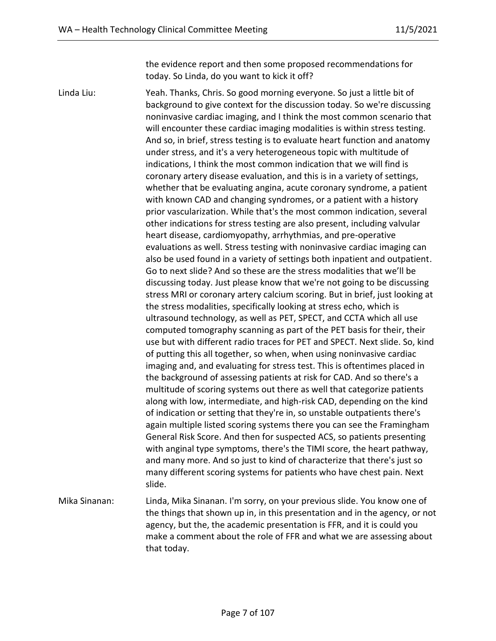the evidence report and then some proposed recommendations for today. So Linda, do you want to kick it off?

Linda Liu: Yeah. Thanks, Chris. So good morning everyone. So just a little bit of background to give context for the discussion today. So we're discussing noninvasive cardiac imaging, and I think the most common scenario that will encounter these cardiac imaging modalities is within stress testing. And so, in brief, stress testing is to evaluate heart function and anatomy under stress, and it's a very heterogeneous topic with multitude of indications, I think the most common indication that we will find is coronary artery disease evaluation, and this is in a variety of settings, whether that be evaluating angina, acute coronary syndrome, a patient with known CAD and changing syndromes, or a patient with a history prior vascularization. While that's the most common indication, several other indications for stress testing are also present, including valvular heart disease, cardiomyopathy, arrhythmias, and pre-operative evaluations as well. Stress testing with noninvasive cardiac imaging can also be used found in a variety of settings both inpatient and outpatient. Go to next slide? And so these are the stress modalities that we'll be discussing today. Just please know that we're not going to be discussing stress MRI or coronary artery calcium scoring. But in brief, just looking at the stress modalities, specifically looking at stress echo, which is ultrasound technology, as well as PET, SPECT, and CCTA which all use computed tomography scanning as part of the PET basis for their, their use but with different radio traces for PET and SPECT. Next slide. So, kind of putting this all together, so when, when using noninvasive cardiac imaging and, and evaluating for stress test. This is oftentimes placed in the background of assessing patients at risk for CAD. And so there's a multitude of scoring systems out there as well that categorize patients along with low, intermediate, and high-risk CAD, depending on the kind of indication or setting that they're in, so unstable outpatients there's again multiple listed scoring systems there you can see the Framingham General Risk Score. And then for suspected ACS, so patients presenting with anginal type symptoms, there's the TIMI score, the heart pathway, and many more. And so just to kind of characterize that there's just so many different scoring systems for patients who have chest pain. Next slide. Mika Sinanan: Linda, Mika Sinanan. I'm sorry, on your previous slide. You know one of the things that shown up in, in this presentation and in the agency, or not agency, but the, the academic presentation is FFR, and it is could you

that today.

make a comment about the role of FFR and what we are assessing about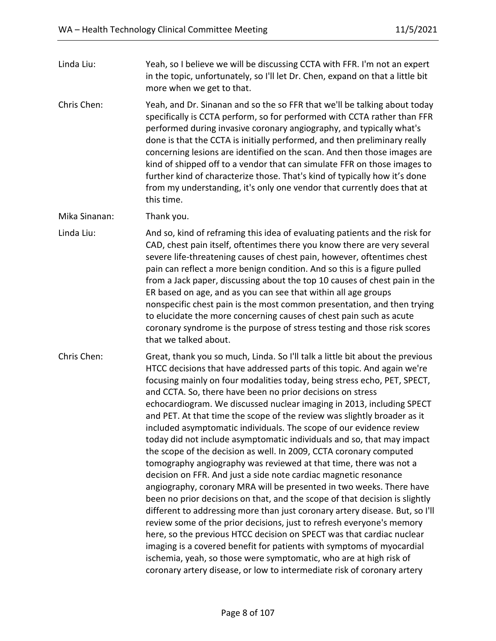Linda Liu: Yeah, so I believe we will be discussing CCTA with FFR. I'm not an expert in the topic, unfortunately, so I'll let Dr. Chen, expand on that a little bit more when we get to that.

Chris Chen: Yeah, and Dr. Sinanan and so the so FFR that we'll be talking about today specifically is CCTA perform, so for performed with CCTA rather than FFR performed during invasive coronary angiography, and typically what's done is that the CCTA is initially performed, and then preliminary really concerning lesions are identified on the scan. And then those images are kind of shipped off to a vendor that can simulate FFR on those images to further kind of characterize those. That's kind of typically how it's done from my understanding, it's only one vendor that currently does that at this time.

Mika Sinanan: Thank you.

Linda Liu: And so, kind of reframing this idea of evaluating patients and the risk for CAD, chest pain itself, oftentimes there you know there are very several severe life-threatening causes of chest pain, however, oftentimes chest pain can reflect a more benign condition. And so this is a figure pulled from a Jack paper, discussing about the top 10 causes of chest pain in the ER based on age, and as you can see that within all age groups nonspecific chest pain is the most common presentation, and then trying to elucidate the more concerning causes of chest pain such as acute coronary syndrome is the purpose of stress testing and those risk scores that we talked about.

Chris Chen: Great, thank you so much, Linda. So I'll talk a little bit about the previous HTCC decisions that have addressed parts of this topic. And again we're focusing mainly on four modalities today, being stress echo, PET, SPECT, and CCTA. So, there have been no prior decisions on stress echocardiogram. We discussed nuclear imaging in 2013, including SPECT and PET. At that time the scope of the review was slightly broader as it included asymptomatic individuals. The scope of our evidence review today did not include asymptomatic individuals and so, that may impact the scope of the decision as well. In 2009, CCTA coronary computed tomography angiography was reviewed at that time, there was not a decision on FFR. And just a side note cardiac magnetic resonance angiography, coronary MRA will be presented in two weeks. There have been no prior decisions on that, and the scope of that decision is slightly different to addressing more than just coronary artery disease. But, so I'll review some of the prior decisions, just to refresh everyone's memory here, so the previous HTCC decision on SPECT was that cardiac nuclear imaging is a covered benefit for patients with symptoms of myocardial ischemia, yeah, so those were symptomatic, who are at high risk of coronary artery disease, or low to intermediate risk of coronary artery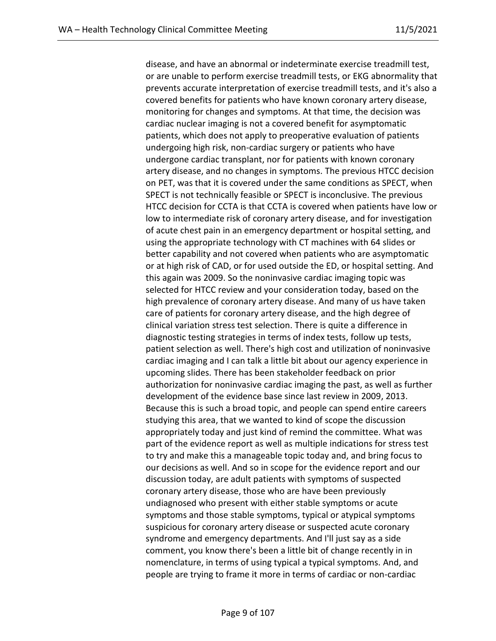disease, and have an abnormal or indeterminate exercise treadmill test, or are unable to perform exercise treadmill tests, or EKG abnormality that prevents accurate interpretation of exercise treadmill tests, and it's also a covered benefits for patients who have known coronary artery disease, monitoring for changes and symptoms. At that time, the decision was cardiac nuclear imaging is not a covered benefit for asymptomatic patients, which does not apply to preoperative evaluation of patients undergoing high risk, non-cardiac surgery or patients who have undergone cardiac transplant, nor for patients with known coronary artery disease, and no changes in symptoms. The previous HTCC decision on PET, was that it is covered under the same conditions as SPECT, when SPECT is not technically feasible or SPECT is inconclusive. The previous HTCC decision for CCTA is that CCTA is covered when patients have low or low to intermediate risk of coronary artery disease, and for investigation of acute chest pain in an emergency department or hospital setting, and using the appropriate technology with CT machines with 64 slides or better capability and not covered when patients who are asymptomatic or at high risk of CAD, or for used outside the ED, or hospital setting. And this again was 2009. So the noninvasive cardiac imaging topic was selected for HTCC review and your consideration today, based on the high prevalence of coronary artery disease. And many of us have taken care of patients for coronary artery disease, and the high degree of clinical variation stress test selection. There is quite a difference in diagnostic testing strategies in terms of index tests, follow up tests, patient selection as well. There's high cost and utilization of noninvasive cardiac imaging and I can talk a little bit about our agency experience in upcoming slides. There has been stakeholder feedback on prior authorization for noninvasive cardiac imaging the past, as well as further development of the evidence base since last review in 2009, 2013. Because this is such a broad topic, and people can spend entire careers studying this area, that we wanted to kind of scope the discussion appropriately today and just kind of remind the committee. What was part of the evidence report as well as multiple indications for stress test to try and make this a manageable topic today and, and bring focus to our decisions as well. And so in scope for the evidence report and our discussion today, are adult patients with symptoms of suspected coronary artery disease, those who are have been previously undiagnosed who present with either stable symptoms or acute symptoms and those stable symptoms, typical or atypical symptoms suspicious for coronary artery disease or suspected acute coronary syndrome and emergency departments. And I'll just say as a side comment, you know there's been a little bit of change recently in in nomenclature, in terms of using typical a typical symptoms. And, and people are trying to frame it more in terms of cardiac or non-cardiac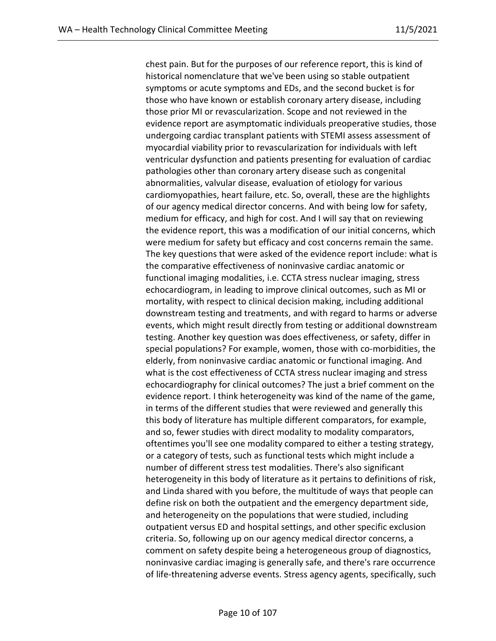chest pain. But for the purposes of our reference report, this is kind of historical nomenclature that we've been using so stable outpatient symptoms or acute symptoms and EDs, and the second bucket is for those who have known or establish coronary artery disease, including those prior MI or revascularization. Scope and not reviewed in the evidence report are asymptomatic individuals preoperative studies, those undergoing cardiac transplant patients with STEMI assess assessment of myocardial viability prior to revascularization for individuals with left ventricular dysfunction and patients presenting for evaluation of cardiac pathologies other than coronary artery disease such as congenital abnormalities, valvular disease, evaluation of etiology for various cardiomyopathies, heart failure, etc. So, overall, these are the highlights of our agency medical director concerns. And with being low for safety, medium for efficacy, and high for cost. And I will say that on reviewing the evidence report, this was a modification of our initial concerns, which were medium for safety but efficacy and cost concerns remain the same. The key questions that were asked of the evidence report include: what is the comparative effectiveness of noninvasive cardiac anatomic or functional imaging modalities, i.e. CCTA stress nuclear imaging, stress echocardiogram, in leading to improve clinical outcomes, such as MI or mortality, with respect to clinical decision making, including additional downstream testing and treatments, and with regard to harms or adverse events, which might result directly from testing or additional downstream testing. Another key question was does effectiveness, or safety, differ in special populations? For example, women, those with co-morbidities, the elderly, from noninvasive cardiac anatomic or functional imaging. And what is the cost effectiveness of CCTA stress nuclear imaging and stress echocardiography for clinical outcomes? The just a brief comment on the evidence report. I think heterogeneity was kind of the name of the game, in terms of the different studies that were reviewed and generally this this body of literature has multiple different comparators, for example, and so, fewer studies with direct modality to modality comparators, oftentimes you'll see one modality compared to either a testing strategy, or a category of tests, such as functional tests which might include a number of different stress test modalities. There's also significant heterogeneity in this body of literature as it pertains to definitions of risk, and Linda shared with you before, the multitude of ways that people can define risk on both the outpatient and the emergency department side, and heterogeneity on the populations that were studied, including outpatient versus ED and hospital settings, and other specific exclusion criteria. So, following up on our agency medical director concerns, a comment on safety despite being a heterogeneous group of diagnostics, noninvasive cardiac imaging is generally safe, and there's rare occurrence of life-threatening adverse events. Stress agency agents, specifically, such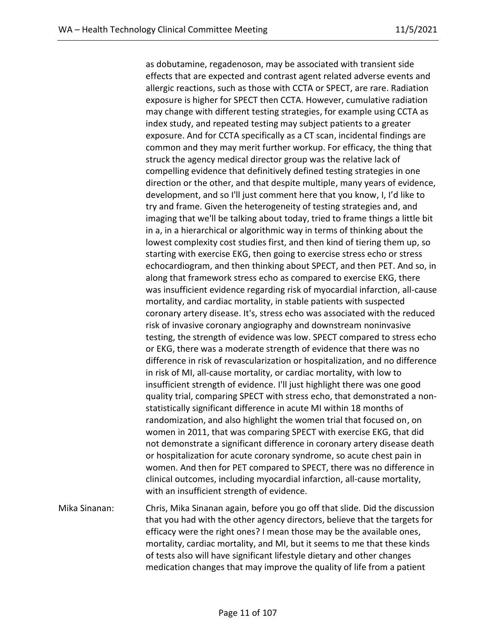as dobutamine, regadenoson, may be associated with transient side effects that are expected and contrast agent related adverse events and allergic reactions, such as those with CCTA or SPECT, are rare. Radiation exposure is higher for SPECT then CCTA. However, cumulative radiation may change with different testing strategies, for example using CCTA as index study, and repeated testing may subject patients to a greater exposure. And for CCTA specifically as a CT scan, incidental findings are common and they may merit further workup. For efficacy, the thing that struck the agency medical director group was the relative lack of compelling evidence that definitively defined testing strategies in one direction or the other, and that despite multiple, many years of evidence, development, and so I'll just comment here that you know, I, I'd like to try and frame. Given the heterogeneity of testing strategies and, and imaging that we'll be talking about today, tried to frame things a little bit in a, in a hierarchical or algorithmic way in terms of thinking about the lowest complexity cost studies first, and then kind of tiering them up, so starting with exercise EKG, then going to exercise stress echo or stress echocardiogram, and then thinking about SPECT, and then PET. And so, in along that framework stress echo as compared to exercise EKG, there was insufficient evidence regarding risk of myocardial infarction, all-cause mortality, and cardiac mortality, in stable patients with suspected coronary artery disease. It's, stress echo was associated with the reduced risk of invasive coronary angiography and downstream noninvasive testing, the strength of evidence was low. SPECT compared to stress echo or EKG, there was a moderate strength of evidence that there was no difference in risk of revascularization or hospitalization, and no difference in risk of MI, all-cause mortality, or cardiac mortality, with low to insufficient strength of evidence. I'll just highlight there was one good quality trial, comparing SPECT with stress echo, that demonstrated a nonstatistically significant difference in acute MI within 18 months of randomization, and also highlight the women trial that focused on, on women in 2011, that was comparing SPECT with exercise EKG, that did not demonstrate a significant difference in coronary artery disease death or hospitalization for acute coronary syndrome, so acute chest pain in women. And then for PET compared to SPECT, there was no difference in clinical outcomes, including myocardial infarction, all-cause mortality, with an insufficient strength of evidence.

Mika Sinanan: Chris, Mika Sinanan again, before you go off that slide. Did the discussion that you had with the other agency directors, believe that the targets for efficacy were the right ones? I mean those may be the available ones, mortality, cardiac mortality, and MI, but it seems to me that these kinds of tests also will have significant lifestyle dietary and other changes medication changes that may improve the quality of life from a patient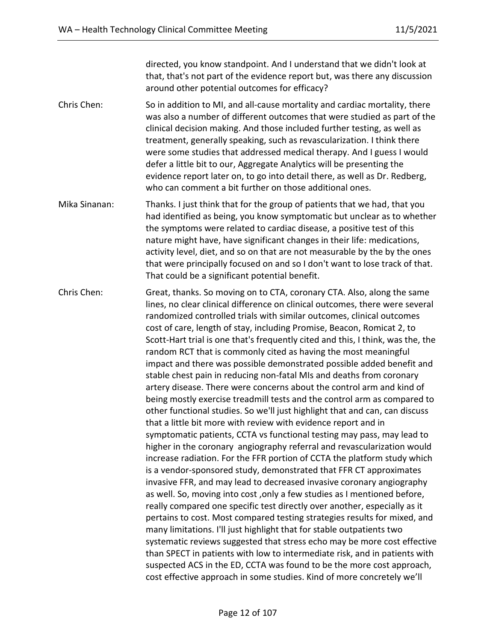directed, you know standpoint. And I understand that we didn't look at that, that's not part of the evidence report but, was there any discussion around other potential outcomes for efficacy?

- Chris Chen: So in addition to MI, and all-cause mortality and cardiac mortality, there was also a number of different outcomes that were studied as part of the clinical decision making. And those included further testing, as well as treatment, generally speaking, such as revascularization. I think there were some studies that addressed medical therapy. And I guess I would defer a little bit to our, Aggregate Analytics will be presenting the evidence report later on, to go into detail there, as well as Dr. Redberg, who can comment a bit further on those additional ones.
- Mika Sinanan: Thanks. I just think that for the group of patients that we had, that you had identified as being, you know symptomatic but unclear as to whether the symptoms were related to cardiac disease, a positive test of this nature might have, have significant changes in their life: medications, activity level, diet, and so on that are not measurable by the by the ones that were principally focused on and so I don't want to lose track of that. That could be a significant potential benefit.
- Chris Chen: Great, thanks. So moving on to CTA, coronary CTA. Also, along the same lines, no clear clinical difference on clinical outcomes, there were several randomized controlled trials with similar outcomes, clinical outcomes cost of care, length of stay, including Promise, Beacon, Romicat 2, to Scott-Hart trial is one that's frequently cited and this, I think, was the, the random RCT that is commonly cited as having the most meaningful impact and there was possible demonstrated possible added benefit and stable chest pain in reducing non-fatal MIs and deaths from coronary artery disease. There were concerns about the control arm and kind of being mostly exercise treadmill tests and the control arm as compared to other functional studies. So we'll just highlight that and can, can discuss that a little bit more with review with evidence report and in symptomatic patients, CCTA vs functional testing may pass, may lead to higher in the coronary angiography referral and revascularization would increase radiation. For the FFR portion of CCTA the platform study which is a vendor-sponsored study, demonstrated that FFR CT approximates invasive FFR, and may lead to decreased invasive coronary angiography as well. So, moving into cost ,only a few studies as I mentioned before, really compared one specific test directly over another, especially as it pertains to cost. Most compared testing strategies results for mixed, and many limitations. I'll just highlight that for stable outpatients two systematic reviews suggested that stress echo may be more cost effective than SPECT in patients with low to intermediate risk, and in patients with suspected ACS in the ED, CCTA was found to be the more cost approach, cost effective approach in some studies. Kind of more concretely we'll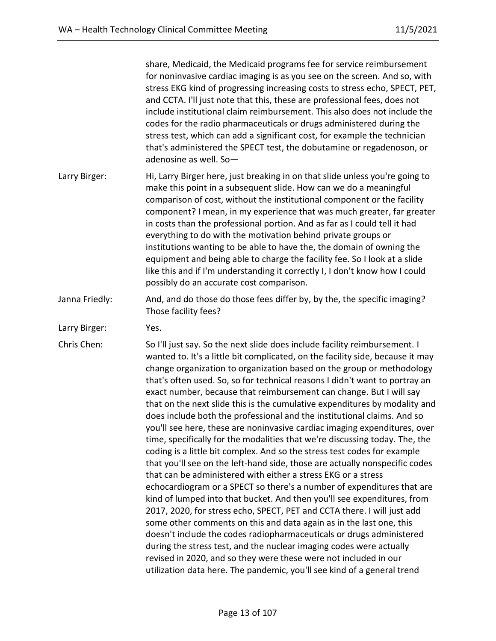share, Medicaid, the Medicaid programs fee for service reimbursement for noninvasive cardiac imaging is as you see on the screen. And so, with stress EKG kind of progressing increasing costs to stress echo, SPECT, PET, and CCTA. I'll just note that this, these are professional fees, does not include institutional claim reimbursement. This also does not include the codes for the radio pharmaceuticals or drugs administered during the stress test, which can add a significant cost, for example the technician that's administered the SPECT test, the dobutamine or regadenoson, or adenosine as well. So— Larry Birger: Hi, Larry Birger here, just breaking in on that slide unless you're going to make this point in a subsequent slide. How can we do a meaningful comparison of cost, without the institutional component or the facility component? I mean, in my experience that was much greater, far greater in costs than the professional portion. And as far as I could tell it had everything to do with the motivation behind private groups or institutions wanting to be able to have the, the domain of owning the equipment and being able to charge the facility fee. So I look at a slide like this and if I'm understanding it correctly I, I don't know how I could possibly do an accurate cost comparison. Janna Friedly: And, and do those do those fees differ by, by the, the specific imaging? Those facility fees? Larry Birger: Yes. Chris Chen: So I'll just say. So the next slide does include facility reimbursement. I wanted to. It's a little bit complicated, on the facility side, because it may change organization to organization based on the group or methodology that's often used. So, so for technical reasons I didn't want to portray an exact number, because that reimbursement can change. But I will say that on the next slide this is the cumulative expenditures by modality and does include both the professional and the institutional claims. And so you'll see here, these are noninvasive cardiac imaging expenditures, over time, specifically for the modalities that we're discussing today. The, the coding is a little bit complex. And so the stress test codes for example that you'll see on the left-hand side, those are actually nonspecific codes that can be administered with either a stress EKG or a stress echocardiogram or a SPECT so there's a number of expenditures that are kind of lumped into that bucket. And then you'll see expenditures, from 2017, 2020, for stress echo, SPECT, PET and CCTA there. I will just add some other comments on this and data again as in the last one, this doesn't include the codes radiopharmaceuticals or drugs administered during the stress test, and the nuclear imaging codes were actually revised in 2020, and so they were these were not included in our utilization data here. The pandemic, you'll see kind of a general trend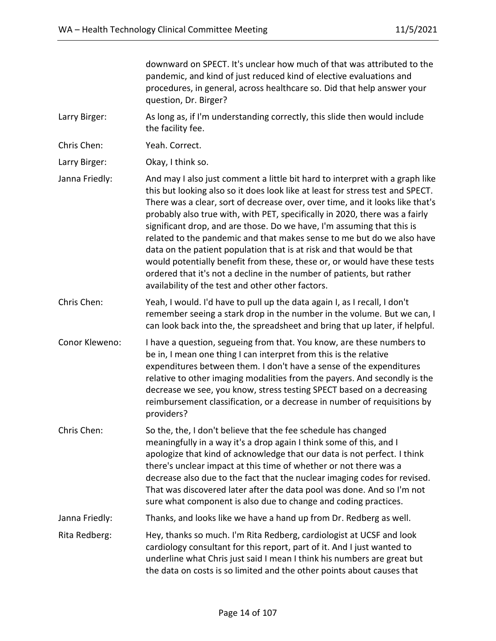downward on SPECT. It's unclear how much of that was attributed to the pandemic, and kind of just reduced kind of elective evaluations and procedures, in general, across healthcare so. Did that help answer your question, Dr. Birger? Larry Birger: As long as, if I'm understanding correctly, this slide then would include the facility fee. Chris Chen: Yeah. Correct. Larry Birger: Okay, I think so. Janna Friedly: And may I also just comment a little bit hard to interpret with a graph like this but looking also so it does look like at least for stress test and SPECT. There was a clear, sort of decrease over, over time, and it looks like that's probably also true with, with PET, specifically in 2020, there was a fairly significant drop, and are those. Do we have, I'm assuming that this is related to the pandemic and that makes sense to me but do we also have data on the patient population that is at risk and that would be that would potentially benefit from these, these or, or would have these tests ordered that it's not a decline in the number of patients, but rather availability of the test and other other factors. Chris Chen: Yeah, I would. I'd have to pull up the data again I, as I recall, I don't remember seeing a stark drop in the number in the volume. But we can, I can look back into the, the spreadsheet and bring that up later, if helpful. Conor Kleweno: I have a question, segueing from that. You know, are these numbers to be in, I mean one thing I can interpret from this is the relative expenditures between them. I don't have a sense of the expenditures relative to other imaging modalities from the payers. And secondly is the decrease we see, you know, stress testing SPECT based on a decreasing reimbursement classification, or a decrease in number of requisitions by providers? Chris Chen: So the, the, I don't believe that the fee schedule has changed meaningfully in a way it's a drop again I think some of this, and I apologize that kind of acknowledge that our data is not perfect. I think there's unclear impact at this time of whether or not there was a decrease also due to the fact that the nuclear imaging codes for revised. That was discovered later after the data pool was done. And so I'm not sure what component is also due to change and coding practices. Janna Friedly: Thanks, and looks like we have a hand up from Dr. Redberg as well. Rita Redberg: Hey, thanks so much. I'm Rita Redberg, cardiologist at UCSF and look cardiology consultant for this report, part of it. And I just wanted to underline what Chris just said I mean I think his numbers are great but the data on costs is so limited and the other points about causes that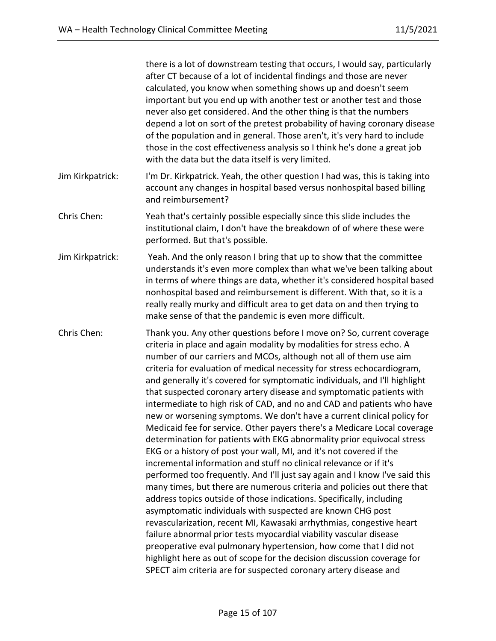|                  | there is a lot of downstream testing that occurs, I would say, particularly<br>after CT because of a lot of incidental findings and those are never<br>calculated, you know when something shows up and doesn't seem<br>important but you end up with another test or another test and those<br>never also get considered. And the other thing is that the numbers<br>depend a lot on sort of the pretest probability of having coronary disease<br>of the population and in general. Those aren't, it's very hard to include<br>those in the cost effectiveness analysis so I think he's done a great job<br>with the data but the data itself is very limited.                                                                                                                                                                                                                                                                                                                                                                                                                                                                                                                                                                                                                                                                                                                                                                                                                                                                                                              |
|------------------|-------------------------------------------------------------------------------------------------------------------------------------------------------------------------------------------------------------------------------------------------------------------------------------------------------------------------------------------------------------------------------------------------------------------------------------------------------------------------------------------------------------------------------------------------------------------------------------------------------------------------------------------------------------------------------------------------------------------------------------------------------------------------------------------------------------------------------------------------------------------------------------------------------------------------------------------------------------------------------------------------------------------------------------------------------------------------------------------------------------------------------------------------------------------------------------------------------------------------------------------------------------------------------------------------------------------------------------------------------------------------------------------------------------------------------------------------------------------------------------------------------------------------------------------------------------------------------|
| Jim Kirkpatrick: | I'm Dr. Kirkpatrick. Yeah, the other question I had was, this is taking into<br>account any changes in hospital based versus nonhospital based billing<br>and reimbursement?                                                                                                                                                                                                                                                                                                                                                                                                                                                                                                                                                                                                                                                                                                                                                                                                                                                                                                                                                                                                                                                                                                                                                                                                                                                                                                                                                                                                  |
| Chris Chen:      | Yeah that's certainly possible especially since this slide includes the<br>institutional claim, I don't have the breakdown of of where these were<br>performed. But that's possible.                                                                                                                                                                                                                                                                                                                                                                                                                                                                                                                                                                                                                                                                                                                                                                                                                                                                                                                                                                                                                                                                                                                                                                                                                                                                                                                                                                                          |
| Jim Kirkpatrick: | Yeah. And the only reason I bring that up to show that the committee<br>understands it's even more complex than what we've been talking about<br>in terms of where things are data, whether it's considered hospital based<br>nonhospital based and reimbursement is different. With that, so it is a<br>really really murky and difficult area to get data on and then trying to<br>make sense of that the pandemic is even more difficult.                                                                                                                                                                                                                                                                                                                                                                                                                                                                                                                                                                                                                                                                                                                                                                                                                                                                                                                                                                                                                                                                                                                                  |
| Chris Chen:      | Thank you. Any other questions before I move on? So, current coverage<br>criteria in place and again modality by modalities for stress echo. A<br>number of our carriers and MCOs, although not all of them use aim<br>criteria for evaluation of medical necessity for stress echocardiogram,<br>and generally it's covered for symptomatic individuals, and I'll highlight<br>that suspected coronary artery disease and symptomatic patients with<br>intermediate to high risk of CAD, and no and CAD and patients who have<br>new or worsening symptoms. We don't have a current clinical policy for<br>Medicaid fee for service. Other payers there's a Medicare Local coverage<br>determination for patients with EKG abnormality prior equivocal stress<br>EKG or a history of post your wall, MI, and it's not covered if the<br>incremental information and stuff no clinical relevance or if it's<br>performed too frequently. And I'll just say again and I know I've said this<br>many times, but there are numerous criteria and policies out there that<br>address topics outside of those indications. Specifically, including<br>asymptomatic individuals with suspected are known CHG post<br>revascularization, recent MI, Kawasaki arrhythmias, congestive heart<br>failure abnormal prior tests myocardial viability vascular disease<br>preoperative eval pulmonary hypertension, how come that I did not<br>highlight here as out of scope for the decision discussion coverage for<br>SPECT aim criteria are for suspected coronary artery disease and |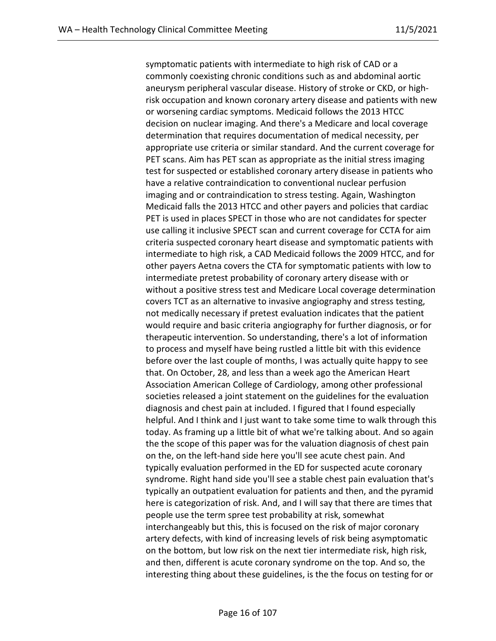symptomatic patients with intermediate to high risk of CAD or a commonly coexisting chronic conditions such as and abdominal aortic aneurysm peripheral vascular disease. History of stroke or CKD, or highrisk occupation and known coronary artery disease and patients with new or worsening cardiac symptoms. Medicaid follows the 2013 HTCC decision on nuclear imaging. And there's a Medicare and local coverage determination that requires documentation of medical necessity, per appropriate use criteria or similar standard. And the current coverage for PET scans. Aim has PET scan as appropriate as the initial stress imaging test for suspected or established coronary artery disease in patients who have a relative contraindication to conventional nuclear perfusion imaging and or contraindication to stress testing. Again, Washington Medicaid falls the 2013 HTCC and other payers and policies that cardiac PET is used in places SPECT in those who are not candidates for specter use calling it inclusive SPECT scan and current coverage for CCTA for aim criteria suspected coronary heart disease and symptomatic patients with intermediate to high risk, a CAD Medicaid follows the 2009 HTCC, and for other payers Aetna covers the CTA for symptomatic patients with low to intermediate pretest probability of coronary artery disease with or without a positive stress test and Medicare Local coverage determination covers TCT as an alternative to invasive angiography and stress testing, not medically necessary if pretest evaluation indicates that the patient would require and basic criteria angiography for further diagnosis, or for therapeutic intervention. So understanding, there's a lot of information to process and myself have being rustled a little bit with this evidence before over the last couple of months, I was actually quite happy to see that. On October, 28, and less than a week ago the American Heart Association American College of Cardiology, among other professional societies released a joint statement on the guidelines for the evaluation diagnosis and chest pain at included. I figured that I found especially helpful. And I think and I just want to take some time to walk through this today. As framing up a little bit of what we're talking about. And so again the the scope of this paper was for the valuation diagnosis of chest pain on the, on the left-hand side here you'll see acute chest pain. And typically evaluation performed in the ED for suspected acute coronary syndrome. Right hand side you'll see a stable chest pain evaluation that's typically an outpatient evaluation for patients and then, and the pyramid here is categorization of risk. And, and I will say that there are times that people use the term spree test probability at risk, somewhat interchangeably but this, this is focused on the risk of major coronary artery defects, with kind of increasing levels of risk being asymptomatic on the bottom, but low risk on the next tier intermediate risk, high risk, and then, different is acute coronary syndrome on the top. And so, the interesting thing about these guidelines, is the the focus on testing for or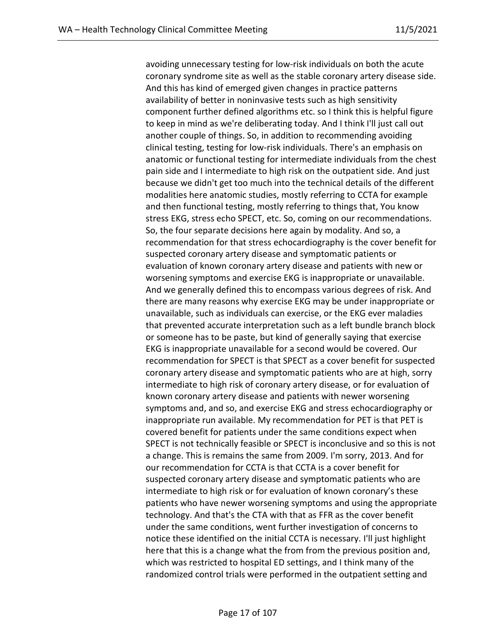avoiding unnecessary testing for low-risk individuals on both the acute coronary syndrome site as well as the stable coronary artery disease side. And this has kind of emerged given changes in practice patterns availability of better in noninvasive tests such as high sensitivity component further defined algorithms etc. so I think this is helpful figure to keep in mind as we're deliberating today. And I think I'll just call out another couple of things. So, in addition to recommending avoiding clinical testing, testing for low-risk individuals. There's an emphasis on anatomic or functional testing for intermediate individuals from the chest pain side and I intermediate to high risk on the outpatient side. And just because we didn't get too much into the technical details of the different modalities here anatomic studies, mostly referring to CCTA for example and then functional testing, mostly referring to things that, You know stress EKG, stress echo SPECT, etc. So, coming on our recommendations. So, the four separate decisions here again by modality. And so, a recommendation for that stress echocardiography is the cover benefit for suspected coronary artery disease and symptomatic patients or evaluation of known coronary artery disease and patients with new or worsening symptoms and exercise EKG is inappropriate or unavailable. And we generally defined this to encompass various degrees of risk. And there are many reasons why exercise EKG may be under inappropriate or unavailable, such as individuals can exercise, or the EKG ever maladies that prevented accurate interpretation such as a left bundle branch block or someone has to be paste, but kind of generally saying that exercise EKG is inappropriate unavailable for a second would be covered. Our recommendation for SPECT is that SPECT as a cover benefit for suspected coronary artery disease and symptomatic patients who are at high, sorry intermediate to high risk of coronary artery disease, or for evaluation of known coronary artery disease and patients with newer worsening symptoms and, and so, and exercise EKG and stress echocardiography or inappropriate run available. My recommendation for PET is that PET is covered benefit for patients under the same conditions expect when SPECT is not technically feasible or SPECT is inconclusive and so this is not a change. This is remains the same from 2009. I'm sorry, 2013. And for our recommendation for CCTA is that CCTA is a cover benefit for suspected coronary artery disease and symptomatic patients who are intermediate to high risk or for evaluation of known coronary's these patients who have newer worsening symptoms and using the appropriate technology. And that's the CTA with that as FFR as the cover benefit under the same conditions, went further investigation of concerns to notice these identified on the initial CCTA is necessary. I'll just highlight here that this is a change what the from from the previous position and, which was restricted to hospital ED settings, and I think many of the randomized control trials were performed in the outpatient setting and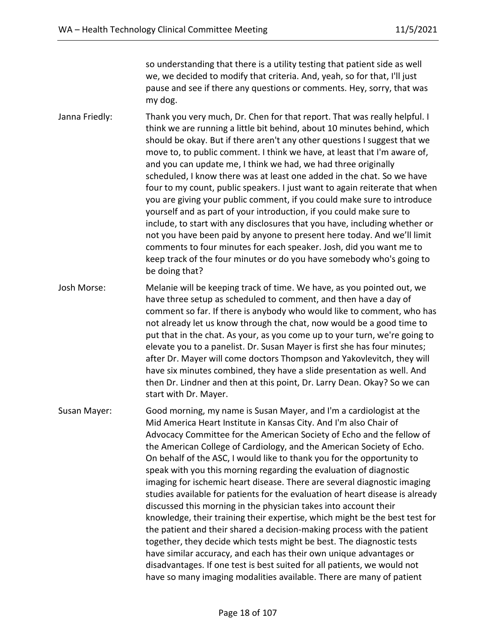so understanding that there is a utility testing that patient side as well we, we decided to modify that criteria. And, yeah, so for that, I'll just pause and see if there any questions or comments. Hey, sorry, that was my dog.

Janna Friedly: Thank you very much, Dr. Chen for that report. That was really helpful. I think we are running a little bit behind, about 10 minutes behind, which should be okay. But if there aren't any other questions I suggest that we move to, to public comment. I think we have, at least that I'm aware of, and you can update me, I think we had, we had three originally scheduled, I know there was at least one added in the chat. So we have four to my count, public speakers. I just want to again reiterate that when you are giving your public comment, if you could make sure to introduce yourself and as part of your introduction, if you could make sure to include, to start with any disclosures that you have, including whether or not you have been paid by anyone to present here today. And we'll limit comments to four minutes for each speaker. Josh, did you want me to keep track of the four minutes or do you have somebody who's going to be doing that?

Josh Morse: Melanie will be keeping track of time. We have, as you pointed out, we have three setup as scheduled to comment, and then have a day of comment so far. If there is anybody who would like to comment, who has not already let us know through the chat, now would be a good time to put that in the chat. As your, as you come up to your turn, we're going to elevate you to a panelist. Dr. Susan Mayer is first she has four minutes; after Dr. Mayer will come doctors Thompson and Yakovlevitch, they will have six minutes combined, they have a slide presentation as well. And then Dr. Lindner and then at this point, Dr. Larry Dean. Okay? So we can start with Dr. Mayer.

Susan Mayer: Good morning, my name is Susan Mayer, and I'm a cardiologist at the Mid America Heart Institute in Kansas City. And I'm also Chair of Advocacy Committee for the American Society of Echo and the fellow of the American College of Cardiology, and the American Society of Echo. On behalf of the ASC, I would like to thank you for the opportunity to speak with you this morning regarding the evaluation of diagnostic imaging for ischemic heart disease. There are several diagnostic imaging studies available for patients for the evaluation of heart disease is already discussed this morning in the physician takes into account their knowledge, their training their expertise, which might be the best test for the patient and their shared a decision-making process with the patient together, they decide which tests might be best. The diagnostic tests have similar accuracy, and each has their own unique advantages or disadvantages. If one test is best suited for all patients, we would not have so many imaging modalities available. There are many of patient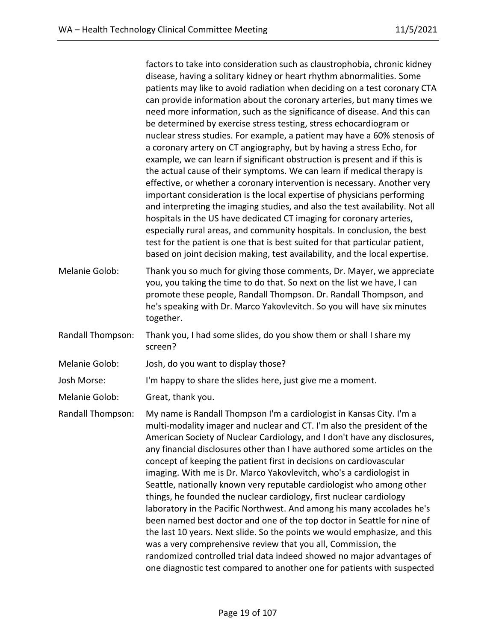factors to take into consideration such as claustrophobia, chronic kidney disease, having a solitary kidney or heart rhythm abnormalities. Some patients may like to avoid radiation when deciding on a test coronary CTA can provide information about the coronary arteries, but many times we need more information, such as the significance of disease. And this can be determined by exercise stress testing, stress echocardiogram or nuclear stress studies. For example, a patient may have a 60% stenosis of a coronary artery on CT angiography, but by having a stress Echo, for example, we can learn if significant obstruction is present and if this is the actual cause of their symptoms. We can learn if medical therapy is effective, or whether a coronary intervention is necessary. Another very important consideration is the local expertise of physicians performing and interpreting the imaging studies, and also the test availability. Not all hospitals in the US have dedicated CT imaging for coronary arteries, especially rural areas, and community hospitals. In conclusion, the best test for the patient is one that is best suited for that particular patient, based on joint decision making, test availability, and the local expertise.

- Melanie Golob: Thank you so much for giving those comments, Dr. Mayer, we appreciate you, you taking the time to do that. So next on the list we have, I can promote these people, Randall Thompson. Dr. Randall Thompson, and he's speaking with Dr. Marco Yakovlevitch. So you will have six minutes together.
- Randall Thompson: Thank you, I had some slides, do you show them or shall I share my screen?
- Melanie Golob: Josh, do you want to display those?
- Josh Morse: I'm happy to share the slides here, just give me a moment.

Melanie Golob: Great, thank you.

Randall Thompson: My name is Randall Thompson I'm a cardiologist in Kansas City. I'm a multi-modality imager and nuclear and CT. I'm also the president of the American Society of Nuclear Cardiology, and I don't have any disclosures, any financial disclosures other than I have authored some articles on the concept of keeping the patient first in decisions on cardiovascular imaging. With me is Dr. Marco Yakovlevitch, who's a cardiologist in Seattle, nationally known very reputable cardiologist who among other things, he founded the nuclear cardiology, first nuclear cardiology laboratory in the Pacific Northwest. And among his many accolades he's been named best doctor and one of the top doctor in Seattle for nine of the last 10 years. Next slide. So the points we would emphasize, and this was a very comprehensive review that you all, Commission, the randomized controlled trial data indeed showed no major advantages of one diagnostic test compared to another one for patients with suspected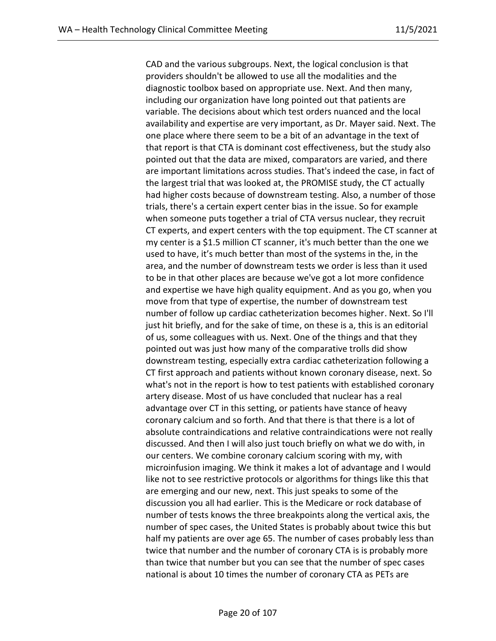CAD and the various subgroups. Next, the logical conclusion is that providers shouldn't be allowed to use all the modalities and the diagnostic toolbox based on appropriate use. Next. And then many, including our organization have long pointed out that patients are variable. The decisions about which test orders nuanced and the local availability and expertise are very important, as Dr. Mayer said. Next. The one place where there seem to be a bit of an advantage in the text of that report is that CTA is dominant cost effectiveness, but the study also pointed out that the data are mixed, comparators are varied, and there are important limitations across studies. That's indeed the case, in fact of the largest trial that was looked at, the PROMISE study, the CT actually had higher costs because of downstream testing. Also, a number of those trials, there's a certain expert center bias in the issue. So for example when someone puts together a trial of CTA versus nuclear, they recruit CT experts, and expert centers with the top equipment. The CT scanner at my center is a \$1.5 million CT scanner, it's much better than the one we used to have, it's much better than most of the systems in the, in the area, and the number of downstream tests we order is less than it used to be in that other places are because we've got a lot more confidence and expertise we have high quality equipment. And as you go, when you move from that type of expertise, the number of downstream test number of follow up cardiac catheterization becomes higher. Next. So I'll just hit briefly, and for the sake of time, on these is a, this is an editorial of us, some colleagues with us. Next. One of the things and that they pointed out was just how many of the comparative trolls did show downstream testing, especially extra cardiac catheterization following a CT first approach and patients without known coronary disease, next. So what's not in the report is how to test patients with established coronary artery disease. Most of us have concluded that nuclear has a real advantage over CT in this setting, or patients have stance of heavy coronary calcium and so forth. And that there is that there is a lot of absolute contraindications and relative contraindications were not really discussed. And then I will also just touch briefly on what we do with, in our centers. We combine coronary calcium scoring with my, with microinfusion imaging. We think it makes a lot of advantage and I would like not to see restrictive protocols or algorithms for things like this that are emerging and our new, next. This just speaks to some of the discussion you all had earlier. This is the Medicare or rock database of number of tests knows the three breakpoints along the vertical axis, the number of spec cases, the United States is probably about twice this but half my patients are over age 65. The number of cases probably less than twice that number and the number of coronary CTA is is probably more than twice that number but you can see that the number of spec cases national is about 10 times the number of coronary CTA as PETs are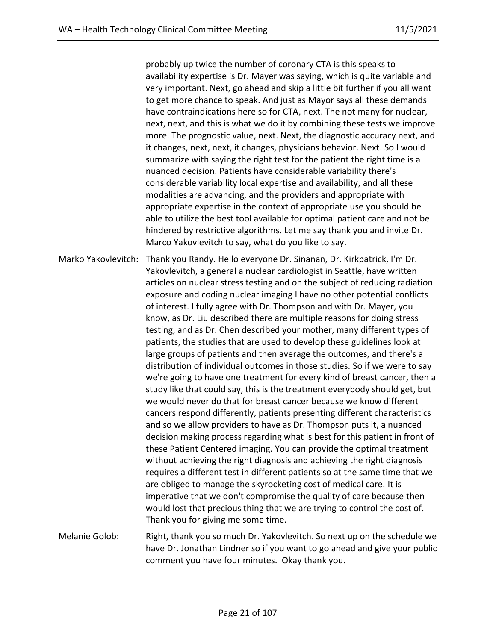probably up twice the number of coronary CTA is this speaks to availability expertise is Dr. Mayer was saying, which is quite variable and very important. Next, go ahead and skip a little bit further if you all want to get more chance to speak. And just as Mayor says all these demands have contraindications here so for CTA, next. The not many for nuclear, next, next, and this is what we do it by combining these tests we improve more. The prognostic value, next. Next, the diagnostic accuracy next, and it changes, next, next, it changes, physicians behavior. Next. So I would summarize with saying the right test for the patient the right time is a nuanced decision. Patients have considerable variability there's considerable variability local expertise and availability, and all these modalities are advancing, and the providers and appropriate with appropriate expertise in the context of appropriate use you should be able to utilize the best tool available for optimal patient care and not be hindered by restrictive algorithms. Let me say thank you and invite Dr. Marco Yakovlevitch to say, what do you like to say.

Marko Yakovlevitch: Thank you Randy. Hello everyone Dr. Sinanan, Dr. Kirkpatrick, I'm Dr. Yakovlevitch, a general a nuclear cardiologist in Seattle, have written articles on nuclear stress testing and on the subject of reducing radiation exposure and coding nuclear imaging I have no other potential conflicts of interest. I fully agree with Dr. Thompson and with Dr. Mayer, you know, as Dr. Liu described there are multiple reasons for doing stress testing, and as Dr. Chen described your mother, many different types of patients, the studies that are used to develop these guidelines look at large groups of patients and then average the outcomes, and there's a distribution of individual outcomes in those studies. So if we were to say we're going to have one treatment for every kind of breast cancer, then a study like that could say, this is the treatment everybody should get, but we would never do that for breast cancer because we know different cancers respond differently, patients presenting different characteristics and so we allow providers to have as Dr. Thompson puts it, a nuanced decision making process regarding what is best for this patient in front of these Patient Centered imaging. You can provide the optimal treatment without achieving the right diagnosis and achieving the right diagnosis requires a different test in different patients so at the same time that we are obliged to manage the skyrocketing cost of medical care. It is imperative that we don't compromise the quality of care because then would lost that precious thing that we are trying to control the cost of. Thank you for giving me some time.

Melanie Golob: Right, thank you so much Dr. Yakovlevitch. So next up on the schedule we have Dr. Jonathan Lindner so if you want to go ahead and give your public comment you have four minutes. Okay thank you.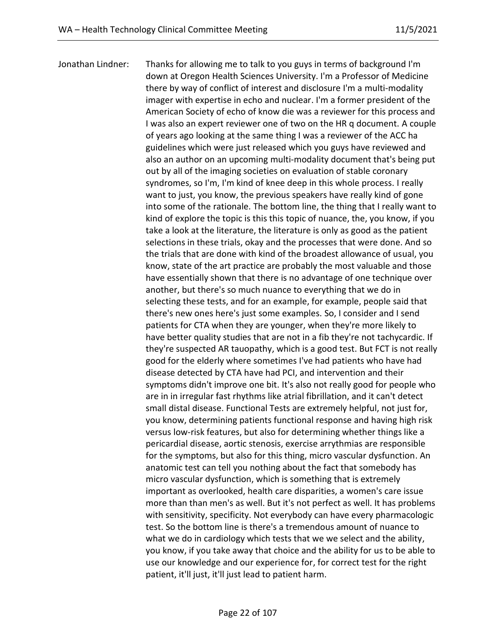Jonathan Lindner: Thanks for allowing me to talk to you guys in terms of background I'm down at Oregon Health Sciences University. I'm a Professor of Medicine there by way of conflict of interest and disclosure I'm a multi-modality imager with expertise in echo and nuclear. I'm a former president of the American Society of echo of know die was a reviewer for this process and I was also an expert reviewer one of two on the HR q document. A couple of years ago looking at the same thing I was a reviewer of the ACC ha guidelines which were just released which you guys have reviewed and also an author on an upcoming multi-modality document that's being put out by all of the imaging societies on evaluation of stable coronary syndromes, so I'm, I'm kind of knee deep in this whole process. I really want to just, you know, the previous speakers have really kind of gone into some of the rationale. The bottom line, the thing that I really want to kind of explore the topic is this this topic of nuance, the, you know, if you take a look at the literature, the literature is only as good as the patient selections in these trials, okay and the processes that were done. And so the trials that are done with kind of the broadest allowance of usual, you know, state of the art practice are probably the most valuable and those have essentially shown that there is no advantage of one technique over another, but there's so much nuance to everything that we do in selecting these tests, and for an example, for example, people said that there's new ones here's just some examples. So, I consider and I send patients for CTA when they are younger, when they're more likely to have better quality studies that are not in a fib they're not tachycardic. If they're suspected AR tauopathy, which is a good test. But FCT is not really good for the elderly where sometimes I've had patients who have had disease detected by CTA have had PCI, and intervention and their symptoms didn't improve one bit. It's also not really good for people who are in in irregular fast rhythms like atrial fibrillation, and it can't detect small distal disease. Functional Tests are extremely helpful, not just for, you know, determining patients functional response and having high risk versus low-risk features, but also for determining whether things like a pericardial disease, aortic stenosis, exercise arrythmias are responsible for the symptoms, but also for this thing, micro vascular dysfunction. An anatomic test can tell you nothing about the fact that somebody has micro vascular dysfunction, which is something that is extremely important as overlooked, health care disparities, a women's care issue more than than men's as well. But it's not perfect as well. It has problems with sensitivity, specificity. Not everybody can have every pharmacologic test. So the bottom line is there's a tremendous amount of nuance to what we do in cardiology which tests that we we select and the ability, you know, if you take away that choice and the ability for us to be able to use our knowledge and our experience for, for correct test for the right patient, it'll just, it'll just lead to patient harm.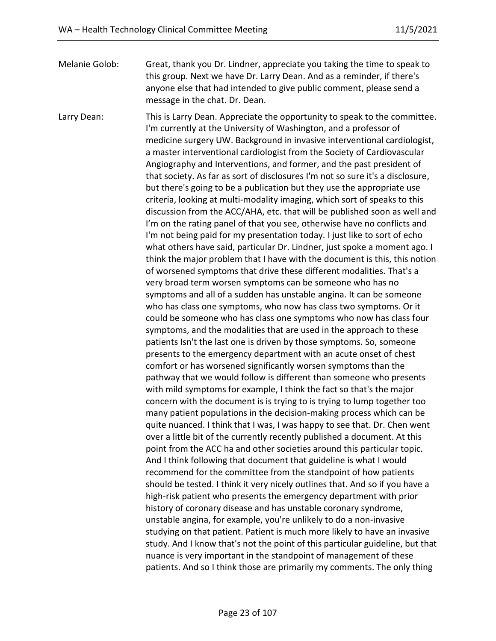Melanie Golob: Great, thank you Dr. Lindner, appreciate you taking the time to speak to this group. Next we have Dr. Larry Dean. And as a reminder, if there's anyone else that had intended to give public comment, please send a message in the chat. Dr. Dean.

Larry Dean: This is Larry Dean. Appreciate the opportunity to speak to the committee. I'm currently at the University of Washington, and a professor of medicine surgery UW. Background in invasive interventional cardiologist, a master interventional cardiologist from the Society of Cardiovascular Angiography and Interventions, and former, and the past president of that society. As far as sort of disclosures I'm not so sure it's a disclosure, but there's going to be a publication but they use the appropriate use criteria, looking at multi-modality imaging, which sort of speaks to this discussion from the ACC/AHA, etc. that will be published soon as well and I'm on the rating panel of that you see, otherwise have no conflicts and I'm not being paid for my presentation today. I just like to sort of echo what others have said, particular Dr. Lindner, just spoke a moment ago. I think the major problem that I have with the document is this, this notion of worsened symptoms that drive these different modalities. That's a very broad term worsen symptoms can be someone who has no symptoms and all of a sudden has unstable angina. It can be someone who has class one symptoms, who now has class two symptoms. Or it could be someone who has class one symptoms who now has class four symptoms, and the modalities that are used in the approach to these patients Isn't the last one is driven by those symptoms. So, someone presents to the emergency department with an acute onset of chest comfort or has worsened significantly worsen symptoms than the pathway that we would follow is different than someone who presents with mild symptoms for example, I think the fact so that's the major concern with the document is is trying to is trying to lump together too many patient populations in the decision-making process which can be quite nuanced. I think that I was, I was happy to see that. Dr. Chen went over a little bit of the currently recently published a document. At this point from the ACC ha and other societies around this particular topic. And I think following that document that guideline is what I would recommend for the committee from the standpoint of how patients should be tested. I think it very nicely outlines that. And so if you have a high-risk patient who presents the emergency department with prior history of coronary disease and has unstable coronary syndrome, unstable angina, for example, you're unlikely to do a non-invasive studying on that patient. Patient is much more likely to have an invasive study. And I know that's not the point of this particular guideline, but that nuance is very important in the standpoint of management of these patients. And so I think those are primarily my comments. The only thing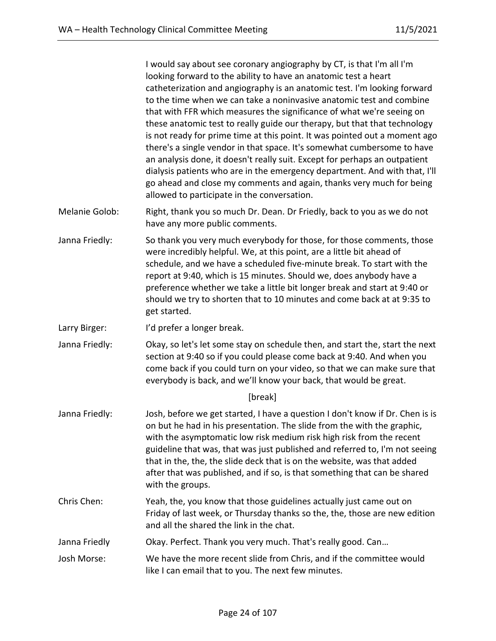I would say about see coronary angiography by CT, is that I'm all I'm looking forward to the ability to have an anatomic test a heart catheterization and angiography is an anatomic test. I'm looking forward to the time when we can take a noninvasive anatomic test and combine that with FFR which measures the significance of what we're seeing on these anatomic test to really guide our therapy, but that that technology is not ready for prime time at this point. It was pointed out a moment ago there's a single vendor in that space. It's somewhat cumbersome to have an analysis done, it doesn't really suit. Except for perhaps an outpatient dialysis patients who are in the emergency department. And with that, I'll go ahead and close my comments and again, thanks very much for being allowed to participate in the conversation.

- Melanie Golob: Right, thank you so much Dr. Dean. Dr Friedly, back to you as we do not have any more public comments.
- Janna Friedly: So thank you very much everybody for those, for those comments, those were incredibly helpful. We, at this point, are a little bit ahead of schedule, and we have a scheduled five-minute break. To start with the report at 9:40, which is 15 minutes. Should we, does anybody have a preference whether we take a little bit longer break and start at 9:40 or should we try to shorten that to 10 minutes and come back at at 9:35 to get started.
- Larry Birger: I'd prefer a longer break.
- Janna Friedly: Okay, so let's let some stay on schedule then, and start the, start the next section at 9:40 so if you could please come back at 9:40. And when you come back if you could turn on your video, so that we can make sure that everybody is back, and we'll know your back, that would be great.

[break]

- Janna Friedly: Josh, before we get started, I have a question I don't know if Dr. Chen is is on but he had in his presentation. The slide from the with the graphic, with the asymptomatic low risk medium risk high risk from the recent guideline that was, that was just published and referred to, I'm not seeing that in the, the, the slide deck that is on the website, was that added after that was published, and if so, is that something that can be shared with the groups.
- Chris Chen: Yeah, the, you know that those guidelines actually just came out on Friday of last week, or Thursday thanks so the, the, those are new edition and all the shared the link in the chat.
- Janna Friedly Okay. Perfect. Thank you very much. That's really good. Can…
- Josh Morse: We have the more recent slide from Chris, and if the committee would like I can email that to you. The next few minutes.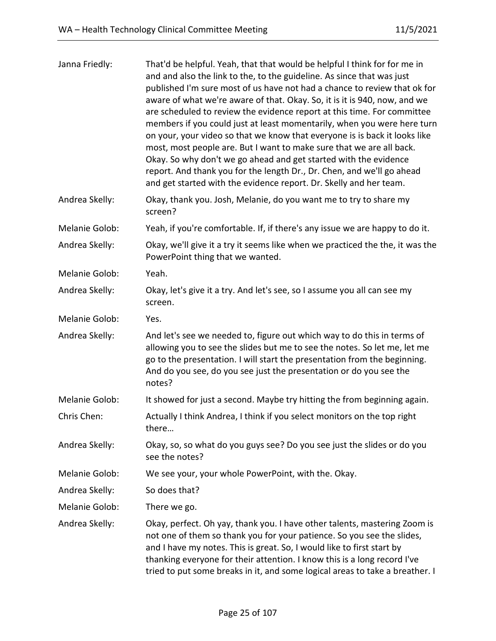| Janna Friedly: | That'd be helpful. Yeah, that that would be helpful I think for for me in<br>and and also the link to the, to the guideline. As since that was just<br>published I'm sure most of us have not had a chance to review that ok for<br>aware of what we're aware of that. Okay. So, it is it is 940, now, and we<br>are scheduled to review the evidence report at this time. For committee<br>members if you could just at least momentarily, when you were here turn<br>on your, your video so that we know that everyone is is back it looks like<br>most, most people are. But I want to make sure that we are all back.<br>Okay. So why don't we go ahead and get started with the evidence<br>report. And thank you for the length Dr., Dr. Chen, and we'll go ahead<br>and get started with the evidence report. Dr. Skelly and her team. |
|----------------|-----------------------------------------------------------------------------------------------------------------------------------------------------------------------------------------------------------------------------------------------------------------------------------------------------------------------------------------------------------------------------------------------------------------------------------------------------------------------------------------------------------------------------------------------------------------------------------------------------------------------------------------------------------------------------------------------------------------------------------------------------------------------------------------------------------------------------------------------|
| Andrea Skelly: | Okay, thank you. Josh, Melanie, do you want me to try to share my<br>screen?                                                                                                                                                                                                                                                                                                                                                                                                                                                                                                                                                                                                                                                                                                                                                                  |
| Melanie Golob: | Yeah, if you're comfortable. If, if there's any issue we are happy to do it.                                                                                                                                                                                                                                                                                                                                                                                                                                                                                                                                                                                                                                                                                                                                                                  |
| Andrea Skelly: | Okay, we'll give it a try it seems like when we practiced the the, it was the<br>PowerPoint thing that we wanted.                                                                                                                                                                                                                                                                                                                                                                                                                                                                                                                                                                                                                                                                                                                             |
| Melanie Golob: | Yeah.                                                                                                                                                                                                                                                                                                                                                                                                                                                                                                                                                                                                                                                                                                                                                                                                                                         |
| Andrea Skelly: | Okay, let's give it a try. And let's see, so I assume you all can see my<br>screen.                                                                                                                                                                                                                                                                                                                                                                                                                                                                                                                                                                                                                                                                                                                                                           |
| Melanie Golob: | Yes.                                                                                                                                                                                                                                                                                                                                                                                                                                                                                                                                                                                                                                                                                                                                                                                                                                          |
| Andrea Skelly: | And let's see we needed to, figure out which way to do this in terms of<br>allowing you to see the slides but me to see the notes. So let me, let me<br>go to the presentation. I will start the presentation from the beginning.<br>And do you see, do you see just the presentation or do you see the<br>notes?                                                                                                                                                                                                                                                                                                                                                                                                                                                                                                                             |
| Melanie Golob: | It showed for just a second. Maybe try hitting the from beginning again.                                                                                                                                                                                                                                                                                                                                                                                                                                                                                                                                                                                                                                                                                                                                                                      |
| Chris Chen:    | Actually I think Andrea, I think if you select monitors on the top right<br>there                                                                                                                                                                                                                                                                                                                                                                                                                                                                                                                                                                                                                                                                                                                                                             |
| Andrea Skelly: | Okay, so, so what do you guys see? Do you see just the slides or do you<br>see the notes?                                                                                                                                                                                                                                                                                                                                                                                                                                                                                                                                                                                                                                                                                                                                                     |
| Melanie Golob: | We see your, your whole PowerPoint, with the. Okay.                                                                                                                                                                                                                                                                                                                                                                                                                                                                                                                                                                                                                                                                                                                                                                                           |
| Andrea Skelly: | So does that?                                                                                                                                                                                                                                                                                                                                                                                                                                                                                                                                                                                                                                                                                                                                                                                                                                 |
| Melanie Golob: | There we go.                                                                                                                                                                                                                                                                                                                                                                                                                                                                                                                                                                                                                                                                                                                                                                                                                                  |
| Andrea Skelly: | Okay, perfect. Oh yay, thank you. I have other talents, mastering Zoom is<br>not one of them so thank you for your patience. So you see the slides,<br>and I have my notes. This is great. So, I would like to first start by<br>thanking everyone for their attention. I know this is a long record I've<br>tried to put some breaks in it, and some logical areas to take a breather. I                                                                                                                                                                                                                                                                                                                                                                                                                                                     |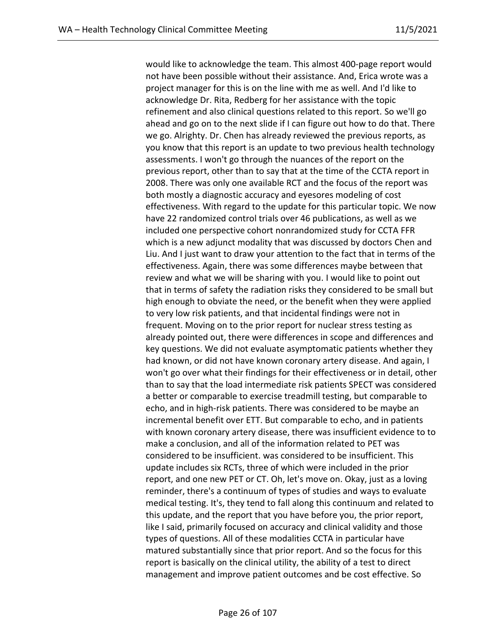would like to acknowledge the team. This almost 400-page report would not have been possible without their assistance. And, Erica wrote was a project manager for this is on the line with me as well. And I'd like to acknowledge Dr. Rita, Redberg for her assistance with the topic refinement and also clinical questions related to this report. So we'll go ahead and go on to the next slide if I can figure out how to do that. There we go. Alrighty. Dr. Chen has already reviewed the previous reports, as you know that this report is an update to two previous health technology assessments. I won't go through the nuances of the report on the previous report, other than to say that at the time of the CCTA report in 2008. There was only one available RCT and the focus of the report was both mostly a diagnostic accuracy and eyesores modeling of cost effectiveness. With regard to the update for this particular topic. We now have 22 randomized control trials over 46 publications, as well as we included one perspective cohort nonrandomized study for CCTA FFR which is a new adjunct modality that was discussed by doctors Chen and Liu. And I just want to draw your attention to the fact that in terms of the effectiveness. Again, there was some differences maybe between that review and what we will be sharing with you. I would like to point out that in terms of safety the radiation risks they considered to be small but high enough to obviate the need, or the benefit when they were applied to very low risk patients, and that incidental findings were not in frequent. Moving on to the prior report for nuclear stress testing as already pointed out, there were differences in scope and differences and key questions. We did not evaluate asymptomatic patients whether they had known, or did not have known coronary artery disease. And again, I won't go over what their findings for their effectiveness or in detail, other than to say that the load intermediate risk patients SPECT was considered a better or comparable to exercise treadmill testing, but comparable to echo, and in high-risk patients. There was considered to be maybe an incremental benefit over ETT. But comparable to echo, and in patients with known coronary artery disease, there was insufficient evidence to to make a conclusion, and all of the information related to PET was considered to be insufficient. was considered to be insufficient. This update includes six RCTs, three of which were included in the prior report, and one new PET or CT. Oh, let's move on. Okay, just as a loving reminder, there's a continuum of types of studies and ways to evaluate medical testing. It's, they tend to fall along this continuum and related to this update, and the report that you have before you, the prior report, like I said, primarily focused on accuracy and clinical validity and those types of questions. All of these modalities CCTA in particular have matured substantially since that prior report. And so the focus for this report is basically on the clinical utility, the ability of a test to direct management and improve patient outcomes and be cost effective. So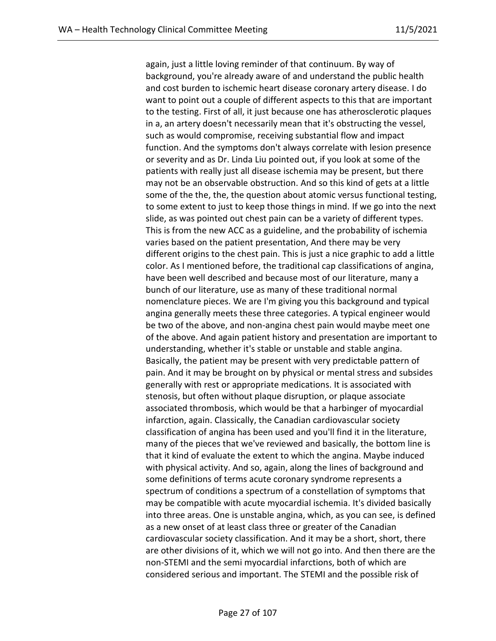again, just a little loving reminder of that continuum. By way of background, you're already aware of and understand the public health and cost burden to ischemic heart disease coronary artery disease. I do want to point out a couple of different aspects to this that are important to the testing. First of all, it just because one has atherosclerotic plaques in a, an artery doesn't necessarily mean that it's obstructing the vessel, such as would compromise, receiving substantial flow and impact function. And the symptoms don't always correlate with lesion presence or severity and as Dr. Linda Liu pointed out, if you look at some of the patients with really just all disease ischemia may be present, but there may not be an observable obstruction. And so this kind of gets at a little some of the the, the, the question about atomic versus functional testing, to some extent to just to keep those things in mind. If we go into the next slide, as was pointed out chest pain can be a variety of different types. This is from the new ACC as a guideline, and the probability of ischemia varies based on the patient presentation, And there may be very different origins to the chest pain. This is just a nice graphic to add a little color. As I mentioned before, the traditional cap classifications of angina, have been well described and because most of our literature, many a bunch of our literature, use as many of these traditional normal nomenclature pieces. We are I'm giving you this background and typical angina generally meets these three categories. A typical engineer would be two of the above, and non-angina chest pain would maybe meet one of the above. And again patient history and presentation are important to understanding, whether it's stable or unstable and stable angina. Basically, the patient may be present with very predictable pattern of pain. And it may be brought on by physical or mental stress and subsides generally with rest or appropriate medications. It is associated with stenosis, but often without plaque disruption, or plaque associate associated thrombosis, which would be that a harbinger of myocardial infarction, again. Classically, the Canadian cardiovascular society classification of angina has been used and you'll find it in the literature, many of the pieces that we've reviewed and basically, the bottom line is that it kind of evaluate the extent to which the angina. Maybe induced with physical activity. And so, again, along the lines of background and some definitions of terms acute coronary syndrome represents a spectrum of conditions a spectrum of a constellation of symptoms that may be compatible with acute myocardial ischemia. It's divided basically into three areas. One is unstable angina, which, as you can see, is defined as a new onset of at least class three or greater of the Canadian cardiovascular society classification. And it may be a short, short, there are other divisions of it, which we will not go into. And then there are the non-STEMI and the semi myocardial infarctions, both of which are considered serious and important. The STEMI and the possible risk of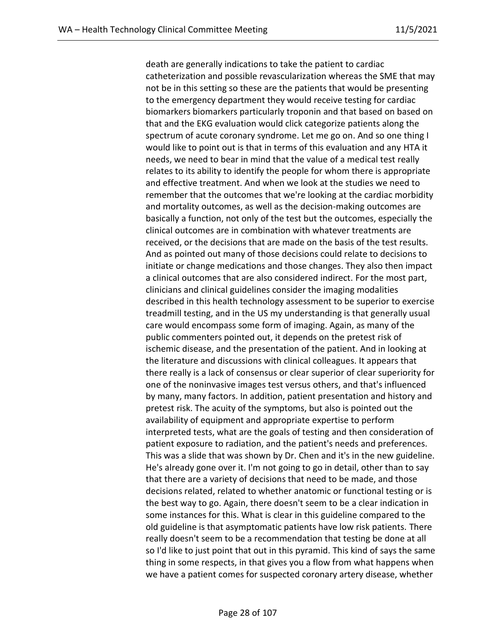death are generally indications to take the patient to cardiac catheterization and possible revascularization whereas the SME that may not be in this setting so these are the patients that would be presenting to the emergency department they would receive testing for cardiac biomarkers biomarkers particularly troponin and that based on based on that and the EKG evaluation would click categorize patients along the spectrum of acute coronary syndrome. Let me go on. And so one thing I would like to point out is that in terms of this evaluation and any HTA it needs, we need to bear in mind that the value of a medical test really relates to its ability to identify the people for whom there is appropriate and effective treatment. And when we look at the studies we need to remember that the outcomes that we're looking at the cardiac morbidity and mortality outcomes, as well as the decision-making outcomes are basically a function, not only of the test but the outcomes, especially the clinical outcomes are in combination with whatever treatments are received, or the decisions that are made on the basis of the test results. And as pointed out many of those decisions could relate to decisions to initiate or change medications and those changes. They also then impact a clinical outcomes that are also considered indirect. For the most part, clinicians and clinical guidelines consider the imaging modalities described in this health technology assessment to be superior to exercise treadmill testing, and in the US my understanding is that generally usual care would encompass some form of imaging. Again, as many of the public commenters pointed out, it depends on the pretest risk of ischemic disease, and the presentation of the patient. And in looking at the literature and discussions with clinical colleagues. It appears that there really is a lack of consensus or clear superior of clear superiority for one of the noninvasive images test versus others, and that's influenced by many, many factors. In addition, patient presentation and history and pretest risk. The acuity of the symptoms, but also is pointed out the availability of equipment and appropriate expertise to perform interpreted tests, what are the goals of testing and then consideration of patient exposure to radiation, and the patient's needs and preferences. This was a slide that was shown by Dr. Chen and it's in the new guideline. He's already gone over it. I'm not going to go in detail, other than to say that there are a variety of decisions that need to be made, and those decisions related, related to whether anatomic or functional testing or is the best way to go. Again, there doesn't seem to be a clear indication in some instances for this. What is clear in this guideline compared to the old guideline is that asymptomatic patients have low risk patients. There really doesn't seem to be a recommendation that testing be done at all so I'd like to just point that out in this pyramid. This kind of says the same thing in some respects, in that gives you a flow from what happens when we have a patient comes for suspected coronary artery disease, whether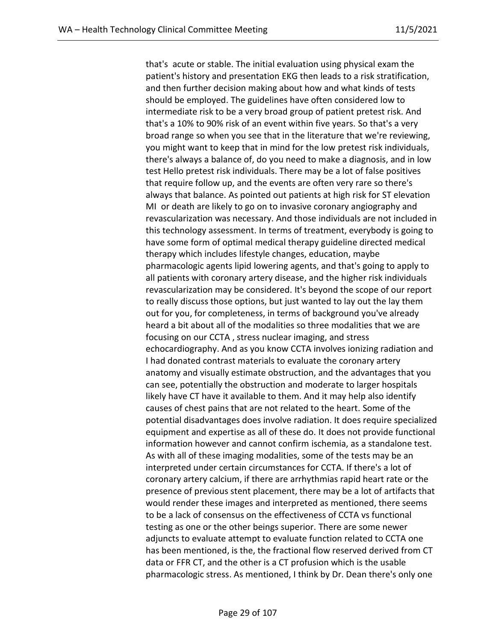that's acute or stable. The initial evaluation using physical exam the patient's history and presentation EKG then leads to a risk stratification, and then further decision making about how and what kinds of tests should be employed. The guidelines have often considered low to intermediate risk to be a very broad group of patient pretest risk. And that's a 10% to 90% risk of an event within five years. So that's a very broad range so when you see that in the literature that we're reviewing, you might want to keep that in mind for the low pretest risk individuals, there's always a balance of, do you need to make a diagnosis, and in low test Hello pretest risk individuals. There may be a lot of false positives that require follow up, and the events are often very rare so there's always that balance. As pointed out patients at high risk for ST elevation MI or death are likely to go on to invasive coronary angiography and revascularization was necessary. And those individuals are not included in this technology assessment. In terms of treatment, everybody is going to have some form of optimal medical therapy guideline directed medical therapy which includes lifestyle changes, education, maybe pharmacologic agents lipid lowering agents, and that's going to apply to all patients with coronary artery disease, and the higher risk individuals revascularization may be considered. It's beyond the scope of our report to really discuss those options, but just wanted to lay out the lay them out for you, for completeness, in terms of background you've already heard a bit about all of the modalities so three modalities that we are focusing on our CCTA , stress nuclear imaging, and stress echocardiography. And as you know CCTA involves ionizing radiation and I had donated contrast materials to evaluate the coronary artery anatomy and visually estimate obstruction, and the advantages that you can see, potentially the obstruction and moderate to larger hospitals likely have CT have it available to them. And it may help also identify causes of chest pains that are not related to the heart. Some of the potential disadvantages does involve radiation. It does require specialized equipment and expertise as all of these do. It does not provide functional information however and cannot confirm ischemia, as a standalone test. As with all of these imaging modalities, some of the tests may be an interpreted under certain circumstances for CCTA. If there's a lot of coronary artery calcium, if there are arrhythmias rapid heart rate or the presence of previous stent placement, there may be a lot of artifacts that would render these images and interpreted as mentioned, there seems to be a lack of consensus on the effectiveness of CCTA vs functional testing as one or the other beings superior. There are some newer adjuncts to evaluate attempt to evaluate function related to CCTA one has been mentioned, is the, the fractional flow reserved derived from CT data or FFR CT, and the other is a CT profusion which is the usable pharmacologic stress. As mentioned, I think by Dr. Dean there's only one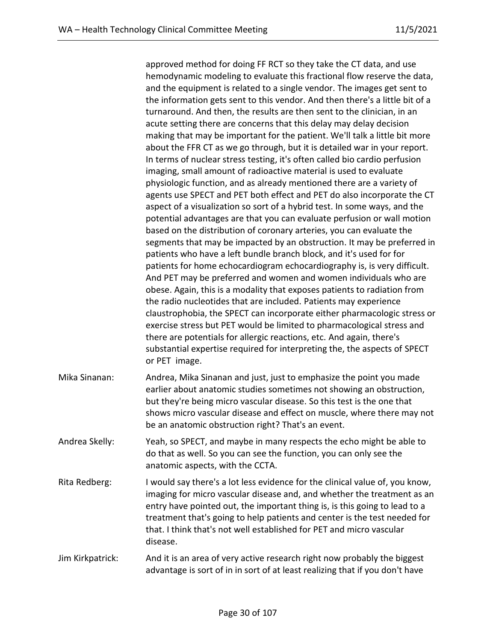approved method for doing FF RCT so they take the CT data, and use hemodynamic modeling to evaluate this fractional flow reserve the data, and the equipment is related to a single vendor. The images get sent to the information gets sent to this vendor. And then there's a little bit of a turnaround. And then, the results are then sent to the clinician, in an acute setting there are concerns that this delay may delay decision making that may be important for the patient. We'll talk a little bit more about the FFR CT as we go through, but it is detailed war in your report. In terms of nuclear stress testing, it's often called bio cardio perfusion imaging, small amount of radioactive material is used to evaluate physiologic function, and as already mentioned there are a variety of agents use SPECT and PET both effect and PET do also incorporate the CT aspect of a visualization so sort of a hybrid test. In some ways, and the potential advantages are that you can evaluate perfusion or wall motion based on the distribution of coronary arteries, you can evaluate the segments that may be impacted by an obstruction. It may be preferred in patients who have a left bundle branch block, and it's used for for patients for home echocardiogram echocardiography is, is very difficult. And PET may be preferred and women and women individuals who are obese. Again, this is a modality that exposes patients to radiation from the radio nucleotides that are included. Patients may experience claustrophobia, the SPECT can incorporate either pharmacologic stress or exercise stress but PET would be limited to pharmacological stress and there are potentials for allergic reactions, etc. And again, there's substantial expertise required for interpreting the, the aspects of SPECT or PET image. Mika Sinanan: Andrea, Mika Sinanan and just, just to emphasize the point you made earlier about anatomic studies sometimes not showing an obstruction, but they're being micro vascular disease. So this test is the one that shows micro vascular disease and effect on muscle, where there may not be an anatomic obstruction right? That's an event. Andrea Skelly: Yeah, so SPECT, and maybe in many respects the echo might be able to do that as well. So you can see the function, you can only see the anatomic aspects, with the CCTA. Rita Redberg: I would say there's a lot less evidence for the clinical value of, you know, imaging for micro vascular disease and, and whether the treatment as an entry have pointed out, the important thing is, is this going to lead to a treatment that's going to help patients and center is the test needed for that. I think that's not well established for PET and micro vascular disease. Jim Kirkpatrick: And it is an area of very active research right now probably the biggest advantage is sort of in in sort of at least realizing that if you don't have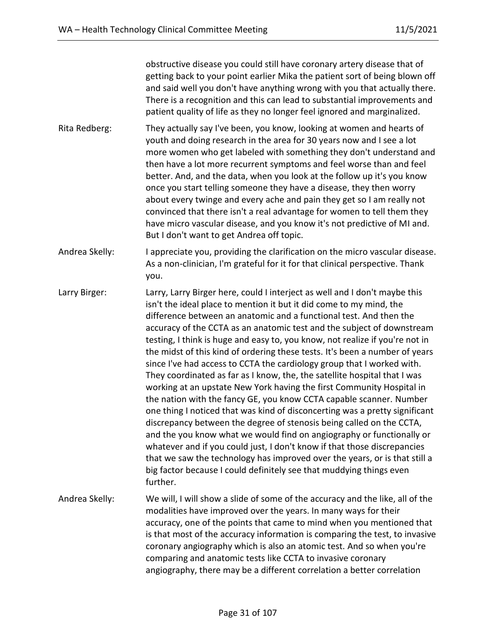obstructive disease you could still have coronary artery disease that of getting back to your point earlier Mika the patient sort of being blown off and said well you don't have anything wrong with you that actually there. There is a recognition and this can lead to substantial improvements and patient quality of life as they no longer feel ignored and marginalized.

- Rita Redberg: They actually say I've been, you know, looking at women and hearts of youth and doing research in the area for 30 years now and I see a lot more women who get labeled with something they don't understand and then have a lot more recurrent symptoms and feel worse than and feel better. And, and the data, when you look at the follow up it's you know once you start telling someone they have a disease, they then worry about every twinge and every ache and pain they get so I am really not convinced that there isn't a real advantage for women to tell them they have micro vascular disease, and you know it's not predictive of MI and. But I don't want to get Andrea off topic.
- Andrea Skelly: I appreciate you, providing the clarification on the micro vascular disease. As a non-clinician, I'm grateful for it for that clinical perspective. Thank you.
- Larry Birger: Larry, Larry Birger here, could I interject as well and I don't maybe this isn't the ideal place to mention it but it did come to my mind, the difference between an anatomic and a functional test. And then the accuracy of the CCTA as an anatomic test and the subject of downstream testing, I think is huge and easy to, you know, not realize if you're not in the midst of this kind of ordering these tests. It's been a number of years since I've had access to CCTA the cardiology group that I worked with. They coordinated as far as I know, the, the satellite hospital that I was working at an upstate New York having the first Community Hospital in the nation with the fancy GE, you know CCTA capable scanner. Number one thing I noticed that was kind of disconcerting was a pretty significant discrepancy between the degree of stenosis being called on the CCTA, and the you know what we would find on angiography or functionally or whatever and if you could just, I don't know if that those discrepancies that we saw the technology has improved over the years, or is that still a big factor because I could definitely see that muddying things even further.
- Andrea Skelly: We will, I will show a slide of some of the accuracy and the like, all of the modalities have improved over the years. In many ways for their accuracy, one of the points that came to mind when you mentioned that is that most of the accuracy information is comparing the test, to invasive coronary angiography which is also an atomic test. And so when you're comparing and anatomic tests like CCTA to invasive coronary angiography, there may be a different correlation a better correlation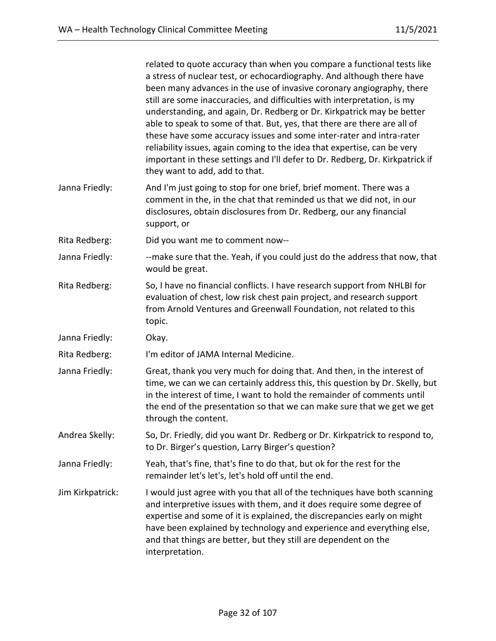|                  | related to quote accuracy than when you compare a functional tests like<br>a stress of nuclear test, or echocardiography. And although there have<br>been many advances in the use of invasive coronary angiography, there<br>still are some inaccuracies, and difficulties with interpretation, is my<br>understanding, and again, Dr. Redberg or Dr. Kirkpatrick may be better<br>able to speak to some of that. But, yes, that there are there are all of<br>these have some accuracy issues and some inter-rater and intra-rater<br>reliability issues, again coming to the idea that expertise, can be very<br>important in these settings and I'll defer to Dr. Redberg, Dr. Kirkpatrick if<br>they want to add, add to that. |
|------------------|-------------------------------------------------------------------------------------------------------------------------------------------------------------------------------------------------------------------------------------------------------------------------------------------------------------------------------------------------------------------------------------------------------------------------------------------------------------------------------------------------------------------------------------------------------------------------------------------------------------------------------------------------------------------------------------------------------------------------------------|
| Janna Friedly:   | And I'm just going to stop for one brief, brief moment. There was a<br>comment in the, in the chat that reminded us that we did not, in our<br>disclosures, obtain disclosures from Dr. Redberg, our any financial<br>support, or                                                                                                                                                                                                                                                                                                                                                                                                                                                                                                   |
| Rita Redberg:    | Did you want me to comment now--                                                                                                                                                                                                                                                                                                                                                                                                                                                                                                                                                                                                                                                                                                    |
| Janna Friedly:   | --make sure that the. Yeah, if you could just do the address that now, that<br>would be great.                                                                                                                                                                                                                                                                                                                                                                                                                                                                                                                                                                                                                                      |
| Rita Redberg:    | So, I have no financial conflicts. I have research support from NHLBI for<br>evaluation of chest, low risk chest pain project, and research support<br>from Arnold Ventures and Greenwall Foundation, not related to this<br>topic.                                                                                                                                                                                                                                                                                                                                                                                                                                                                                                 |
| Janna Friedly:   | Okay.                                                                                                                                                                                                                                                                                                                                                                                                                                                                                                                                                                                                                                                                                                                               |
| Rita Redberg:    | I'm editor of JAMA Internal Medicine.                                                                                                                                                                                                                                                                                                                                                                                                                                                                                                                                                                                                                                                                                               |
| Janna Friedly:   | Great, thank you very much for doing that. And then, in the interest of<br>time, we can we can certainly address this, this question by Dr. Skelly, but<br>in the interest of time, I want to hold the remainder of comments until<br>the end of the presentation so that we can make sure that we get we get<br>through the content.                                                                                                                                                                                                                                                                                                                                                                                               |
| Andrea Skelly:   | So, Dr. Friedly, did you want Dr. Redberg or Dr. Kirkpatrick to respond to,<br>to Dr. Birger's question, Larry Birger's question?                                                                                                                                                                                                                                                                                                                                                                                                                                                                                                                                                                                                   |
| Janna Friedly:   | Yeah, that's fine, that's fine to do that, but ok for the rest for the<br>remainder let's let's, let's hold off until the end.                                                                                                                                                                                                                                                                                                                                                                                                                                                                                                                                                                                                      |
| Jim Kirkpatrick: | I would just agree with you that all of the techniques have both scanning<br>and interpretive issues with them, and it does require some degree of<br>expertise and some of it is explained, the discrepancies early on might<br>have been explained by technology and experience and everything else,<br>and that things are better, but they still are dependent on the<br>interpretation.                                                                                                                                                                                                                                                                                                                                        |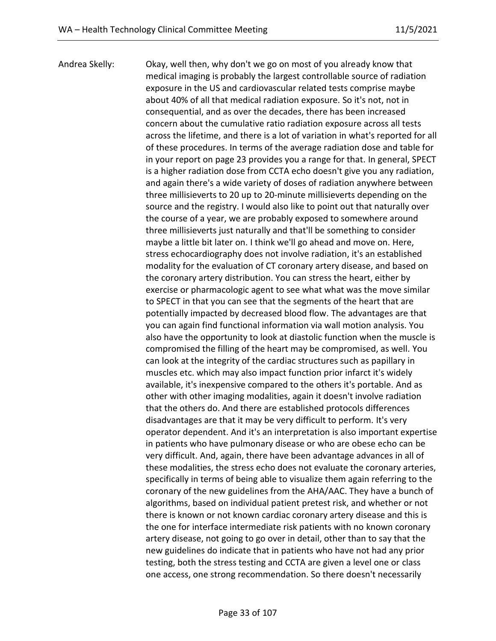Andrea Skelly: Okay, well then, why don't we go on most of you already know that medical imaging is probably the largest controllable source of radiation exposure in the US and cardiovascular related tests comprise maybe about 40% of all that medical radiation exposure. So it's not, not in consequential, and as over the decades, there has been increased concern about the cumulative ratio radiation exposure across all tests across the lifetime, and there is a lot of variation in what's reported for all of these procedures. In terms of the average radiation dose and table for in your report on page 23 provides you a range for that. In general, SPECT is a higher radiation dose from CCTA echo doesn't give you any radiation, and again there's a wide variety of doses of radiation anywhere between three millisieverts to 20 up to 20-minute millisieverts depending on the source and the registry. I would also like to point out that naturally over the course of a year, we are probably exposed to somewhere around three millisieverts just naturally and that'll be something to consider maybe a little bit later on. I think we'll go ahead and move on. Here, stress echocardiography does not involve radiation, it's an established modality for the evaluation of CT coronary artery disease, and based on the coronary artery distribution. You can stress the heart, either by exercise or pharmacologic agent to see what what was the move similar to SPECT in that you can see that the segments of the heart that are potentially impacted by decreased blood flow. The advantages are that you can again find functional information via wall motion analysis. You also have the opportunity to look at diastolic function when the muscle is compromised the filling of the heart may be compromised, as well. You can look at the integrity of the cardiac structures such as papillary in muscles etc. which may also impact function prior infarct it's widely available, it's inexpensive compared to the others it's portable. And as other with other imaging modalities, again it doesn't involve radiation that the others do. And there are established protocols differences disadvantages are that it may be very difficult to perform. It's very operator dependent. And it's an interpretation is also important expertise in patients who have pulmonary disease or who are obese echo can be very difficult. And, again, there have been advantage advances in all of these modalities, the stress echo does not evaluate the coronary arteries, specifically in terms of being able to visualize them again referring to the coronary of the new guidelines from the AHA/AAC. They have a bunch of algorithms, based on individual patient pretest risk, and whether or not there is known or not known cardiac coronary artery disease and this is the one for interface intermediate risk patients with no known coronary artery disease, not going to go over in detail, other than to say that the new guidelines do indicate that in patients who have not had any prior testing, both the stress testing and CCTA are given a level one or class one access, one strong recommendation. So there doesn't necessarily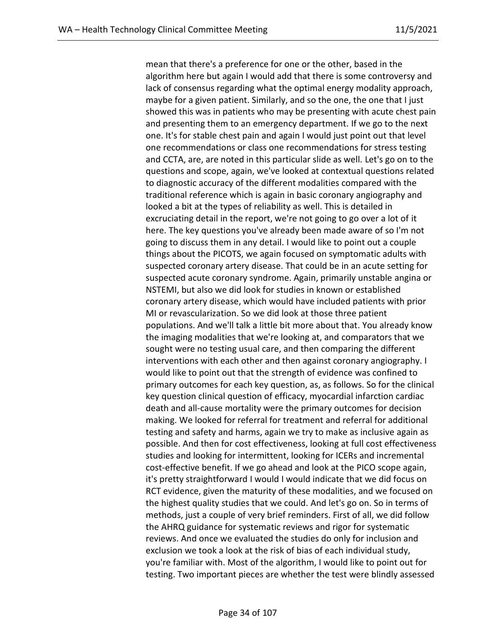mean that there's a preference for one or the other, based in the algorithm here but again I would add that there is some controversy and lack of consensus regarding what the optimal energy modality approach, maybe for a given patient. Similarly, and so the one, the one that I just showed this was in patients who may be presenting with acute chest pain and presenting them to an emergency department. If we go to the next one. It's for stable chest pain and again I would just point out that level one recommendations or class one recommendations for stress testing and CCTA, are, are noted in this particular slide as well. Let's go on to the questions and scope, again, we've looked at contextual questions related to diagnostic accuracy of the different modalities compared with the traditional reference which is again in basic coronary angiography and looked a bit at the types of reliability as well. This is detailed in excruciating detail in the report, we're not going to go over a lot of it here. The key questions you've already been made aware of so I'm not going to discuss them in any detail. I would like to point out a couple things about the PICOTS, we again focused on symptomatic adults with suspected coronary artery disease. That could be in an acute setting for suspected acute coronary syndrome. Again, primarily unstable angina or NSTEMI, but also we did look for studies in known or established coronary artery disease, which would have included patients with prior MI or revascularization. So we did look at those three patient populations. And we'll talk a little bit more about that. You already know the imaging modalities that we're looking at, and comparators that we sought were no testing usual care, and then comparing the different interventions with each other and then against coronary angiography. I would like to point out that the strength of evidence was confined to primary outcomes for each key question, as, as follows. So for the clinical key question clinical question of efficacy, myocardial infarction cardiac death and all-cause mortality were the primary outcomes for decision making. We looked for referral for treatment and referral for additional testing and safety and harms, again we try to make as inclusive again as possible. And then for cost effectiveness, looking at full cost effectiveness studies and looking for intermittent, looking for ICERs and incremental cost-effective benefit. If we go ahead and look at the PICO scope again, it's pretty straightforward I would I would indicate that we did focus on RCT evidence, given the maturity of these modalities, and we focused on the highest quality studies that we could. And let's go on. So in terms of methods, just a couple of very brief reminders. First of all, we did follow the AHRQ guidance for systematic reviews and rigor for systematic reviews. And once we evaluated the studies do only for inclusion and exclusion we took a look at the risk of bias of each individual study, you're familiar with. Most of the algorithm, I would like to point out for testing. Two important pieces are whether the test were blindly assessed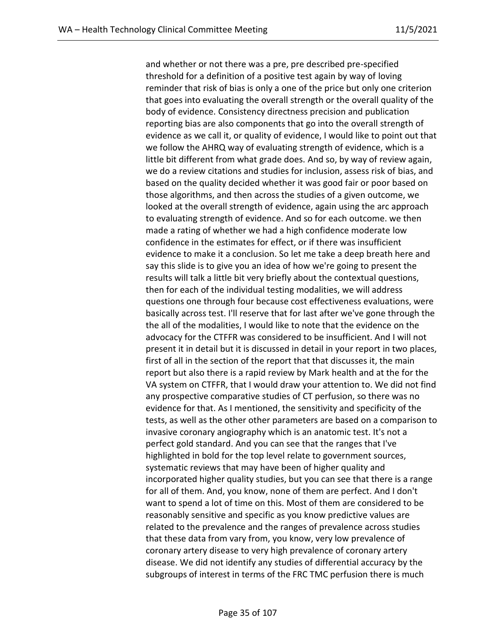and whether or not there was a pre, pre described pre-specified threshold for a definition of a positive test again by way of loving reminder that risk of bias is only a one of the price but only one criterion that goes into evaluating the overall strength or the overall quality of the body of evidence. Consistency directness precision and publication reporting bias are also components that go into the overall strength of evidence as we call it, or quality of evidence, I would like to point out that we follow the AHRQ way of evaluating strength of evidence, which is a little bit different from what grade does. And so, by way of review again, we do a review citations and studies for inclusion, assess risk of bias, and based on the quality decided whether it was good fair or poor based on those algorithms, and then across the studies of a given outcome, we looked at the overall strength of evidence, again using the arc approach to evaluating strength of evidence. And so for each outcome. we then made a rating of whether we had a high confidence moderate low confidence in the estimates for effect, or if there was insufficient evidence to make it a conclusion. So let me take a deep breath here and say this slide is to give you an idea of how we're going to present the results will talk a little bit very briefly about the contextual questions, then for each of the individual testing modalities, we will address questions one through four because cost effectiveness evaluations, were basically across test. I'll reserve that for last after we've gone through the the all of the modalities, I would like to note that the evidence on the advocacy for the CTFFR was considered to be insufficient. And I will not present it in detail but it is discussed in detail in your report in two places, first of all in the section of the report that that discusses it, the main report but also there is a rapid review by Mark health and at the for the VA system on CTFFR, that I would draw your attention to. We did not find any prospective comparative studies of CT perfusion, so there was no evidence for that. As I mentioned, the sensitivity and specificity of the tests, as well as the other other parameters are based on a comparison to invasive coronary angiography which is an anatomic test. It's not a perfect gold standard. And you can see that the ranges that I've highlighted in bold for the top level relate to government sources, systematic reviews that may have been of higher quality and incorporated higher quality studies, but you can see that there is a range for all of them. And, you know, none of them are perfect. And I don't want to spend a lot of time on this. Most of them are considered to be reasonably sensitive and specific as you know predictive values are related to the prevalence and the ranges of prevalence across studies that these data from vary from, you know, very low prevalence of coronary artery disease to very high prevalence of coronary artery disease. We did not identify any studies of differential accuracy by the subgroups of interest in terms of the FRC TMC perfusion there is much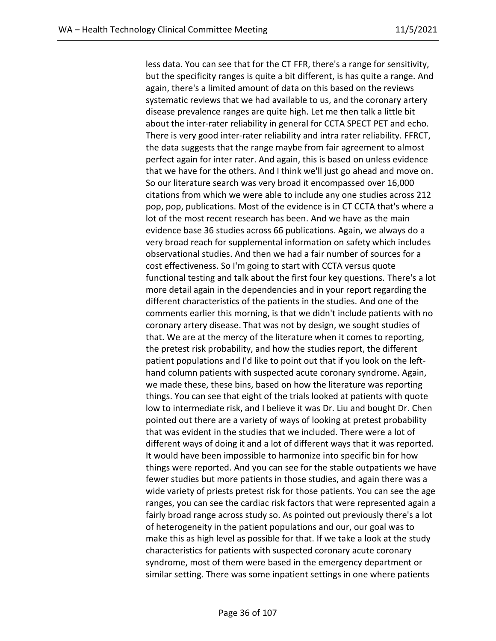less data. You can see that for the CT FFR, there's a range for sensitivity, but the specificity ranges is quite a bit different, is has quite a range. And again, there's a limited amount of data on this based on the reviews systematic reviews that we had available to us, and the coronary artery disease prevalence ranges are quite high. Let me then talk a little bit about the inter-rater reliability in general for CCTA SPECT PET and echo. There is very good inter-rater reliability and intra rater reliability. FFRCT, the data suggests that the range maybe from fair agreement to almost perfect again for inter rater. And again, this is based on unless evidence that we have for the others. And I think we'll just go ahead and move on. So our literature search was very broad it encompassed over 16,000 citations from which we were able to include any one studies across 212 pop, pop, publications. Most of the evidence is in CT CCTA that's where a lot of the most recent research has been. And we have as the main evidence base 36 studies across 66 publications. Again, we always do a very broad reach for supplemental information on safety which includes observational studies. And then we had a fair number of sources for a cost effectiveness. So I'm going to start with CCTA versus quote functional testing and talk about the first four key questions. There's a lot more detail again in the dependencies and in your report regarding the different characteristics of the patients in the studies. And one of the comments earlier this morning, is that we didn't include patients with no coronary artery disease. That was not by design, we sought studies of that. We are at the mercy of the literature when it comes to reporting, the pretest risk probability, and how the studies report, the different patient populations and I'd like to point out that if you look on the lefthand column patients with suspected acute coronary syndrome. Again, we made these, these bins, based on how the literature was reporting things. You can see that eight of the trials looked at patients with quote low to intermediate risk, and I believe it was Dr. Liu and bought Dr. Chen pointed out there are a variety of ways of looking at pretest probability that was evident in the studies that we included. There were a lot of different ways of doing it and a lot of different ways that it was reported. It would have been impossible to harmonize into specific bin for how things were reported. And you can see for the stable outpatients we have fewer studies but more patients in those studies, and again there was a wide variety of priests pretest risk for those patients. You can see the age ranges, you can see the cardiac risk factors that were represented again a fairly broad range across study so. As pointed out previously there's a lot of heterogeneity in the patient populations and our, our goal was to make this as high level as possible for that. If we take a look at the study characteristics for patients with suspected coronary acute coronary syndrome, most of them were based in the emergency department or similar setting. There was some inpatient settings in one where patients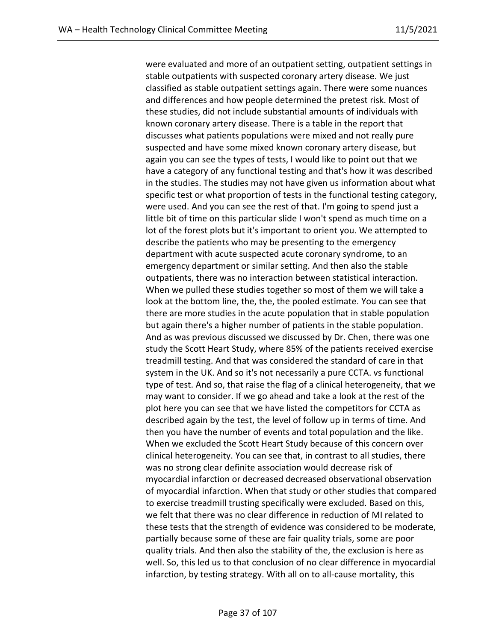were evaluated and more of an outpatient setting, outpatient settings in stable outpatients with suspected coronary artery disease. We just classified as stable outpatient settings again. There were some nuances and differences and how people determined the pretest risk. Most of these studies, did not include substantial amounts of individuals with known coronary artery disease. There is a table in the report that discusses what patients populations were mixed and not really pure suspected and have some mixed known coronary artery disease, but again you can see the types of tests, I would like to point out that we have a category of any functional testing and that's how it was described in the studies. The studies may not have given us information about what specific test or what proportion of tests in the functional testing category, were used. And you can see the rest of that. I'm going to spend just a little bit of time on this particular slide I won't spend as much time on a lot of the forest plots but it's important to orient you. We attempted to describe the patients who may be presenting to the emergency department with acute suspected acute coronary syndrome, to an emergency department or similar setting. And then also the stable outpatients, there was no interaction between statistical interaction. When we pulled these studies together so most of them we will take a look at the bottom line, the, the, the pooled estimate. You can see that there are more studies in the acute population that in stable population but again there's a higher number of patients in the stable population. And as was previous discussed we discussed by Dr. Chen, there was one study the Scott Heart Study, where 85% of the patients received exercise treadmill testing. And that was considered the standard of care in that system in the UK. And so it's not necessarily a pure CCTA. vs functional type of test. And so, that raise the flag of a clinical heterogeneity, that we may want to consider. If we go ahead and take a look at the rest of the plot here you can see that we have listed the competitors for CCTA as described again by the test, the level of follow up in terms of time. And then you have the number of events and total population and the like. When we excluded the Scott Heart Study because of this concern over clinical heterogeneity. You can see that, in contrast to all studies, there was no strong clear definite association would decrease risk of myocardial infarction or decreased decreased observational observation of myocardial infarction. When that study or other studies that compared to exercise treadmill trusting specifically were excluded. Based on this, we felt that there was no clear difference in reduction of MI related to these tests that the strength of evidence was considered to be moderate, partially because some of these are fair quality trials, some are poor quality trials. And then also the stability of the, the exclusion is here as well. So, this led us to that conclusion of no clear difference in myocardial infarction, by testing strategy. With all on to all-cause mortality, this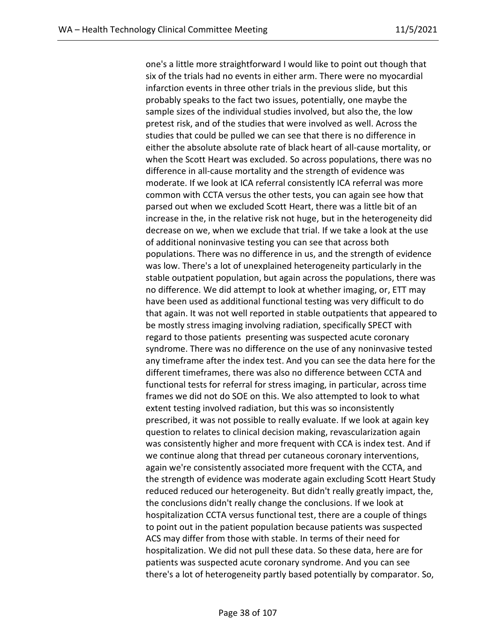one's a little more straightforward I would like to point out though that six of the trials had no events in either arm. There were no myocardial infarction events in three other trials in the previous slide, but this probably speaks to the fact two issues, potentially, one maybe the sample sizes of the individual studies involved, but also the, the low pretest risk, and of the studies that were involved as well. Across the studies that could be pulled we can see that there is no difference in either the absolute absolute rate of black heart of all-cause mortality, or when the Scott Heart was excluded. So across populations, there was no difference in all-cause mortality and the strength of evidence was moderate. If we look at ICA referral consistently ICA referral was more common with CCTA versus the other tests, you can again see how that parsed out when we excluded Scott Heart, there was a little bit of an increase in the, in the relative risk not huge, but in the heterogeneity did decrease on we, when we exclude that trial. If we take a look at the use of additional noninvasive testing you can see that across both populations. There was no difference in us, and the strength of evidence was low. There's a lot of unexplained heterogeneity particularly in the stable outpatient population, but again across the populations, there was no difference. We did attempt to look at whether imaging, or, ETT may have been used as additional functional testing was very difficult to do that again. It was not well reported in stable outpatients that appeared to be mostly stress imaging involving radiation, specifically SPECT with regard to those patients presenting was suspected acute coronary syndrome. There was no difference on the use of any noninvasive tested any timeframe after the index test. And you can see the data here for the different timeframes, there was also no difference between CCTA and functional tests for referral for stress imaging, in particular, across time frames we did not do SOE on this. We also attempted to look to what extent testing involved radiation, but this was so inconsistently prescribed, it was not possible to really evaluate. If we look at again key question to relates to clinical decision making, revascularization again was consistently higher and more frequent with CCA is index test. And if we continue along that thread per cutaneous coronary interventions, again we're consistently associated more frequent with the CCTA, and the strength of evidence was moderate again excluding Scott Heart Study reduced reduced our heterogeneity. But didn't really greatly impact, the, the conclusions didn't really change the conclusions. If we look at hospitalization CCTA versus functional test, there are a couple of things to point out in the patient population because patients was suspected ACS may differ from those with stable. In terms of their need for hospitalization. We did not pull these data. So these data, here are for patients was suspected acute coronary syndrome. And you can see there's a lot of heterogeneity partly based potentially by comparator. So,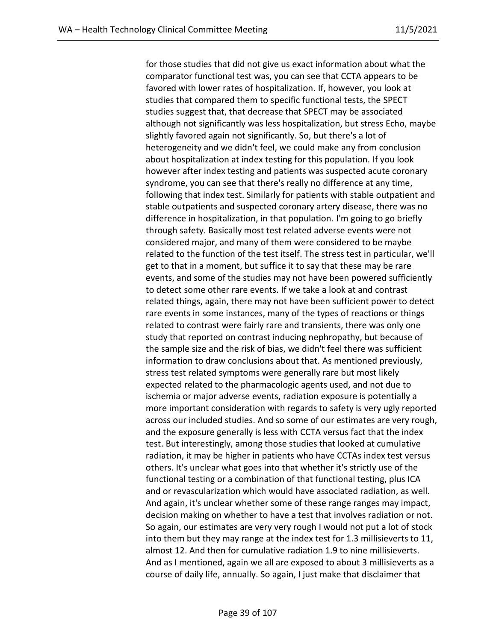for those studies that did not give us exact information about what the comparator functional test was, you can see that CCTA appears to be favored with lower rates of hospitalization. If, however, you look at studies that compared them to specific functional tests, the SPECT studies suggest that, that decrease that SPECT may be associated although not significantly was less hospitalization, but stress Echo, maybe slightly favored again not significantly. So, but there's a lot of heterogeneity and we didn't feel, we could make any from conclusion about hospitalization at index testing for this population. If you look however after index testing and patients was suspected acute coronary syndrome, you can see that there's really no difference at any time, following that index test. Similarly for patients with stable outpatient and stable outpatients and suspected coronary artery disease, there was no difference in hospitalization, in that population. I'm going to go briefly through safety. Basically most test related adverse events were not considered major, and many of them were considered to be maybe related to the function of the test itself. The stress test in particular, we'll get to that in a moment, but suffice it to say that these may be rare events, and some of the studies may not have been powered sufficiently to detect some other rare events. If we take a look at and contrast related things, again, there may not have been sufficient power to detect rare events in some instances, many of the types of reactions or things related to contrast were fairly rare and transients, there was only one study that reported on contrast inducing nephropathy, but because of the sample size and the risk of bias, we didn't feel there was sufficient information to draw conclusions about that. As mentioned previously, stress test related symptoms were generally rare but most likely expected related to the pharmacologic agents used, and not due to ischemia or major adverse events, radiation exposure is potentially a more important consideration with regards to safety is very ugly reported across our included studies. And so some of our estimates are very rough, and the exposure generally is less with CCTA versus fact that the index test. But interestingly, among those studies that looked at cumulative radiation, it may be higher in patients who have CCTAs index test versus others. It's unclear what goes into that whether it's strictly use of the functional testing or a combination of that functional testing, plus ICA and or revascularization which would have associated radiation, as well. And again, it's unclear whether some of these range ranges may impact, decision making on whether to have a test that involves radiation or not. So again, our estimates are very very rough I would not put a lot of stock into them but they may range at the index test for 1.3 millisieverts to 11, almost 12. And then for cumulative radiation 1.9 to nine millisieverts. And as I mentioned, again we all are exposed to about 3 millisieverts as a course of daily life, annually. So again, I just make that disclaimer that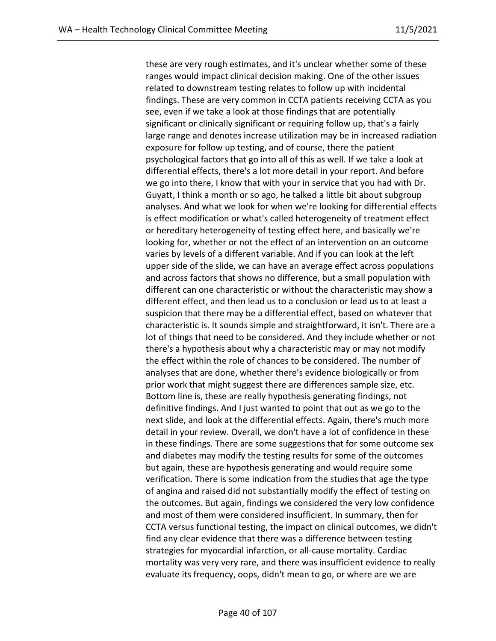these are very rough estimates, and it's unclear whether some of these ranges would impact clinical decision making. One of the other issues related to downstream testing relates to follow up with incidental findings. These are very common in CCTA patients receiving CCTA as you see, even if we take a look at those findings that are potentially significant or clinically significant or requiring follow up, that's a fairly large range and denotes increase utilization may be in increased radiation exposure for follow up testing, and of course, there the patient psychological factors that go into all of this as well. If we take a look at differential effects, there's a lot more detail in your report. And before we go into there, I know that with your in service that you had with Dr. Guyatt, I think a month or so ago, he talked a little bit about subgroup analyses. And what we look for when we're looking for differential effects is effect modification or what's called heterogeneity of treatment effect or hereditary heterogeneity of testing effect here, and basically we're looking for, whether or not the effect of an intervention on an outcome varies by levels of a different variable. And if you can look at the left upper side of the slide, we can have an average effect across populations and across factors that shows no difference, but a small population with different can one characteristic or without the characteristic may show a different effect, and then lead us to a conclusion or lead us to at least a suspicion that there may be a differential effect, based on whatever that characteristic is. It sounds simple and straightforward, it isn't. There are a lot of things that need to be considered. And they include whether or not there's a hypothesis about why a characteristic may or may not modify the effect within the role of chances to be considered. The number of analyses that are done, whether there's evidence biologically or from prior work that might suggest there are differences sample size, etc. Bottom line is, these are really hypothesis generating findings, not definitive findings. And I just wanted to point that out as we go to the next slide, and look at the differential effects. Again, there's much more detail in your review. Overall, we don't have a lot of confidence in these in these findings. There are some suggestions that for some outcome sex and diabetes may modify the testing results for some of the outcomes but again, these are hypothesis generating and would require some verification. There is some indication from the studies that age the type of angina and raised did not substantially modify the effect of testing on the outcomes. But again, findings we considered the very low confidence and most of them were considered insufficient. In summary, then for CCTA versus functional testing, the impact on clinical outcomes, we didn't find any clear evidence that there was a difference between testing strategies for myocardial infarction, or all-cause mortality. Cardiac mortality was very very rare, and there was insufficient evidence to really evaluate its frequency, oops, didn't mean to go, or where are we are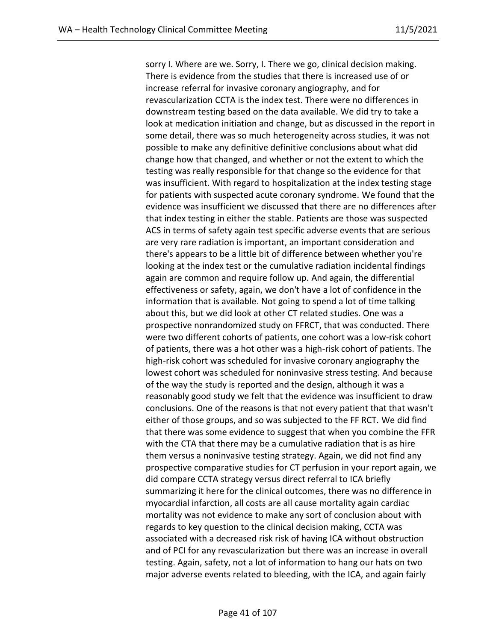sorry I. Where are we. Sorry, I. There we go, clinical decision making. There is evidence from the studies that there is increased use of or increase referral for invasive coronary angiography, and for revascularization CCTA is the index test. There were no differences in downstream testing based on the data available. We did try to take a look at medication initiation and change, but as discussed in the report in some detail, there was so much heterogeneity across studies, it was not possible to make any definitive definitive conclusions about what did change how that changed, and whether or not the extent to which the testing was really responsible for that change so the evidence for that was insufficient. With regard to hospitalization at the index testing stage for patients with suspected acute coronary syndrome. We found that the evidence was insufficient we discussed that there are no differences after that index testing in either the stable. Patients are those was suspected ACS in terms of safety again test specific adverse events that are serious are very rare radiation is important, an important consideration and there's appears to be a little bit of difference between whether you're looking at the index test or the cumulative radiation incidental findings again are common and require follow up. And again, the differential effectiveness or safety, again, we don't have a lot of confidence in the information that is available. Not going to spend a lot of time talking about this, but we did look at other CT related studies. One was a prospective nonrandomized study on FFRCT, that was conducted. There were two different cohorts of patients, one cohort was a low-risk cohort of patients, there was a hot other was a high-risk cohort of patients. The high-risk cohort was scheduled for invasive coronary angiography the lowest cohort was scheduled for noninvasive stress testing. And because of the way the study is reported and the design, although it was a reasonably good study we felt that the evidence was insufficient to draw conclusions. One of the reasons is that not every patient that that wasn't either of those groups, and so was subjected to the FF RCT. We did find that there was some evidence to suggest that when you combine the FFR with the CTA that there may be a cumulative radiation that is as hire them versus a noninvasive testing strategy. Again, we did not find any prospective comparative studies for CT perfusion in your report again, we did compare CCTA strategy versus direct referral to ICA briefly summarizing it here for the clinical outcomes, there was no difference in myocardial infarction, all costs are all cause mortality again cardiac mortality was not evidence to make any sort of conclusion about with regards to key question to the clinical decision making, CCTA was associated with a decreased risk risk of having ICA without obstruction and of PCI for any revascularization but there was an increase in overall testing. Again, safety, not a lot of information to hang our hats on two major adverse events related to bleeding, with the ICA, and again fairly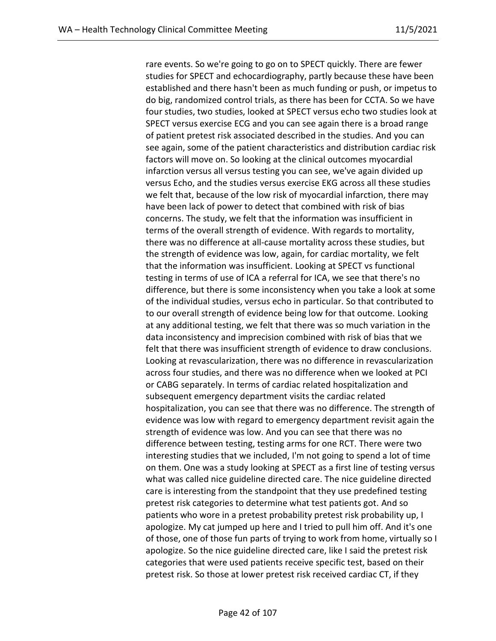rare events. So we're going to go on to SPECT quickly. There are fewer studies for SPECT and echocardiography, partly because these have been established and there hasn't been as much funding or push, or impetus to do big, randomized control trials, as there has been for CCTA. So we have four studies, two studies, looked at SPECT versus echo two studies look at SPECT versus exercise ECG and you can see again there is a broad range of patient pretest risk associated described in the studies. And you can see again, some of the patient characteristics and distribution cardiac risk factors will move on. So looking at the clinical outcomes myocardial infarction versus all versus testing you can see, we've again divided up versus Echo, and the studies versus exercise EKG across all these studies we felt that, because of the low risk of myocardial infarction, there may have been lack of power to detect that combined with risk of bias concerns. The study, we felt that the information was insufficient in terms of the overall strength of evidence. With regards to mortality, there was no difference at all-cause mortality across these studies, but the strength of evidence was low, again, for cardiac mortality, we felt that the information was insufficient. Looking at SPECT vs functional testing in terms of use of ICA a referral for ICA, we see that there's no difference, but there is some inconsistency when you take a look at some of the individual studies, versus echo in particular. So that contributed to to our overall strength of evidence being low for that outcome. Looking at any additional testing, we felt that there was so much variation in the data inconsistency and imprecision combined with risk of bias that we felt that there was insufficient strength of evidence to draw conclusions. Looking at revascularization, there was no difference in revascularization across four studies, and there was no difference when we looked at PCI or CABG separately. In terms of cardiac related hospitalization and subsequent emergency department visits the cardiac related hospitalization, you can see that there was no difference. The strength of evidence was low with regard to emergency department revisit again the strength of evidence was low. And you can see that there was no difference between testing, testing arms for one RCT. There were two interesting studies that we included, I'm not going to spend a lot of time on them. One was a study looking at SPECT as a first line of testing versus what was called nice guideline directed care. The nice guideline directed care is interesting from the standpoint that they use predefined testing pretest risk categories to determine what test patients got. And so patients who wore in a pretest probability pretest risk probability up, I apologize. My cat jumped up here and I tried to pull him off. And it's one of those, one of those fun parts of trying to work from home, virtually so I apologize. So the nice guideline directed care, like I said the pretest risk categories that were used patients receive specific test, based on their pretest risk. So those at lower pretest risk received cardiac CT, if they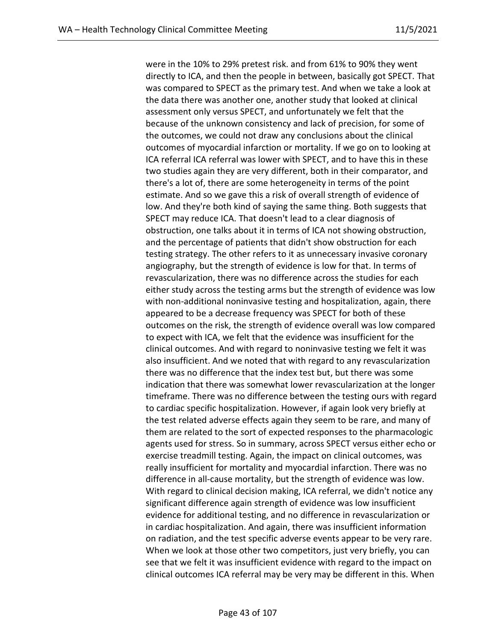were in the 10% to 29% pretest risk. and from 61% to 90% they went directly to ICA, and then the people in between, basically got SPECT. That was compared to SPECT as the primary test. And when we take a look at the data there was another one, another study that looked at clinical assessment only versus SPECT, and unfortunately we felt that the because of the unknown consistency and lack of precision, for some of the outcomes, we could not draw any conclusions about the clinical outcomes of myocardial infarction or mortality. If we go on to looking at ICA referral ICA referral was lower with SPECT, and to have this in these two studies again they are very different, both in their comparator, and there's a lot of, there are some heterogeneity in terms of the point estimate. And so we gave this a risk of overall strength of evidence of low. And they're both kind of saying the same thing. Both suggests that SPECT may reduce ICA. That doesn't lead to a clear diagnosis of obstruction, one talks about it in terms of ICA not showing obstruction, and the percentage of patients that didn't show obstruction for each testing strategy. The other refers to it as unnecessary invasive coronary angiography, but the strength of evidence is low for that. In terms of revascularization, there was no difference across the studies for each either study across the testing arms but the strength of evidence was low with non-additional noninvasive testing and hospitalization, again, there appeared to be a decrease frequency was SPECT for both of these outcomes on the risk, the strength of evidence overall was low compared to expect with ICA, we felt that the evidence was insufficient for the clinical outcomes. And with regard to noninvasive testing we felt it was also insufficient. And we noted that with regard to any revascularization there was no difference that the index test but, but there was some indication that there was somewhat lower revascularization at the longer timeframe. There was no difference between the testing ours with regard to cardiac specific hospitalization. However, if again look very briefly at the test related adverse effects again they seem to be rare, and many of them are related to the sort of expected responses to the pharmacologic agents used for stress. So in summary, across SPECT versus either echo or exercise treadmill testing. Again, the impact on clinical outcomes, was really insufficient for mortality and myocardial infarction. There was no difference in all-cause mortality, but the strength of evidence was low. With regard to clinical decision making, ICA referral, we didn't notice any significant difference again strength of evidence was low insufficient evidence for additional testing, and no difference in revascularization or in cardiac hospitalization. And again, there was insufficient information on radiation, and the test specific adverse events appear to be very rare. When we look at those other two competitors, just very briefly, you can see that we felt it was insufficient evidence with regard to the impact on clinical outcomes ICA referral may be very may be different in this. When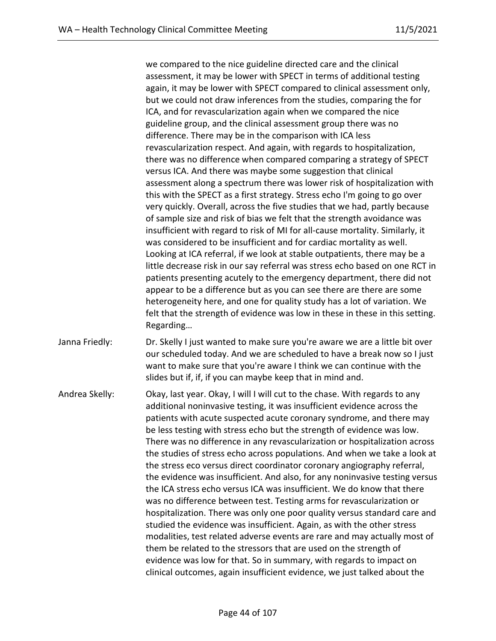we compared to the nice guideline directed care and the clinical assessment, it may be lower with SPECT in terms of additional testing again, it may be lower with SPECT compared to clinical assessment only, but we could not draw inferences from the studies, comparing the for ICA, and for revascularization again when we compared the nice guideline group, and the clinical assessment group there was no difference. There may be in the comparison with ICA less revascularization respect. And again, with regards to hospitalization, there was no difference when compared comparing a strategy of SPECT versus ICA. And there was maybe some suggestion that clinical assessment along a spectrum there was lower risk of hospitalization with this with the SPECT as a first strategy. Stress echo I'm going to go over very quickly. Overall, across the five studies that we had, partly because of sample size and risk of bias we felt that the strength avoidance was insufficient with regard to risk of MI for all-cause mortality. Similarly, it was considered to be insufficient and for cardiac mortality as well. Looking at ICA referral, if we look at stable outpatients, there may be a little decrease risk in our say referral was stress echo based on one RCT in patients presenting acutely to the emergency department, there did not appear to be a difference but as you can see there are there are some heterogeneity here, and one for quality study has a lot of variation. We felt that the strength of evidence was low in these in these in this setting. Regarding…

Janna Friedly: Dr. Skelly I just wanted to make sure you're aware we are a little bit over our scheduled today. And we are scheduled to have a break now so I just want to make sure that you're aware I think we can continue with the slides but if, if, if you can maybe keep that in mind and.

Andrea Skelly: Okay, last year. Okay, I will I will cut to the chase. With regards to any additional noninvasive testing, it was insufficient evidence across the patients with acute suspected acute coronary syndrome, and there may be less testing with stress echo but the strength of evidence was low. There was no difference in any revascularization or hospitalization across the studies of stress echo across populations. And when we take a look at the stress eco versus direct coordinator coronary angiography referral, the evidence was insufficient. And also, for any noninvasive testing versus the ICA stress echo versus ICA was insufficient. We do know that there was no difference between test. Testing arms for revascularization or hospitalization. There was only one poor quality versus standard care and studied the evidence was insufficient. Again, as with the other stress modalities, test related adverse events are rare and may actually most of them be related to the stressors that are used on the strength of evidence was low for that. So in summary, with regards to impact on clinical outcomes, again insufficient evidence, we just talked about the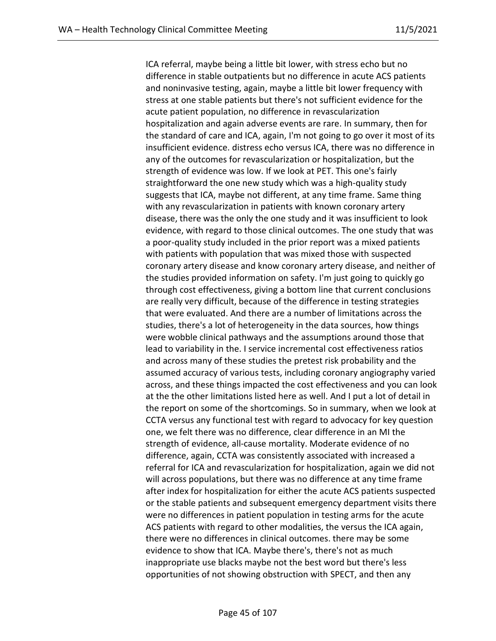ICA referral, maybe being a little bit lower, with stress echo but no difference in stable outpatients but no difference in acute ACS patients and noninvasive testing, again, maybe a little bit lower frequency with stress at one stable patients but there's not sufficient evidence for the acute patient population, no difference in revascularization hospitalization and again adverse events are rare. In summary, then for the standard of care and ICA, again, I'm not going to go over it most of its insufficient evidence. distress echo versus ICA, there was no difference in any of the outcomes for revascularization or hospitalization, but the strength of evidence was low. If we look at PET. This one's fairly straightforward the one new study which was a high-quality study suggests that ICA, maybe not different, at any time frame. Same thing with any revascularization in patients with known coronary artery disease, there was the only the one study and it was insufficient to look evidence, with regard to those clinical outcomes. The one study that was a poor-quality study included in the prior report was a mixed patients with patients with population that was mixed those with suspected coronary artery disease and know coronary artery disease, and neither of the studies provided information on safety. I'm just going to quickly go through cost effectiveness, giving a bottom line that current conclusions are really very difficult, because of the difference in testing strategies that were evaluated. And there are a number of limitations across the studies, there's a lot of heterogeneity in the data sources, how things were wobble clinical pathways and the assumptions around those that lead to variability in the. I service incremental cost effectiveness ratios and across many of these studies the pretest risk probability and the assumed accuracy of various tests, including coronary angiography varied across, and these things impacted the cost effectiveness and you can look at the the other limitations listed here as well. And I put a lot of detail in the report on some of the shortcomings. So in summary, when we look at CCTA versus any functional test with regard to advocacy for key question one, we felt there was no difference, clear difference in an MI the strength of evidence, all-cause mortality. Moderate evidence of no difference, again, CCTA was consistently associated with increased a referral for ICA and revascularization for hospitalization, again we did not will across populations, but there was no difference at any time frame after index for hospitalization for either the acute ACS patients suspected or the stable patients and subsequent emergency department visits there were no differences in patient population in testing arms for the acute ACS patients with regard to other modalities, the versus the ICA again, there were no differences in clinical outcomes. there may be some evidence to show that ICA. Maybe there's, there's not as much inappropriate use blacks maybe not the best word but there's less opportunities of not showing obstruction with SPECT, and then any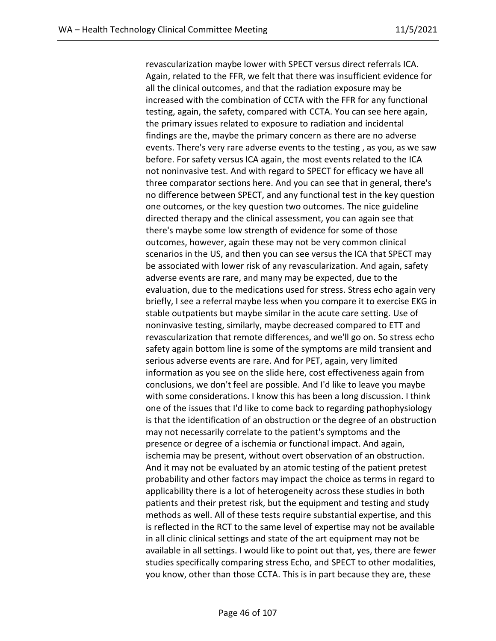revascularization maybe lower with SPECT versus direct referrals ICA. Again, related to the FFR, we felt that there was insufficient evidence for all the clinical outcomes, and that the radiation exposure may be increased with the combination of CCTA with the FFR for any functional testing, again, the safety, compared with CCTA. You can see here again, the primary issues related to exposure to radiation and incidental findings are the, maybe the primary concern as there are no adverse events. There's very rare adverse events to the testing , as you, as we saw before. For safety versus ICA again, the most events related to the ICA not noninvasive test. And with regard to SPECT for efficacy we have all three comparator sections here. And you can see that in general, there's no difference between SPECT, and any functional test in the key question one outcomes, or the key question two outcomes. The nice guideline directed therapy and the clinical assessment, you can again see that there's maybe some low strength of evidence for some of those outcomes, however, again these may not be very common clinical scenarios in the US, and then you can see versus the ICA that SPECT may be associated with lower risk of any revascularization. And again, safety adverse events are rare, and many may be expected, due to the evaluation, due to the medications used for stress. Stress echo again very briefly, I see a referral maybe less when you compare it to exercise EKG in stable outpatients but maybe similar in the acute care setting. Use of noninvasive testing, similarly, maybe decreased compared to ETT and revascularization that remote differences, and we'll go on. So stress echo safety again bottom line is some of the symptoms are mild transient and serious adverse events are rare. And for PET, again, very limited information as you see on the slide here, cost effectiveness again from conclusions, we don't feel are possible. And I'd like to leave you maybe with some considerations. I know this has been a long discussion. I think one of the issues that I'd like to come back to regarding pathophysiology is that the identification of an obstruction or the degree of an obstruction may not necessarily correlate to the patient's symptoms and the presence or degree of a ischemia or functional impact. And again, ischemia may be present, without overt observation of an obstruction. And it may not be evaluated by an atomic testing of the patient pretest probability and other factors may impact the choice as terms in regard to applicability there is a lot of heterogeneity across these studies in both patients and their pretest risk, but the equipment and testing and study methods as well. All of these tests require substantial expertise, and this is reflected in the RCT to the same level of expertise may not be available in all clinic clinical settings and state of the art equipment may not be available in all settings. I would like to point out that, yes, there are fewer studies specifically comparing stress Echo, and SPECT to other modalities, you know, other than those CCTA. This is in part because they are, these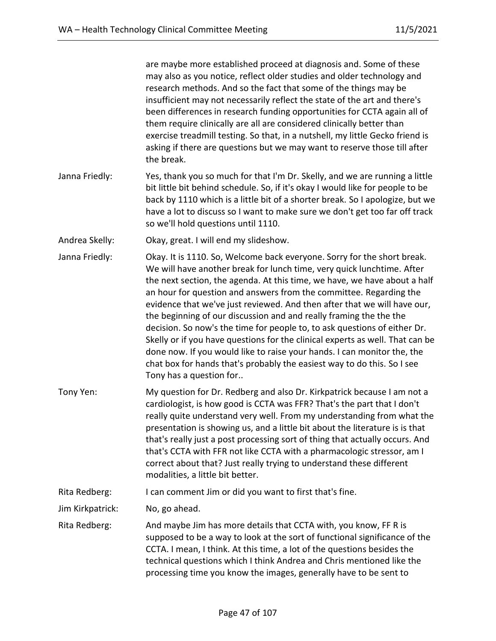are maybe more established proceed at diagnosis and. Some of these may also as you notice, reflect older studies and older technology and research methods. And so the fact that some of the things may be insufficient may not necessarily reflect the state of the art and there's been differences in research funding opportunities for CCTA again all of them require clinically are all are considered clinically better than exercise treadmill testing. So that, in a nutshell, my little Gecko friend is asking if there are questions but we may want to reserve those till after the break.

Janna Friedly: Yes, thank you so much for that I'm Dr. Skelly, and we are running a little bit little bit behind schedule. So, if it's okay I would like for people to be back by 1110 which is a little bit of a shorter break. So I apologize, but we have a lot to discuss so I want to make sure we don't get too far off track so we'll hold questions until 1110.

Andrea Skelly: Okay, great. I will end my slideshow.

- Janna Friedly: Okay. It is 1110. So, Welcome back everyone. Sorry for the short break. We will have another break for lunch time, very quick lunchtime. After the next section, the agenda. At this time, we have, we have about a half an hour for question and answers from the committee. Regarding the evidence that we've just reviewed. And then after that we will have our, the beginning of our discussion and and really framing the the the decision. So now's the time for people to, to ask questions of either Dr. Skelly or if you have questions for the clinical experts as well. That can be done now. If you would like to raise your hands. I can monitor the, the chat box for hands that's probably the easiest way to do this. So I see Tony has a question for..
- Tony Yen: My question for Dr. Redberg and also Dr. Kirkpatrick because I am not a cardiologist, is how good is CCTA was FFR? That's the part that I don't really quite understand very well. From my understanding from what the presentation is showing us, and a little bit about the literature is is that that's really just a post processing sort of thing that actually occurs. And that's CCTA with FFR not like CCTA with a pharmacologic stressor, am I correct about that? Just really trying to understand these different modalities, a little bit better.

Rita Redberg: I can comment Jim or did you want to first that's fine.

Jim Kirkpatrick: No, go ahead.

Rita Redberg: And maybe Jim has more details that CCTA with, you know, FF R is supposed to be a way to look at the sort of functional significance of the CCTA. I mean, I think. At this time, a lot of the questions besides the technical questions which I think Andrea and Chris mentioned like the processing time you know the images, generally have to be sent to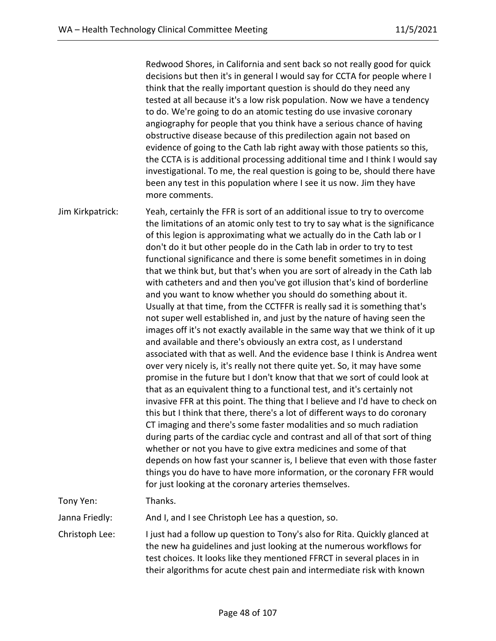Redwood Shores, in California and sent back so not really good for quick decisions but then it's in general I would say for CCTA for people where I think that the really important question is should do they need any tested at all because it's a low risk population. Now we have a tendency to do. We're going to do an atomic testing do use invasive coronary angiography for people that you think have a serious chance of having obstructive disease because of this predilection again not based on evidence of going to the Cath lab right away with those patients so this, the CCTA is is additional processing additional time and I think I would say investigational. To me, the real question is going to be, should there have been any test in this population where I see it us now. Jim they have more comments.

Jim Kirkpatrick: Yeah, certainly the FFR is sort of an additional issue to try to overcome the limitations of an atomic only test to try to say what is the significance of this legion is approximating what we actually do in the Cath lab or I don't do it but other people do in the Cath lab in order to try to test functional significance and there is some benefit sometimes in in doing that we think but, but that's when you are sort of already in the Cath lab with catheters and and then you've got illusion that's kind of borderline and you want to know whether you should do something about it. Usually at that time, from the CCTFFR is really sad it is something that's not super well established in, and just by the nature of having seen the images off it's not exactly available in the same way that we think of it up and available and there's obviously an extra cost, as I understand associated with that as well. And the evidence base I think is Andrea went over very nicely is, it's really not there quite yet. So, it may have some promise in the future but I don't know that that we sort of could look at that as an equivalent thing to a functional test, and it's certainly not invasive FFR at this point. The thing that I believe and I'd have to check on this but I think that there, there's a lot of different ways to do coronary CT imaging and there's some faster modalities and so much radiation during parts of the cardiac cycle and contrast and all of that sort of thing whether or not you have to give extra medicines and some of that depends on how fast your scanner is, I believe that even with those faster things you do have to have more information, or the coronary FFR would for just looking at the coronary arteries themselves.

Tony Yen: Thanks.

Janna Friedly: And I, and I see Christoph Lee has a question, so.

Christoph Lee: I just had a follow up question to Tony's also for Rita. Quickly glanced at the new ha guidelines and just looking at the numerous workflows for test choices. It looks like they mentioned FFRCT in several places in in their algorithms for acute chest pain and intermediate risk with known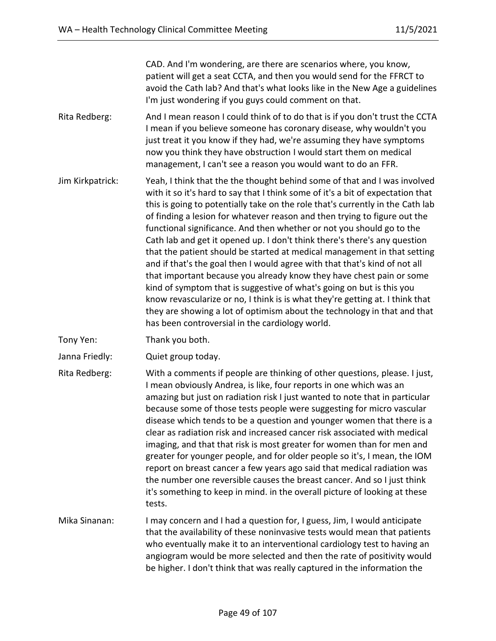CAD. And I'm wondering, are there are scenarios where, you know, patient will get a seat CCTA, and then you would send for the FFRCT to avoid the Cath lab? And that's what looks like in the New Age a guidelines I'm just wondering if you guys could comment on that.

Rita Redberg: And I mean reason I could think of to do that is if you don't trust the CCTA I mean if you believe someone has coronary disease, why wouldn't you just treat it you know if they had, we're assuming they have symptoms now you think they have obstruction I would start them on medical management, I can't see a reason you would want to do an FFR.

- Jim Kirkpatrick: Yeah, I think that the the thought behind some of that and I was involved with it so it's hard to say that I think some of it's a bit of expectation that this is going to potentially take on the role that's currently in the Cath lab of finding a lesion for whatever reason and then trying to figure out the functional significance. And then whether or not you should go to the Cath lab and get it opened up. I don't think there's there's any question that the patient should be started at medical management in that setting and if that's the goal then I would agree with that that's kind of not all that important because you already know they have chest pain or some kind of symptom that is suggestive of what's going on but is this you know revascularize or no, I think is is what they're getting at. I think that they are showing a lot of optimism about the technology in that and that has been controversial in the cardiology world.
- Tony Yen: Thank you both.
- Janna Friedly: Quiet group today.
- Rita Redberg: With a comments if people are thinking of other questions, please. I just, I mean obviously Andrea, is like, four reports in one which was an amazing but just on radiation risk I just wanted to note that in particular because some of those tests people were suggesting for micro vascular disease which tends to be a question and younger women that there is a clear as radiation risk and increased cancer risk associated with medical imaging, and that that risk is most greater for women than for men and greater for younger people, and for older people so it's, I mean, the IOM report on breast cancer a few years ago said that medical radiation was the number one reversible causes the breast cancer. And so I just think it's something to keep in mind. in the overall picture of looking at these tests.
- Mika Sinanan: I may concern and I had a question for, I guess, Jim, I would anticipate that the availability of these noninvasive tests would mean that patients who eventually make it to an interventional cardiology test to having an angiogram would be more selected and then the rate of positivity would be higher. I don't think that was really captured in the information the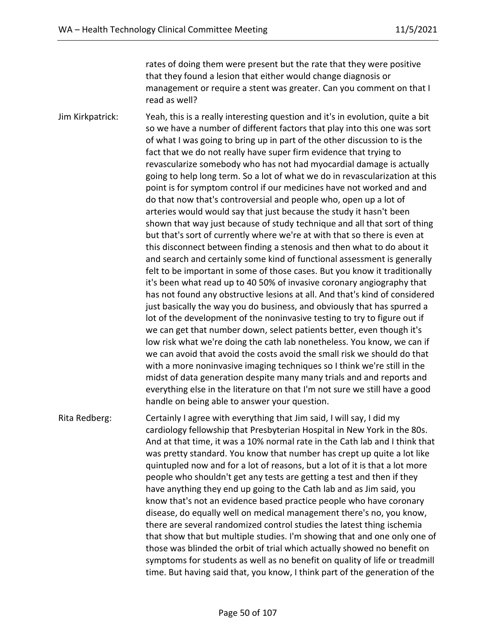rates of doing them were present but the rate that they were positive that they found a lesion that either would change diagnosis or management or require a stent was greater. Can you comment on that I read as well?

Jim Kirkpatrick: Yeah, this is a really interesting question and it's in evolution, quite a bit so we have a number of different factors that play into this one was sort of what I was going to bring up in part of the other discussion to is the fact that we do not really have super firm evidence that trying to revascularize somebody who has not had myocardial damage is actually going to help long term. So a lot of what we do in revascularization at this point is for symptom control if our medicines have not worked and and do that now that's controversial and people who, open up a lot of arteries would would say that just because the study it hasn't been shown that way just because of study technique and all that sort of thing but that's sort of currently where we're at with that so there is even at this disconnect between finding a stenosis and then what to do about it and search and certainly some kind of functional assessment is generally felt to be important in some of those cases. But you know it traditionally it's been what read up to 40 50% of invasive coronary angiography that has not found any obstructive lesions at all. And that's kind of considered just basically the way you do business, and obviously that has spurred a lot of the development of the noninvasive testing to try to figure out if we can get that number down, select patients better, even though it's low risk what we're doing the cath lab nonetheless. You know, we can if we can avoid that avoid the costs avoid the small risk we should do that with a more noninvasive imaging techniques so I think we're still in the midst of data generation despite many many trials and and reports and everything else in the literature on that I'm not sure we still have a good handle on being able to answer your question.

Rita Redberg: Certainly I agree with everything that Jim said, I will say, I did my cardiology fellowship that Presbyterian Hospital in New York in the 80s. And at that time, it was a 10% normal rate in the Cath lab and I think that was pretty standard. You know that number has crept up quite a lot like quintupled now and for a lot of reasons, but a lot of it is that a lot more people who shouldn't get any tests are getting a test and then if they have anything they end up going to the Cath lab and as Jim said, you know that's not an evidence based practice people who have coronary disease, do equally well on medical management there's no, you know, there are several randomized control studies the latest thing ischemia that show that but multiple studies. I'm showing that and one only one of those was blinded the orbit of trial which actually showed no benefit on symptoms for students as well as no benefit on quality of life or treadmill time. But having said that, you know, I think part of the generation of the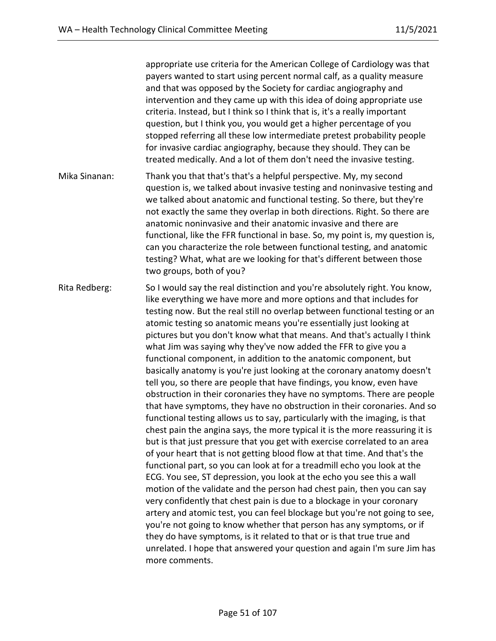appropriate use criteria for the American College of Cardiology was that payers wanted to start using percent normal calf, as a quality measure and that was opposed by the Society for cardiac angiography and intervention and they came up with this idea of doing appropriate use criteria. Instead, but I think so I think that is, it's a really important question, but I think you, you would get a higher percentage of you stopped referring all these low intermediate pretest probability people for invasive cardiac angiography, because they should. They can be treated medically. And a lot of them don't need the invasive testing.

- Mika Sinanan: Thank you that that's that's a helpful perspective. My, my second question is, we talked about invasive testing and noninvasive testing and we talked about anatomic and functional testing. So there, but they're not exactly the same they overlap in both directions. Right. So there are anatomic noninvasive and their anatomic invasive and there are functional, like the FFR functional in base. So, my point is, my question is, can you characterize the role between functional testing, and anatomic testing? What, what are we looking for that's different between those two groups, both of you?
- Rita Redberg: So I would say the real distinction and you're absolutely right. You know, like everything we have more and more options and that includes for testing now. But the real still no overlap between functional testing or an atomic testing so anatomic means you're essentially just looking at pictures but you don't know what that means. And that's actually I think what Jim was saying why they've now added the FFR to give you a functional component, in addition to the anatomic component, but basically anatomy is you're just looking at the coronary anatomy doesn't tell you, so there are people that have findings, you know, even have obstruction in their coronaries they have no symptoms. There are people that have symptoms, they have no obstruction in their coronaries. And so functional testing allows us to say, particularly with the imaging, is that chest pain the angina says, the more typical it is the more reassuring it is but is that just pressure that you get with exercise correlated to an area of your heart that is not getting blood flow at that time. And that's the functional part, so you can look at for a treadmill echo you look at the ECG. You see, ST depression, you look at the echo you see this a wall motion of the validate and the person had chest pain, then you can say very confidently that chest pain is due to a blockage in your coronary artery and atomic test, you can feel blockage but you're not going to see, you're not going to know whether that person has any symptoms, or if they do have symptoms, is it related to that or is that true true and unrelated. I hope that answered your question and again I'm sure Jim has more comments.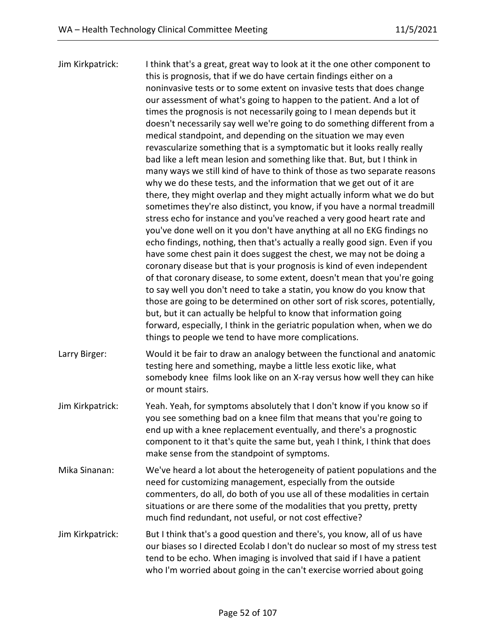Jim Kirkpatrick: I think that's a great, great way to look at it the one other component to this is prognosis, that if we do have certain findings either on a noninvasive tests or to some extent on invasive tests that does change our assessment of what's going to happen to the patient. And a lot of times the prognosis is not necessarily going to I mean depends but it doesn't necessarily say well we're going to do something different from a medical standpoint, and depending on the situation we may even revascularize something that is a symptomatic but it looks really really bad like a left mean lesion and something like that. But, but I think in many ways we still kind of have to think of those as two separate reasons why we do these tests, and the information that we get out of it are there, they might overlap and they might actually inform what we do but sometimes they're also distinct, you know, if you have a normal treadmill stress echo for instance and you've reached a very good heart rate and you've done well on it you don't have anything at all no EKG findings no echo findings, nothing, then that's actually a really good sign. Even if you have some chest pain it does suggest the chest, we may not be doing a coronary disease but that is your prognosis is kind of even independent of that coronary disease, to some extent, doesn't mean that you're going to say well you don't need to take a statin, you know do you know that those are going to be determined on other sort of risk scores, potentially, but, but it can actually be helpful to know that information going forward, especially, I think in the geriatric population when, when we do things to people we tend to have more complications. Larry Birger: Would it be fair to draw an analogy between the functional and anatomic testing here and something, maybe a little less exotic like, what somebody knee films look like on an X-ray versus how well they can hike or mount stairs. Jim Kirkpatrick: Yeah. Yeah, for symptoms absolutely that I don't know if you know so if you see something bad on a knee film that means that you're going to end up with a knee replacement eventually, and there's a prognostic component to it that's quite the same but, yeah I think, I think that does make sense from the standpoint of symptoms. Mika Sinanan: We've heard a lot about the heterogeneity of patient populations and the need for customizing management, especially from the outside commenters, do all, do both of you use all of these modalities in certain situations or are there some of the modalities that you pretty, pretty much find redundant, not useful, or not cost effective? Jim Kirkpatrick: But I think that's a good question and there's, you know, all of us have our biases so I directed Ecolab I don't do nuclear so most of my stress test tend to be echo. When imaging is involved that said if I have a patient who I'm worried about going in the can't exercise worried about going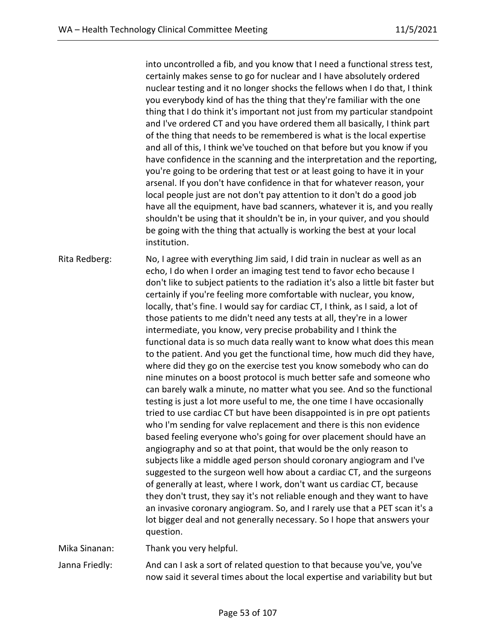into uncontrolled a fib, and you know that I need a functional stress test, certainly makes sense to go for nuclear and I have absolutely ordered nuclear testing and it no longer shocks the fellows when I do that, I think you everybody kind of has the thing that they're familiar with the one thing that I do think it's important not just from my particular standpoint and I've ordered CT and you have ordered them all basically, I think part of the thing that needs to be remembered is what is the local expertise and all of this, I think we've touched on that before but you know if you have confidence in the scanning and the interpretation and the reporting, you're going to be ordering that test or at least going to have it in your arsenal. If you don't have confidence in that for whatever reason, your local people just are not don't pay attention to it don't do a good job have all the equipment, have bad scanners, whatever it is, and you really shouldn't be using that it shouldn't be in, in your quiver, and you should be going with the thing that actually is working the best at your local institution.

Rita Redberg: No, I agree with everything Jim said, I did train in nuclear as well as an echo, I do when I order an imaging test tend to favor echo because I don't like to subject patients to the radiation it's also a little bit faster but certainly if you're feeling more comfortable with nuclear, you know, locally, that's fine. I would say for cardiac CT, I think, as I said, a lot of those patients to me didn't need any tests at all, they're in a lower intermediate, you know, very precise probability and I think the functional data is so much data really want to know what does this mean to the patient. And you get the functional time, how much did they have, where did they go on the exercise test you know somebody who can do nine minutes on a boost protocol is much better safe and someone who can barely walk a minute, no matter what you see. And so the functional testing is just a lot more useful to me, the one time I have occasionally tried to use cardiac CT but have been disappointed is in pre opt patients who I'm sending for valve replacement and there is this non evidence based feeling everyone who's going for over placement should have an angiography and so at that point, that would be the only reason to subjects like a middle aged person should coronary angiogram and I've suggested to the surgeon well how about a cardiac CT, and the surgeons of generally at least, where I work, don't want us cardiac CT, because they don't trust, they say it's not reliable enough and they want to have an invasive coronary angiogram. So, and I rarely use that a PET scan it's a lot bigger deal and not generally necessary. So I hope that answers your question.

Mika Sinanan: Thank you very helpful.

Janna Friedly: And can I ask a sort of related question to that because you've, you've now said it several times about the local expertise and variability but but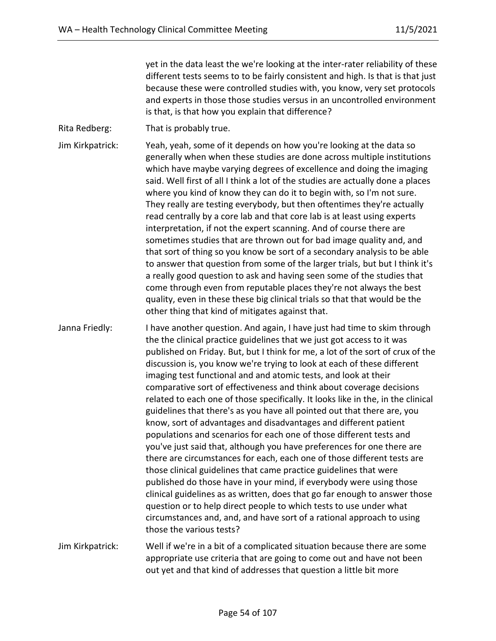yet in the data least the we're looking at the inter-rater reliability of these different tests seems to to be fairly consistent and high. Is that is that just because these were controlled studies with, you know, very set protocols and experts in those those studies versus in an uncontrolled environment is that, is that how you explain that difference?

Rita Redberg: That is probably true.

Jim Kirkpatrick: Yeah, yeah, some of it depends on how you're looking at the data so generally when when these studies are done across multiple institutions which have maybe varying degrees of excellence and doing the imaging said. Well first of all I think a lot of the studies are actually done a places where you kind of know they can do it to begin with, so I'm not sure. They really are testing everybody, but then oftentimes they're actually read centrally by a core lab and that core lab is at least using experts interpretation, if not the expert scanning. And of course there are sometimes studies that are thrown out for bad image quality and, and that sort of thing so you know be sort of a secondary analysis to be able to answer that question from some of the larger trials, but but I think it's a really good question to ask and having seen some of the studies that come through even from reputable places they're not always the best quality, even in these these big clinical trials so that that would be the other thing that kind of mitigates against that.

Janna Friedly: I have another question. And again, I have just had time to skim through the the clinical practice guidelines that we just got access to it was published on Friday. But, but I think for me, a lot of the sort of crux of the discussion is, you know we're trying to look at each of these different imaging test functional and and atomic tests, and look at their comparative sort of effectiveness and think about coverage decisions related to each one of those specifically. It looks like in the, in the clinical guidelines that there's as you have all pointed out that there are, you know, sort of advantages and disadvantages and different patient populations and scenarios for each one of those different tests and you've just said that, although you have preferences for one there are there are circumstances for each, each one of those different tests are those clinical guidelines that came practice guidelines that were published do those have in your mind, if everybody were using those clinical guidelines as as written, does that go far enough to answer those question or to help direct people to which tests to use under what circumstances and, and, and have sort of a rational approach to using those the various tests?

Jim Kirkpatrick: Well if we're in a bit of a complicated situation because there are some appropriate use criteria that are going to come out and have not been out yet and that kind of addresses that question a little bit more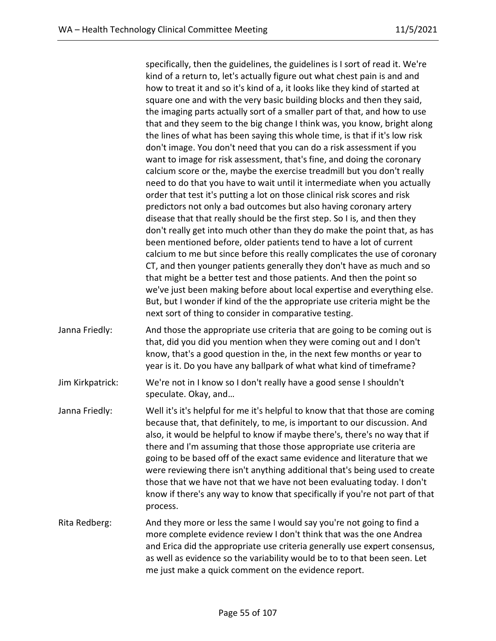specifically, then the guidelines, the guidelines is I sort of read it. We're kind of a return to, let's actually figure out what chest pain is and and how to treat it and so it's kind of a, it looks like they kind of started at square one and with the very basic building blocks and then they said, the imaging parts actually sort of a smaller part of that, and how to use that and they seem to the big change I think was, you know, bright along the lines of what has been saying this whole time, is that if it's low risk don't image. You don't need that you can do a risk assessment if you want to image for risk assessment, that's fine, and doing the coronary calcium score or the, maybe the exercise treadmill but you don't really need to do that you have to wait until it intermediate when you actually order that test it's putting a lot on those clinical risk scores and risk predictors not only a bad outcomes but also having coronary artery disease that that really should be the first step. So I is, and then they don't really get into much other than they do make the point that, as has been mentioned before, older patients tend to have a lot of current calcium to me but since before this really complicates the use of coronary CT, and then younger patients generally they don't have as much and so that might be a better test and those patients. And then the point so we've just been making before about local expertise and everything else. But, but I wonder if kind of the the appropriate use criteria might be the next sort of thing to consider in comparative testing.

Janna Friedly: And those the appropriate use criteria that are going to be coming out is that, did you did you mention when they were coming out and I don't know, that's a good question in the, in the next few months or year to year is it. Do you have any ballpark of what what kind of timeframe?

Jim Kirkpatrick: We're not in I know so I don't really have a good sense I shouldn't speculate. Okay, and…

- Janna Friedly: Well it's it's helpful for me it's helpful to know that that those are coming because that, that definitely, to me, is important to our discussion. And also, it would be helpful to know if maybe there's, there's no way that if there and I'm assuming that those those appropriate use criteria are going to be based off of the exact same evidence and literature that we were reviewing there isn't anything additional that's being used to create those that we have not that we have not been evaluating today. I don't know if there's any way to know that specifically if you're not part of that process.
- Rita Redberg: And they more or less the same I would say you're not going to find a more complete evidence review I don't think that was the one Andrea and Erica did the appropriate use criteria generally use expert consensus, as well as evidence so the variability would be to to that been seen. Let me just make a quick comment on the evidence report.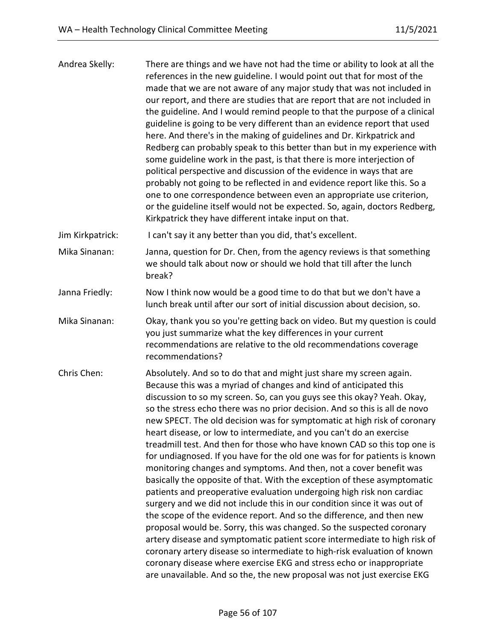| Andrea Skelly:   | There are things and we have not had the time or ability to look at all the<br>references in the new guideline. I would point out that for most of the<br>made that we are not aware of any major study that was not included in<br>our report, and there are studies that are report that are not included in<br>the guideline. And I would remind people to that the purpose of a clinical<br>guideline is going to be very different than an evidence report that used<br>here. And there's in the making of guidelines and Dr. Kirkpatrick and<br>Redberg can probably speak to this better than but in my experience with<br>some guideline work in the past, is that there is more interjection of<br>political perspective and discussion of the evidence in ways that are<br>probably not going to be reflected in and evidence report like this. So a<br>one to one correspondence between even an appropriate use criterion,<br>or the guideline itself would not be expected. So, again, doctors Redberg,<br>Kirkpatrick they have different intake input on that.                                                                                                                                                                                                                                                                                                       |
|------------------|-------------------------------------------------------------------------------------------------------------------------------------------------------------------------------------------------------------------------------------------------------------------------------------------------------------------------------------------------------------------------------------------------------------------------------------------------------------------------------------------------------------------------------------------------------------------------------------------------------------------------------------------------------------------------------------------------------------------------------------------------------------------------------------------------------------------------------------------------------------------------------------------------------------------------------------------------------------------------------------------------------------------------------------------------------------------------------------------------------------------------------------------------------------------------------------------------------------------------------------------------------------------------------------------------------------------------------------------------------------------------------------|
| Jim Kirkpatrick: | I can't say it any better than you did, that's excellent.                                                                                                                                                                                                                                                                                                                                                                                                                                                                                                                                                                                                                                                                                                                                                                                                                                                                                                                                                                                                                                                                                                                                                                                                                                                                                                                           |
| Mika Sinanan:    | Janna, question for Dr. Chen, from the agency reviews is that something<br>we should talk about now or should we hold that till after the lunch<br>break?                                                                                                                                                                                                                                                                                                                                                                                                                                                                                                                                                                                                                                                                                                                                                                                                                                                                                                                                                                                                                                                                                                                                                                                                                           |
| Janna Friedly:   | Now I think now would be a good time to do that but we don't have a<br>lunch break until after our sort of initial discussion about decision, so.                                                                                                                                                                                                                                                                                                                                                                                                                                                                                                                                                                                                                                                                                                                                                                                                                                                                                                                                                                                                                                                                                                                                                                                                                                   |
| Mika Sinanan:    | Okay, thank you so you're getting back on video. But my question is could<br>you just summarize what the key differences in your current<br>recommendations are relative to the old recommendations coverage<br>recommendations?                                                                                                                                                                                                                                                                                                                                                                                                                                                                                                                                                                                                                                                                                                                                                                                                                                                                                                                                                                                                                                                                                                                                                    |
| Chris Chen:      | Absolutely. And so to do that and might just share my screen again.<br>Because this was a myriad of changes and kind of anticipated this<br>discussion to so my screen. So, can you guys see this okay? Yeah. Okay,<br>so the stress echo there was no prior decision. And so this is all de novo<br>new SPECT. The old decision was for symptomatic at high risk of coronary<br>heart disease, or low to intermediate, and you can't do an exercise<br>treadmill test. And then for those who have known CAD so this top one is<br>for undiagnosed. If you have for the old one was for for patients is known<br>monitoring changes and symptoms. And then, not a cover benefit was<br>basically the opposite of that. With the exception of these asymptomatic<br>patients and preoperative evaluation undergoing high risk non cardiac<br>surgery and we did not include this in our condition since it was out of<br>the scope of the evidence report. And so the difference, and then new<br>proposal would be. Sorry, this was changed. So the suspected coronary<br>artery disease and symptomatic patient score intermediate to high risk of<br>coronary artery disease so intermediate to high-risk evaluation of known<br>coronary disease where exercise EKG and stress echo or inappropriate<br>are unavailable. And so the, the new proposal was not just exercise EKG |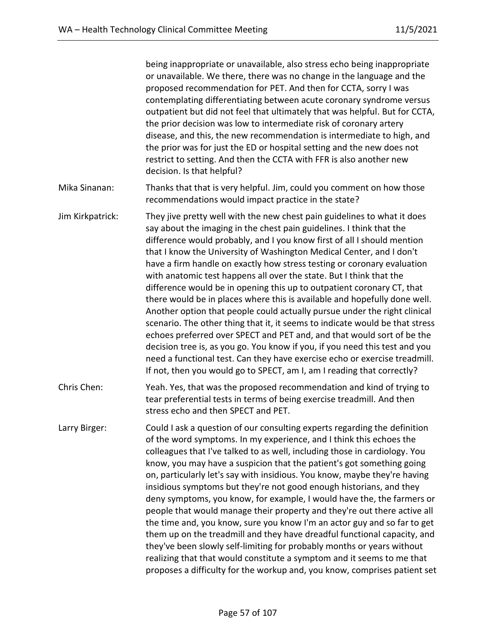being inappropriate or unavailable, also stress echo being inappropriate or unavailable. We there, there was no change in the language and the proposed recommendation for PET. And then for CCTA, sorry I was contemplating differentiating between acute coronary syndrome versus outpatient but did not feel that ultimately that was helpful. But for CCTA, the prior decision was low to intermediate risk of coronary artery disease, and this, the new recommendation is intermediate to high, and the prior was for just the ED or hospital setting and the new does not restrict to setting. And then the CCTA with FFR is also another new decision. Is that helpful?

- Mika Sinanan: Thanks that that is very helpful. Jim, could you comment on how those recommendations would impact practice in the state?
- Jim Kirkpatrick: They jive pretty well with the new chest pain guidelines to what it does say about the imaging in the chest pain guidelines. I think that the difference would probably, and I you know first of all I should mention that I know the University of Washington Medical Center, and I don't have a firm handle on exactly how stress testing or coronary evaluation with anatomic test happens all over the state. But I think that the difference would be in opening this up to outpatient coronary CT, that there would be in places where this is available and hopefully done well. Another option that people could actually pursue under the right clinical scenario. The other thing that it, it seems to indicate would be that stress echoes preferred over SPECT and PET and, and that would sort of be the decision tree is, as you go. You know if you, if you need this test and you need a functional test. Can they have exercise echo or exercise treadmill. If not, then you would go to SPECT, am I, am I reading that correctly?
- Chris Chen: Yeah. Yes, that was the proposed recommendation and kind of trying to tear preferential tests in terms of being exercise treadmill. And then stress echo and then SPECT and PET.
- Larry Birger: Could I ask a question of our consulting experts regarding the definition of the word symptoms. In my experience, and I think this echoes the colleagues that I've talked to as well, including those in cardiology. You know, you may have a suspicion that the patient's got something going on, particularly let's say with insidious. You know, maybe they're having insidious symptoms but they're not good enough historians, and they deny symptoms, you know, for example, I would have the, the farmers or people that would manage their property and they're out there active all the time and, you know, sure you know I'm an actor guy and so far to get them up on the treadmill and they have dreadful functional capacity, and they've been slowly self-limiting for probably months or years without realizing that that would constitute a symptom and it seems to me that proposes a difficulty for the workup and, you know, comprises patient set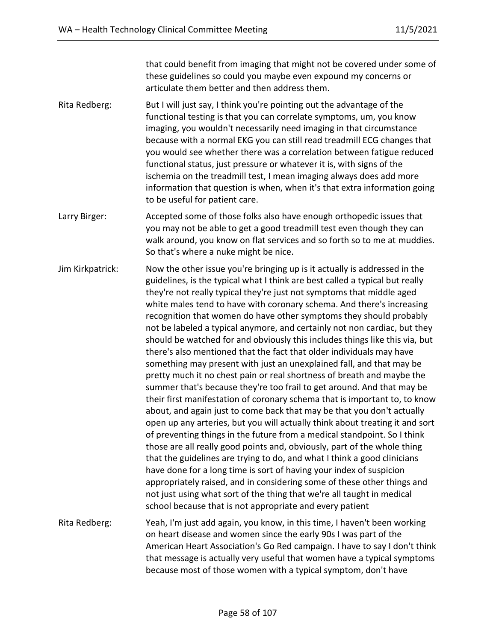that could benefit from imaging that might not be covered under some of these guidelines so could you maybe even expound my concerns or articulate them better and then address them.

- Rita Redberg: But I will just say, I think you're pointing out the advantage of the functional testing is that you can correlate symptoms, um, you know imaging, you wouldn't necessarily need imaging in that circumstance because with a normal EKG you can still read treadmill ECG changes that you would see whether there was a correlation between fatigue reduced functional status, just pressure or whatever it is, with signs of the ischemia on the treadmill test, I mean imaging always does add more information that question is when, when it's that extra information going to be useful for patient care.
- Larry Birger: Accepted some of those folks also have enough orthopedic issues that you may not be able to get a good treadmill test even though they can walk around, you know on flat services and so forth so to me at muddies. So that's where a nuke might be nice.
- Jim Kirkpatrick: Now the other issue you're bringing up is it actually is addressed in the guidelines, is the typical what I think are best called a typical but really they're not really typical they're just not symptoms that middle aged white males tend to have with coronary schema. And there's increasing recognition that women do have other symptoms they should probably not be labeled a typical anymore, and certainly not non cardiac, but they should be watched for and obviously this includes things like this via, but there's also mentioned that the fact that older individuals may have something may present with just an unexplained fall, and that may be pretty much it no chest pain or real shortness of breath and maybe the summer that's because they're too frail to get around. And that may be their first manifestation of coronary schema that is important to, to know about, and again just to come back that may be that you don't actually open up any arteries, but you will actually think about treating it and sort of preventing things in the future from a medical standpoint. So I think those are all really good points and, obviously, part of the whole thing that the guidelines are trying to do, and what I think a good clinicians have done for a long time is sort of having your index of suspicion appropriately raised, and in considering some of these other things and not just using what sort of the thing that we're all taught in medical school because that is not appropriate and every patient
- Rita Redberg: Yeah, I'm just add again, you know, in this time, I haven't been working on heart disease and women since the early 90s I was part of the American Heart Association's Go Red campaign. I have to say I don't think that message is actually very useful that women have a typical symptoms because most of those women with a typical symptom, don't have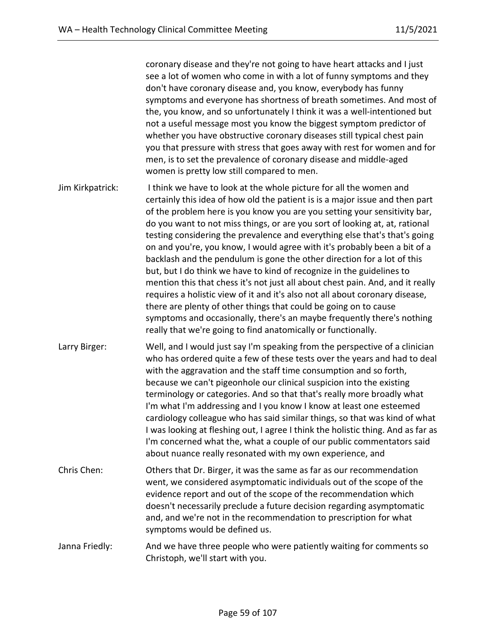coronary disease and they're not going to have heart attacks and I just see a lot of women who come in with a lot of funny symptoms and they don't have coronary disease and, you know, everybody has funny symptoms and everyone has shortness of breath sometimes. And most of the, you know, and so unfortunately I think it was a well-intentioned but not a useful message most you know the biggest symptom predictor of whether you have obstructive coronary diseases still typical chest pain you that pressure with stress that goes away with rest for women and for men, is to set the prevalence of coronary disease and middle-aged women is pretty low still compared to men.

Jim Kirkpatrick: I think we have to look at the whole picture for all the women and certainly this idea of how old the patient is is a major issue and then part of the problem here is you know you are you setting your sensitivity bar, do you want to not miss things, or are you sort of looking at, at, rational testing considering the prevalence and everything else that's that's going on and you're, you know, I would agree with it's probably been a bit of a backlash and the pendulum is gone the other direction for a lot of this but, but I do think we have to kind of recognize in the guidelines to mention this that chess it's not just all about chest pain. And, and it really requires a holistic view of it and it's also not all about coronary disease, there are plenty of other things that could be going on to cause symptoms and occasionally, there's an maybe frequently there's nothing really that we're going to find anatomically or functionally.

Larry Birger: Well, and I would just say I'm speaking from the perspective of a clinician who has ordered quite a few of these tests over the years and had to deal with the aggravation and the staff time consumption and so forth, because we can't pigeonhole our clinical suspicion into the existing terminology or categories. And so that that's really more broadly what I'm what I'm addressing and I you know I know at least one esteemed cardiology colleague who has said similar things, so that was kind of what I was looking at fleshing out, I agree I think the holistic thing. And as far as I'm concerned what the, what a couple of our public commentators said about nuance really resonated with my own experience, and

Chris Chen: Others that Dr. Birger, it was the same as far as our recommendation went, we considered asymptomatic individuals out of the scope of the evidence report and out of the scope of the recommendation which doesn't necessarily preclude a future decision regarding asymptomatic and, and we're not in the recommendation to prescription for what symptoms would be defined us.

Janna Friedly: And we have three people who were patiently waiting for comments so Christoph, we'll start with you.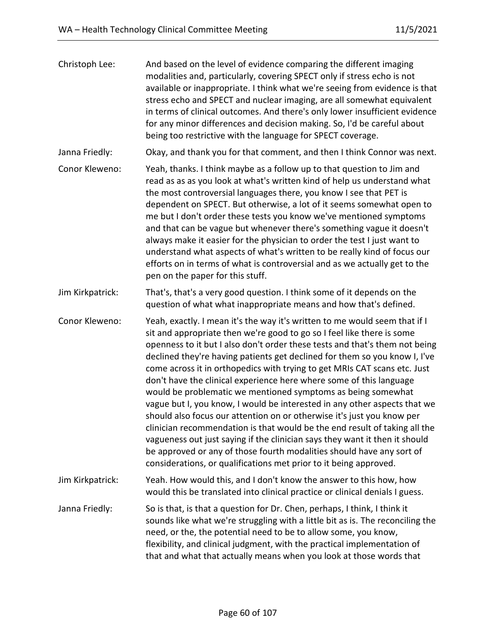| Christoph Lee:   | And based on the level of evidence comparing the different imaging<br>modalities and, particularly, covering SPECT only if stress echo is not<br>available or inappropriate. I think what we're seeing from evidence is that<br>stress echo and SPECT and nuclear imaging, are all somewhat equivalent<br>in terms of clinical outcomes. And there's only lower insufficient evidence<br>for any minor differences and decision making. So, I'd be careful about<br>being too restrictive with the language for SPECT coverage.                                                                                                                                                                                                                                                                                                                                                                                                                                                                         |
|------------------|---------------------------------------------------------------------------------------------------------------------------------------------------------------------------------------------------------------------------------------------------------------------------------------------------------------------------------------------------------------------------------------------------------------------------------------------------------------------------------------------------------------------------------------------------------------------------------------------------------------------------------------------------------------------------------------------------------------------------------------------------------------------------------------------------------------------------------------------------------------------------------------------------------------------------------------------------------------------------------------------------------|
| Janna Friedly:   | Okay, and thank you for that comment, and then I think Connor was next.                                                                                                                                                                                                                                                                                                                                                                                                                                                                                                                                                                                                                                                                                                                                                                                                                                                                                                                                 |
| Conor Kleweno:   | Yeah, thanks. I think maybe as a follow up to that question to Jim and<br>read as as as you look at what's written kind of help us understand what<br>the most controversial languages there, you know I see that PET is<br>dependent on SPECT. But otherwise, a lot of it seems somewhat open to<br>me but I don't order these tests you know we've mentioned symptoms<br>and that can be vague but whenever there's something vague it doesn't<br>always make it easier for the physician to order the test I just want to<br>understand what aspects of what's written to be really kind of focus our<br>efforts on in terms of what is controversial and as we actually get to the<br>pen on the paper for this stuff.                                                                                                                                                                                                                                                                              |
| Jim Kirkpatrick: | That's, that's a very good question. I think some of it depends on the<br>question of what what inappropriate means and how that's defined.                                                                                                                                                                                                                                                                                                                                                                                                                                                                                                                                                                                                                                                                                                                                                                                                                                                             |
| Conor Kleweno:   | Yeah, exactly. I mean it's the way it's written to me would seem that if I<br>sit and appropriate then we're good to go so I feel like there is some<br>openness to it but I also don't order these tests and that's them not being<br>declined they're having patients get declined for them so you know I, I've<br>come across it in orthopedics with trying to get MRIs CAT scans etc. Just<br>don't have the clinical experience here where some of this language<br>would be problematic we mentioned symptoms as being somewhat<br>vague but I, you know, I would be interested in any other aspects that we<br>should also focus our attention on or otherwise it's just you know per<br>clinician recommendation is that would be the end result of taking all the<br>vagueness out just saying if the clinician says they want it then it should<br>be approved or any of those fourth modalities should have any sort of<br>considerations, or qualifications met prior to it being approved. |
| Jim Kirkpatrick: | Yeah. How would this, and I don't know the answer to this how, how<br>would this be translated into clinical practice or clinical denials I guess.                                                                                                                                                                                                                                                                                                                                                                                                                                                                                                                                                                                                                                                                                                                                                                                                                                                      |
| Janna Friedly:   | So is that, is that a question for Dr. Chen, perhaps, I think, I think it<br>sounds like what we're struggling with a little bit as is. The reconciling the<br>need, or the, the potential need to be to allow some, you know,<br>flexibility, and clinical judgment, with the practical implementation of<br>that and what that actually means when you look at those words that                                                                                                                                                                                                                                                                                                                                                                                                                                                                                                                                                                                                                       |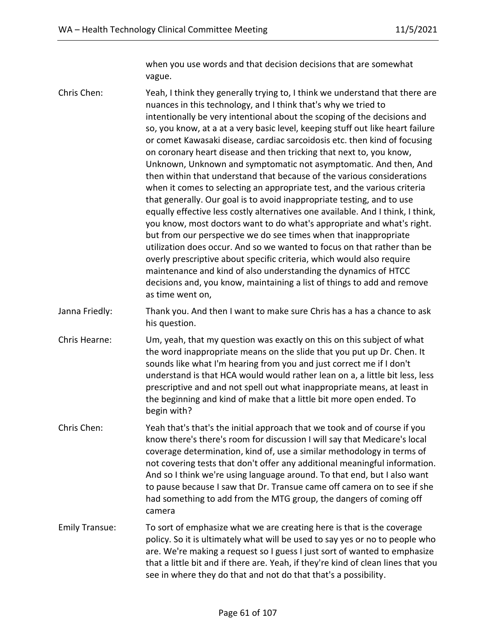when you use words and that decision decisions that are somewhat vague.

Chris Chen: Yeah, I think they generally trying to, I think we understand that there are nuances in this technology, and I think that's why we tried to intentionally be very intentional about the scoping of the decisions and so, you know, at a at a very basic level, keeping stuff out like heart failure or comet Kawasaki disease, cardiac sarcoidosis etc. then kind of focusing on coronary heart disease and then tricking that next to, you know, Unknown, Unknown and symptomatic not asymptomatic. And then, And then within that understand that because of the various considerations when it comes to selecting an appropriate test, and the various criteria that generally. Our goal is to avoid inappropriate testing, and to use equally effective less costly alternatives one available. And I think, I think, you know, most doctors want to do what's appropriate and what's right. but from our perspective we do see times when that inappropriate utilization does occur. And so we wanted to focus on that rather than be overly prescriptive about specific criteria, which would also require maintenance and kind of also understanding the dynamics of HTCC decisions and, you know, maintaining a list of things to add and remove as time went on, Janna Friedly: Thank you. And then I want to make sure Chris has a has a chance to ask his question. Chris Hearne: Um, yeah, that my question was exactly on this on this subject of what the word inappropriate means on the slide that you put up Dr. Chen. It sounds like what I'm hearing from you and just correct me if I don't understand is that HCA would would rather lean on a, a little bit less, less prescriptive and and not spell out what inappropriate means, at least in the beginning and kind of make that a little bit more open ended. To begin with? Chris Chen: Yeah that's that's the initial approach that we took and of course if you know there's there's room for discussion I will say that Medicare's local

coverage determination, kind of, use a similar methodology in terms of not covering tests that don't offer any additional meaningful information. And so I think we're using language around. To that end, but I also want to pause because I saw that Dr. Transue came off camera on to see if she had something to add from the MTG group, the dangers of coming off camera

Emily Transue: To sort of emphasize what we are creating here is that is the coverage policy. So it is ultimately what will be used to say yes or no to people who are. We're making a request so I guess I just sort of wanted to emphasize that a little bit and if there are. Yeah, if they're kind of clean lines that you see in where they do that and not do that that's a possibility.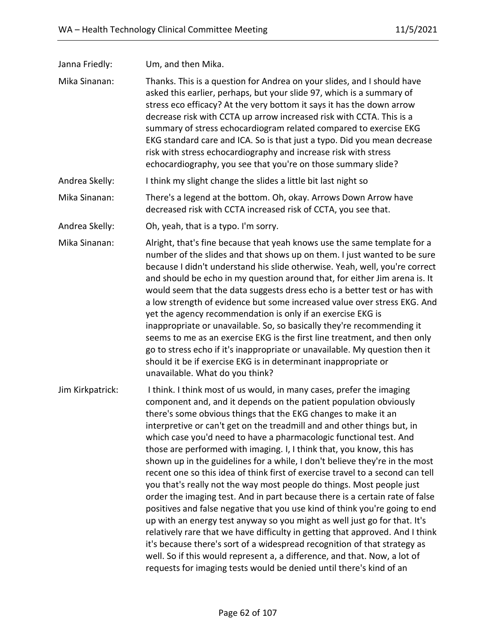Janna Friedly: Um, and then Mika.

Mika Sinanan: Thanks. This is a question for Andrea on your slides, and I should have asked this earlier, perhaps, but your slide 97, which is a summary of stress eco efficacy? At the very bottom it says it has the down arrow decrease risk with CCTA up arrow increased risk with CCTA. This is a summary of stress echocardiogram related compared to exercise EKG EKG standard care and ICA. So is that just a typo. Did you mean decrease risk with stress echocardiography and increase risk with stress echocardiography, you see that you're on those summary slide?

- Andrea Skelly: I think my slight change the slides a little bit last night so
- Mika Sinanan: There's a legend at the bottom. Oh, okay. Arrows Down Arrow have decreased risk with CCTA increased risk of CCTA, you see that.

Andrea Skelly: Oh, yeah, that is a typo. I'm sorry.

Mika Sinanan: Alright, that's fine because that yeah knows use the same template for a number of the slides and that shows up on them. I just wanted to be sure because I didn't understand his slide otherwise. Yeah, well, you're correct and should be echo in my question around that, for either Jim arena is. It would seem that the data suggests dress echo is a better test or has with a low strength of evidence but some increased value over stress EKG. And yet the agency recommendation is only if an exercise EKG is inappropriate or unavailable. So, so basically they're recommending it seems to me as an exercise EKG is the first line treatment, and then only go to stress echo if it's inappropriate or unavailable. My question then it should it be if exercise EKG is in determinant inappropriate or unavailable. What do you think?

Jim Kirkpatrick: I think. I think most of us would, in many cases, prefer the imaging component and, and it depends on the patient population obviously there's some obvious things that the EKG changes to make it an interpretive or can't get on the treadmill and and other things but, in which case you'd need to have a pharmacologic functional test. And those are performed with imaging. I, I think that, you know, this has shown up in the guidelines for a while, I don't believe they're in the most recent one so this idea of think first of exercise travel to a second can tell you that's really not the way most people do things. Most people just order the imaging test. And in part because there is a certain rate of false positives and false negative that you use kind of think you're going to end up with an energy test anyway so you might as well just go for that. It's relatively rare that we have difficulty in getting that approved. And I think it's because there's sort of a widespread recognition of that strategy as well. So if this would represent a, a difference, and that. Now, a lot of requests for imaging tests would be denied until there's kind of an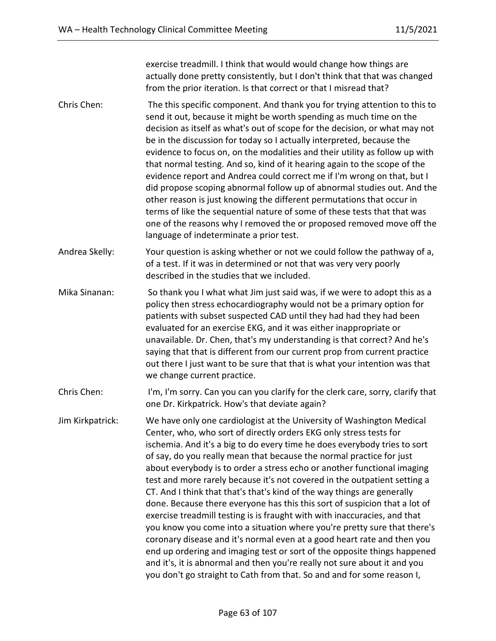exercise treadmill. I think that would would change how things are actually done pretty consistently, but I don't think that that was changed from the prior iteration. Is that correct or that I misread that?

- Chris Chen: The this specific component. And thank you for trying attention to this to send it out, because it might be worth spending as much time on the decision as itself as what's out of scope for the decision, or what may not be in the discussion for today so I actually interpreted, because the evidence to focus on, on the modalities and their utility as follow up with that normal testing. And so, kind of it hearing again to the scope of the evidence report and Andrea could correct me if I'm wrong on that, but I did propose scoping abnormal follow up of abnormal studies out. And the other reason is just knowing the different permutations that occur in terms of like the sequential nature of some of these tests that that was one of the reasons why I removed the or proposed removed move off the language of indeterminate a prior test.
- Andrea Skelly: Your question is asking whether or not we could follow the pathway of a, of a test. If it was in determined or not that was very very poorly described in the studies that we included.
- Mika Sinanan: So thank you I what what Jim just said was, if we were to adopt this as a policy then stress echocardiography would not be a primary option for patients with subset suspected CAD until they had had they had been evaluated for an exercise EKG, and it was either inappropriate or unavailable. Dr. Chen, that's my understanding is that correct? And he's saying that that is different from our current prop from current practice out there I just want to be sure that that is what your intention was that we change current practice.
- Chris Chen: I'm, I'm sorry. Can you can you clarify for the clerk care, sorry, clarify that one Dr. Kirkpatrick. How's that deviate again?
- Jim Kirkpatrick: We have only one cardiologist at the University of Washington Medical Center, who, who sort of directly orders EKG only stress tests for ischemia. And it's a big to do every time he does everybody tries to sort of say, do you really mean that because the normal practice for just about everybody is to order a stress echo or another functional imaging test and more rarely because it's not covered in the outpatient setting a CT. And I think that that's that's kind of the way things are generally done. Because there everyone has this this sort of suspicion that a lot of exercise treadmill testing is is fraught with with inaccuracies, and that you know you come into a situation where you're pretty sure that there's coronary disease and it's normal even at a good heart rate and then you end up ordering and imaging test or sort of the opposite things happened and it's, it is abnormal and then you're really not sure about it and you you don't go straight to Cath from that. So and and for some reason I,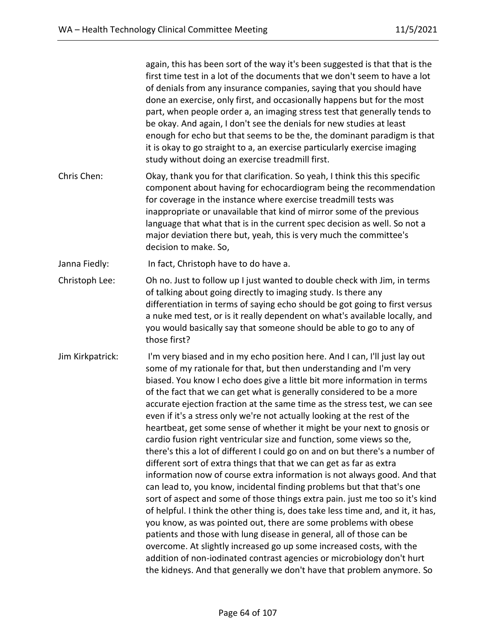|                  | again, this has been sort of the way it's been suggested is that that is the<br>first time test in a lot of the documents that we don't seem to have a lot<br>of denials from any insurance companies, saying that you should have<br>done an exercise, only first, and occasionally happens but for the most<br>part, when people order a, an imaging stress test that generally tends to<br>be okay. And again, I don't see the denials for new studies at least<br>enough for echo but that seems to be the, the dominant paradigm is that<br>it is okay to go straight to a, an exercise particularly exercise imaging<br>study without doing an exercise treadmill first.                                                                                                                                                                                                                                                                                                                                                                                                                                                                                                                                                                                                                                                                                                                                                                                               |
|------------------|------------------------------------------------------------------------------------------------------------------------------------------------------------------------------------------------------------------------------------------------------------------------------------------------------------------------------------------------------------------------------------------------------------------------------------------------------------------------------------------------------------------------------------------------------------------------------------------------------------------------------------------------------------------------------------------------------------------------------------------------------------------------------------------------------------------------------------------------------------------------------------------------------------------------------------------------------------------------------------------------------------------------------------------------------------------------------------------------------------------------------------------------------------------------------------------------------------------------------------------------------------------------------------------------------------------------------------------------------------------------------------------------------------------------------------------------------------------------------|
| Chris Chen:      | Okay, thank you for that clarification. So yeah, I think this this specific<br>component about having for echocardiogram being the recommendation<br>for coverage in the instance where exercise treadmill tests was<br>inappropriate or unavailable that kind of mirror some of the previous<br>language that what that is in the current spec decision as well. So not a<br>major deviation there but, yeah, this is very much the committee's<br>decision to make. So,                                                                                                                                                                                                                                                                                                                                                                                                                                                                                                                                                                                                                                                                                                                                                                                                                                                                                                                                                                                                    |
| Janna Fiedly:    | In fact, Christoph have to do have a.                                                                                                                                                                                                                                                                                                                                                                                                                                                                                                                                                                                                                                                                                                                                                                                                                                                                                                                                                                                                                                                                                                                                                                                                                                                                                                                                                                                                                                        |
| Christoph Lee:   | Oh no. Just to follow up I just wanted to double check with Jim, in terms<br>of talking about going directly to imaging study. Is there any<br>differentiation in terms of saying echo should be got going to first versus<br>a nuke med test, or is it really dependent on what's available locally, and<br>you would basically say that someone should be able to go to any of<br>those first?                                                                                                                                                                                                                                                                                                                                                                                                                                                                                                                                                                                                                                                                                                                                                                                                                                                                                                                                                                                                                                                                             |
| Jim Kirkpatrick: | I'm very biased and in my echo position here. And I can, I'll just lay out<br>some of my rationale for that, but then understanding and I'm very<br>biased. You know I echo does give a little bit more information in terms<br>of the fact that we can get what is generally considered to be a more<br>accurate ejection fraction at the same time as the stress test, we can see<br>even if it's a stress only we're not actually looking at the rest of the<br>heartbeat, get some sense of whether it might be your next to gnosis or<br>cardio fusion right ventricular size and function, some views so the,<br>there's this a lot of different I could go on and on but there's a number of<br>different sort of extra things that that we can get as far as extra<br>information now of course extra information is not always good. And that<br>can lead to, you know, incidental finding problems but that that's one<br>sort of aspect and some of those things extra pain. just me too so it's kind<br>of helpful. I think the other thing is, does take less time and, and it, it has,<br>you know, as was pointed out, there are some problems with obese<br>patients and those with lung disease in general, all of those can be<br>overcome. At slightly increased go up some increased costs, with the<br>addition of non-iodinated contrast agencies or microbiology don't hurt<br>the kidneys. And that generally we don't have that problem anymore. So |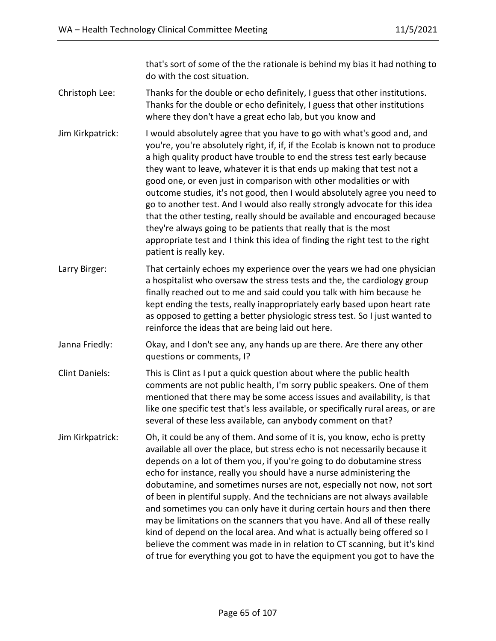that's sort of some of the the rationale is behind my bias it had nothing to do with the cost situation.

- Christoph Lee: Thanks for the double or echo definitely, I guess that other institutions. Thanks for the double or echo definitely, I guess that other institutions where they don't have a great echo lab, but you know and
- Jim Kirkpatrick: I would absolutely agree that you have to go with what's good and, and you're, you're absolutely right, if, if, if the Ecolab is known not to produce a high quality product have trouble to end the stress test early because they want to leave, whatever it is that ends up making that test not a good one, or even just in comparison with other modalities or with outcome studies, it's not good, then I would absolutely agree you need to go to another test. And I would also really strongly advocate for this idea that the other testing, really should be available and encouraged because they're always going to be patients that really that is the most appropriate test and I think this idea of finding the right test to the right patient is really key.
- Larry Birger: That certainly echoes my experience over the years we had one physician a hospitalist who oversaw the stress tests and the, the cardiology group finally reached out to me and said could you talk with him because he kept ending the tests, really inappropriately early based upon heart rate as opposed to getting a better physiologic stress test. So I just wanted to reinforce the ideas that are being laid out here.
- Janna Friedly: Okay, and I don't see any, any hands up are there. Are there any other questions or comments, I?
- Clint Daniels: This is Clint as I put a quick question about where the public health comments are not public health, I'm sorry public speakers. One of them mentioned that there may be some access issues and availability, is that like one specific test that's less available, or specifically rural areas, or are several of these less available, can anybody comment on that?
- Jim Kirkpatrick: Oh, it could be any of them. And some of it is, you know, echo is pretty available all over the place, but stress echo is not necessarily because it depends on a lot of them you, if you're going to do dobutamine stress echo for instance, really you should have a nurse administering the dobutamine, and sometimes nurses are not, especially not now, not sort of been in plentiful supply. And the technicians are not always available and sometimes you can only have it during certain hours and then there may be limitations on the scanners that you have. And all of these really kind of depend on the local area. And what is actually being offered so I believe the comment was made in in relation to CT scanning, but it's kind of true for everything you got to have the equipment you got to have the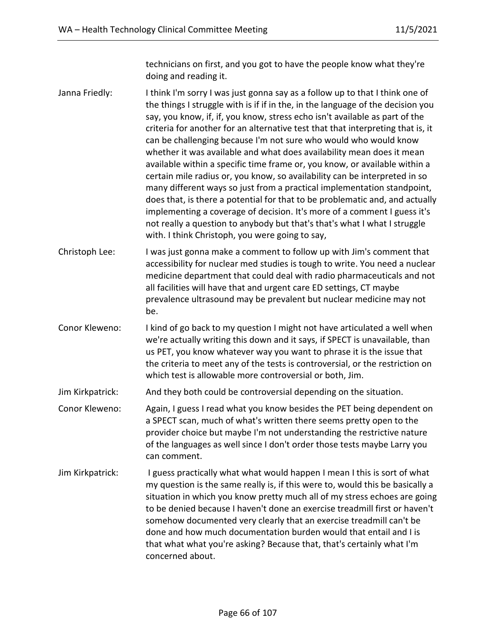technicians on first, and you got to have the people know what they're doing and reading it.

Janna Friedly: I think I'm sorry I was just gonna say as a follow up to that I think one of the things I struggle with is if if in the, in the language of the decision you say, you know, if, if, you know, stress echo isn't available as part of the criteria for another for an alternative test that that interpreting that is, it can be challenging because I'm not sure who would who would know whether it was available and what does availability mean does it mean available within a specific time frame or, you know, or available within a certain mile radius or, you know, so availability can be interpreted in so many different ways so just from a practical implementation standpoint, does that, is there a potential for that to be problematic and, and actually implementing a coverage of decision. It's more of a comment I guess it's not really a question to anybody but that's that's what I what I struggle with. I think Christoph, you were going to say,

Christoph Lee: I was just gonna make a comment to follow up with Jim's comment that accessibility for nuclear med studies is tough to write. You need a nuclear medicine department that could deal with radio pharmaceuticals and not all facilities will have that and urgent care ED settings, CT maybe prevalence ultrasound may be prevalent but nuclear medicine may not be.

Conor Kleweno: I kind of go back to my question I might not have articulated a well when we're actually writing this down and it says, if SPECT is unavailable, than us PET, you know whatever way you want to phrase it is the issue that the criteria to meet any of the tests is controversial, or the restriction on which test is allowable more controversial or both, Jim.

Jim Kirkpatrick: And they both could be controversial depending on the situation.

- Conor Kleweno: Again, I guess I read what you know besides the PET being dependent on a SPECT scan, much of what's written there seems pretty open to the provider choice but maybe I'm not understanding the restrictive nature of the languages as well since I don't order those tests maybe Larry you can comment.
- Jim Kirkpatrick: I guess practically what what would happen I mean I this is sort of what my question is the same really is, if this were to, would this be basically a situation in which you know pretty much all of my stress echoes are going to be denied because I haven't done an exercise treadmill first or haven't somehow documented very clearly that an exercise treadmill can't be done and how much documentation burden would that entail and I is that what what you're asking? Because that, that's certainly what I'm concerned about.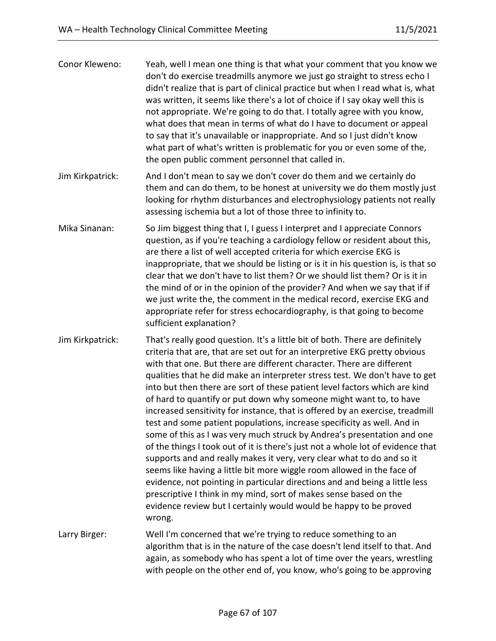| Conor Kleweno:   | Yeah, well I mean one thing is that what your comment that you know we<br>don't do exercise treadmills anymore we just go straight to stress echo I<br>didn't realize that is part of clinical practice but when I read what is, what<br>was written, it seems like there's a lot of choice if I say okay well this is<br>not appropriate. We're going to do that. I totally agree with you know,<br>what does that mean in terms of what do I have to document or appeal<br>to say that it's unavailable or inappropriate. And so I just didn't know<br>what part of what's written is problematic for you or even some of the,<br>the open public comment personnel that called in.                                                                                                                                                                                                                                                                                                                                                                                                                                                                                                   |
|------------------|-----------------------------------------------------------------------------------------------------------------------------------------------------------------------------------------------------------------------------------------------------------------------------------------------------------------------------------------------------------------------------------------------------------------------------------------------------------------------------------------------------------------------------------------------------------------------------------------------------------------------------------------------------------------------------------------------------------------------------------------------------------------------------------------------------------------------------------------------------------------------------------------------------------------------------------------------------------------------------------------------------------------------------------------------------------------------------------------------------------------------------------------------------------------------------------------|
| Jim Kirkpatrick: | And I don't mean to say we don't cover do them and we certainly do<br>them and can do them, to be honest at university we do them mostly just<br>looking for rhythm disturbances and electrophysiology patients not really<br>assessing ischemia but a lot of those three to infinity to.                                                                                                                                                                                                                                                                                                                                                                                                                                                                                                                                                                                                                                                                                                                                                                                                                                                                                               |
| Mika Sinanan:    | So Jim biggest thing that I, I guess I interpret and I appreciate Connors<br>question, as if you're teaching a cardiology fellow or resident about this,<br>are there a list of well accepted criteria for which exercise EKG is<br>inappropriate, that we should be listing or is it in his question is, is that so<br>clear that we don't have to list them? Or we should list them? Or is it in<br>the mind of or in the opinion of the provider? And when we say that if if<br>we just write the, the comment in the medical record, exercise EKG and<br>appropriate refer for stress echocardiography, is that going to become<br>sufficient explanation?                                                                                                                                                                                                                                                                                                                                                                                                                                                                                                                          |
| Jim Kirkpatrick: | That's really good question. It's a little bit of both. There are definitely<br>criteria that are, that are set out for an interpretive EKG pretty obvious<br>with that one. But there are different character. There are different<br>qualities that he did make an interpreter stress test. We don't have to get<br>into but then there are sort of these patient level factors which are kind<br>of hard to quantify or put down why someone might want to, to have<br>increased sensitivity for instance, that is offered by an exercise, treadmill<br>test and some patient populations, increase specificity as well. And in<br>some of this as I was very much struck by Andrea's presentation and one<br>of the things I took out of it is there's just not a whole lot of evidence that<br>supports and and really makes it very, very clear what to do and so it<br>seems like having a little bit more wiggle room allowed in the face of<br>evidence, not pointing in particular directions and and being a little less<br>prescriptive I think in my mind, sort of makes sense based on the<br>evidence review but I certainly would would be happy to be proved<br>wrong. |
| Larry Birger:    | Well I'm concerned that we're trying to reduce something to an<br>algorithm that is in the nature of the case doesn't lend itself to that. And<br>again, as somebody who has spent a lot of time over the years, wrestling<br>with people on the other end of, you know, who's going to be approving                                                                                                                                                                                                                                                                                                                                                                                                                                                                                                                                                                                                                                                                                                                                                                                                                                                                                    |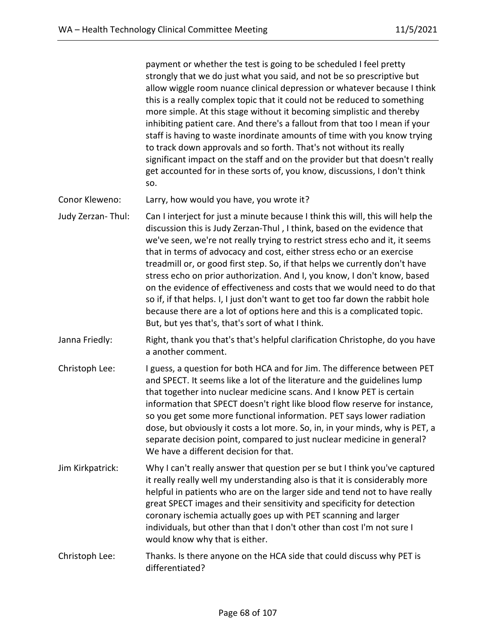payment or whether the test is going to be scheduled I feel pretty strongly that we do just what you said, and not be so prescriptive but allow wiggle room nuance clinical depression or whatever because I think this is a really complex topic that it could not be reduced to something more simple. At this stage without it becoming simplistic and thereby inhibiting patient care. And there's a fallout from that too I mean if your staff is having to waste inordinate amounts of time with you know trying to track down approvals and so forth. That's not without its really significant impact on the staff and on the provider but that doesn't really get accounted for in these sorts of, you know, discussions, I don't think so.

Conor Kleweno: Larry, how would you have, you wrote it?

Judy Zerzan- Thul: Can I interject for just a minute because I think this will, this will help the discussion this is Judy Zerzan-Thul , I think, based on the evidence that we've seen, we're not really trying to restrict stress echo and it, it seems that in terms of advocacy and cost, either stress echo or an exercise treadmill or, or good first step. So, if that helps we currently don't have stress echo on prior authorization. And I, you know, I don't know, based on the evidence of effectiveness and costs that we would need to do that so if, if that helps. I, I just don't want to get too far down the rabbit hole because there are a lot of options here and this is a complicated topic. But, but yes that's, that's sort of what I think.

- Janna Friedly: Right, thank you that's that's helpful clarification Christophe, do you have a another comment.
- Christoph Lee: I guess, a question for both HCA and for Jim. The difference between PET and SPECT. It seems like a lot of the literature and the guidelines lump that together into nuclear medicine scans. And I know PET is certain information that SPECT doesn't right like blood flow reserve for instance, so you get some more functional information. PET says lower radiation dose, but obviously it costs a lot more. So, in, in your minds, why is PET, a separate decision point, compared to just nuclear medicine in general? We have a different decision for that.
- Jim Kirkpatrick: Why I can't really answer that question per se but I think you've captured it really really well my understanding also is that it is considerably more helpful in patients who are on the larger side and tend not to have really great SPECT images and their sensitivity and specificity for detection coronary ischemia actually goes up with PET scanning and larger individuals, but other than that I don't other than cost I'm not sure I would know why that is either.
- Christoph Lee: Thanks. Is there anyone on the HCA side that could discuss why PET is differentiated?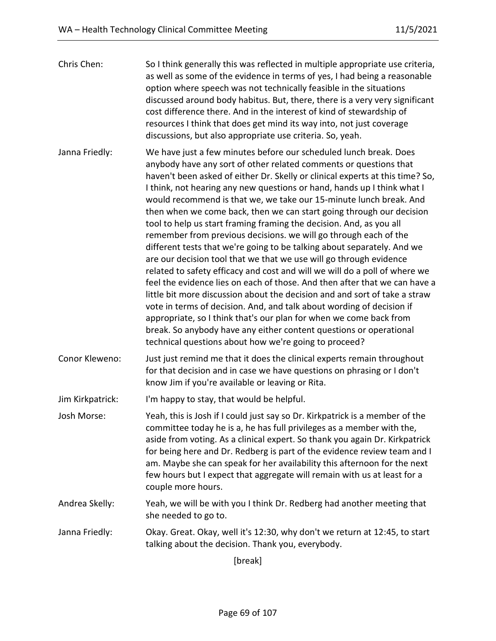| Chris Chen:      | So I think generally this was reflected in multiple appropriate use criteria,<br>as well as some of the evidence in terms of yes, I had being a reasonable<br>option where speech was not technically feasible in the situations<br>discussed around body habitus. But, there, there is a very very significant<br>cost difference there. And in the interest of kind of stewardship of<br>resources I think that does get mind its way into, not just coverage<br>discussions, but also appropriate use criteria. So, yeah.                                                                                                                                                                                                                                                                                                                                                                                                                                                                                                                                                                                                                                                                                                                                         |
|------------------|----------------------------------------------------------------------------------------------------------------------------------------------------------------------------------------------------------------------------------------------------------------------------------------------------------------------------------------------------------------------------------------------------------------------------------------------------------------------------------------------------------------------------------------------------------------------------------------------------------------------------------------------------------------------------------------------------------------------------------------------------------------------------------------------------------------------------------------------------------------------------------------------------------------------------------------------------------------------------------------------------------------------------------------------------------------------------------------------------------------------------------------------------------------------------------------------------------------------------------------------------------------------|
| Janna Friedly:   | We have just a few minutes before our scheduled lunch break. Does<br>anybody have any sort of other related comments or questions that<br>haven't been asked of either Dr. Skelly or clinical experts at this time? So,<br>I think, not hearing any new questions or hand, hands up I think what I<br>would recommend is that we, we take our 15-minute lunch break. And<br>then when we come back, then we can start going through our decision<br>tool to help us start framing framing the decision. And, as you all<br>remember from previous decisions. we will go through each of the<br>different tests that we're going to be talking about separately. And we<br>are our decision tool that we that we use will go through evidence<br>related to safety efficacy and cost and will we will do a poll of where we<br>feel the evidence lies on each of those. And then after that we can have a<br>little bit more discussion about the decision and and sort of take a straw<br>vote in terms of decision. And, and talk about wording of decision if<br>appropriate, so I think that's our plan for when we come back from<br>break. So anybody have any either content questions or operational<br>technical questions about how we're going to proceed? |
| Conor Kleweno:   | Just just remind me that it does the clinical experts remain throughout<br>for that decision and in case we have questions on phrasing or I don't<br>know Jim if you're available or leaving or Rita.                                                                                                                                                                                                                                                                                                                                                                                                                                                                                                                                                                                                                                                                                                                                                                                                                                                                                                                                                                                                                                                                |
| Jim Kirkpatrick: | I'm happy to stay, that would be helpful.                                                                                                                                                                                                                                                                                                                                                                                                                                                                                                                                                                                                                                                                                                                                                                                                                                                                                                                                                                                                                                                                                                                                                                                                                            |
| Josh Morse:      | Yeah, this is Josh if I could just say so Dr. Kirkpatrick is a member of the<br>committee today he is a, he has full privileges as a member with the,<br>aside from voting. As a clinical expert. So thank you again Dr. Kirkpatrick<br>for being here and Dr. Redberg is part of the evidence review team and I<br>am. Maybe she can speak for her availability this afternoon for the next<br>few hours but I expect that aggregate will remain with us at least for a<br>couple more hours.                                                                                                                                                                                                                                                                                                                                                                                                                                                                                                                                                                                                                                                                                                                                                                       |
| Andrea Skelly:   | Yeah, we will be with you I think Dr. Redberg had another meeting that<br>she needed to go to.                                                                                                                                                                                                                                                                                                                                                                                                                                                                                                                                                                                                                                                                                                                                                                                                                                                                                                                                                                                                                                                                                                                                                                       |
| Janna Friedly:   | Okay. Great. Okay, well it's 12:30, why don't we return at 12:45, to start<br>talking about the decision. Thank you, everybody.                                                                                                                                                                                                                                                                                                                                                                                                                                                                                                                                                                                                                                                                                                                                                                                                                                                                                                                                                                                                                                                                                                                                      |

[break]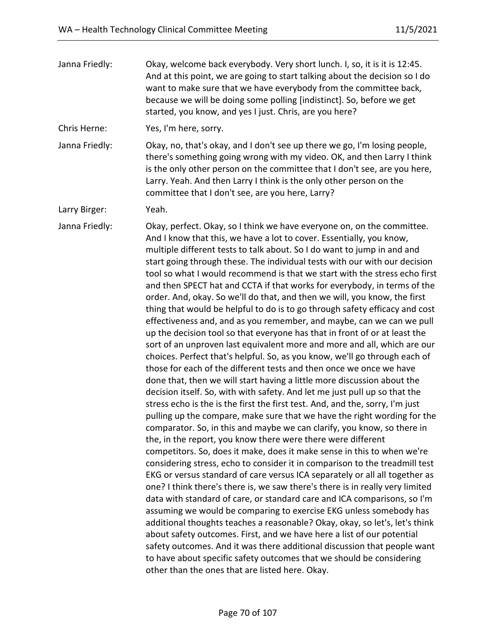| Janna Friedly: | Okay, welcome back everybody. Very short lunch. I, so, it is it is 12:45.<br>And at this point, we are going to start talking about the decision so I do<br>want to make sure that we have everybody from the committee back,<br>because we will be doing some polling [indistinct]. So, before we get<br>started, you know, and yes I just. Chris, are you here?                                                                                                                                                                                                                                                                                                                                                                                                                                                                                                                                                                                                                                                                                                                                                                                                                                                                                                                                                                                                                                                                                                                                                                                                                                                                                                                                                                                                                                                                                                                                                                                                                                                                                                                                                                                                                                                                                                                                                                  |
|----------------|------------------------------------------------------------------------------------------------------------------------------------------------------------------------------------------------------------------------------------------------------------------------------------------------------------------------------------------------------------------------------------------------------------------------------------------------------------------------------------------------------------------------------------------------------------------------------------------------------------------------------------------------------------------------------------------------------------------------------------------------------------------------------------------------------------------------------------------------------------------------------------------------------------------------------------------------------------------------------------------------------------------------------------------------------------------------------------------------------------------------------------------------------------------------------------------------------------------------------------------------------------------------------------------------------------------------------------------------------------------------------------------------------------------------------------------------------------------------------------------------------------------------------------------------------------------------------------------------------------------------------------------------------------------------------------------------------------------------------------------------------------------------------------------------------------------------------------------------------------------------------------------------------------------------------------------------------------------------------------------------------------------------------------------------------------------------------------------------------------------------------------------------------------------------------------------------------------------------------------------------------------------------------------------------------------------------------------|
| Chris Herne:   | Yes, I'm here, sorry.                                                                                                                                                                                                                                                                                                                                                                                                                                                                                                                                                                                                                                                                                                                                                                                                                                                                                                                                                                                                                                                                                                                                                                                                                                                                                                                                                                                                                                                                                                                                                                                                                                                                                                                                                                                                                                                                                                                                                                                                                                                                                                                                                                                                                                                                                                              |
| Janna Friedly: | Okay, no, that's okay, and I don't see up there we go, I'm losing people,<br>there's something going wrong with my video. OK, and then Larry I think<br>is the only other person on the committee that I don't see, are you here,<br>Larry. Yeah. And then Larry I think is the only other person on the<br>committee that I don't see, are you here, Larry?                                                                                                                                                                                                                                                                                                                                                                                                                                                                                                                                                                                                                                                                                                                                                                                                                                                                                                                                                                                                                                                                                                                                                                                                                                                                                                                                                                                                                                                                                                                                                                                                                                                                                                                                                                                                                                                                                                                                                                       |
| Larry Birger:  | Yeah.                                                                                                                                                                                                                                                                                                                                                                                                                                                                                                                                                                                                                                                                                                                                                                                                                                                                                                                                                                                                                                                                                                                                                                                                                                                                                                                                                                                                                                                                                                                                                                                                                                                                                                                                                                                                                                                                                                                                                                                                                                                                                                                                                                                                                                                                                                                              |
| Janna Friedly: | Okay, perfect. Okay, so I think we have everyone on, on the committee.<br>And I know that this, we have a lot to cover. Essentially, you know,<br>multiple different tests to talk about. So I do want to jump in and and<br>start going through these. The individual tests with our with our decision<br>tool so what I would recommend is that we start with the stress echo first<br>and then SPECT hat and CCTA if that works for everybody, in terms of the<br>order. And, okay. So we'll do that, and then we will, you know, the first<br>thing that would be helpful to do is to go through safety efficacy and cost<br>effectiveness and, and as you remember, and maybe, can we can we pull<br>up the decision tool so that everyone has that in front of or at least the<br>sort of an unproven last equivalent more and more and all, which are our<br>choices. Perfect that's helpful. So, as you know, we'll go through each of<br>those for each of the different tests and then once we once we have<br>done that, then we will start having a little more discussion about the<br>decision itself. So, with with safety. And let me just pull up so that the<br>stress echo is the is the first the first test. And, and the, sorry, I'm just<br>pulling up the compare, make sure that we have the right wording for the<br>comparator. So, in this and maybe we can clarify, you know, so there in<br>the, in the report, you know there were there were different<br>competitors. So, does it make, does it make sense in this to when we're<br>considering stress, echo to consider it in comparison to the treadmill test<br>EKG or versus standard of care versus ICA separately or all all together as<br>one? I think there's there is, we saw there's there is in really very limited<br>data with standard of care, or standard care and ICA comparisons, so I'm<br>assuming we would be comparing to exercise EKG unless somebody has<br>additional thoughts teaches a reasonable? Okay, okay, so let's, let's think<br>about safety outcomes. First, and we have here a list of our potential<br>safety outcomes. And it was there additional discussion that people want<br>to have about specific safety outcomes that we should be considering<br>other than the ones that are listed here. Okay. |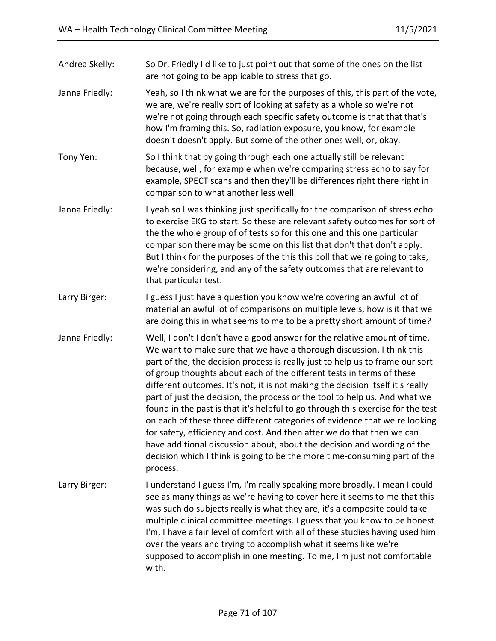| Andrea Skelly: | So Dr. Friedly I'd like to just point out that some of the ones on the list<br>are not going to be applicable to stress that go.                                                                                                                                                                                                                                                                                                                                                                                                                                                                                                                                                                                                                                                                                                                                                            |
|----------------|---------------------------------------------------------------------------------------------------------------------------------------------------------------------------------------------------------------------------------------------------------------------------------------------------------------------------------------------------------------------------------------------------------------------------------------------------------------------------------------------------------------------------------------------------------------------------------------------------------------------------------------------------------------------------------------------------------------------------------------------------------------------------------------------------------------------------------------------------------------------------------------------|
| Janna Friedly: | Yeah, so I think what we are for the purposes of this, this part of the vote,<br>we are, we're really sort of looking at safety as a whole so we're not<br>we're not going through each specific safety outcome is that that that's<br>how I'm framing this. So, radiation exposure, you know, for example<br>doesn't doesn't apply. But some of the other ones well, or, okay.                                                                                                                                                                                                                                                                                                                                                                                                                                                                                                             |
| Tony Yen:      | So I think that by going through each one actually still be relevant<br>because, well, for example when we're comparing stress echo to say for<br>example, SPECT scans and then they'll be differences right there right in<br>comparison to what another less well                                                                                                                                                                                                                                                                                                                                                                                                                                                                                                                                                                                                                         |
| Janna Friedly: | I yeah so I was thinking just specifically for the comparison of stress echo<br>to exercise EKG to start. So these are relevant safety outcomes for sort of<br>the the whole group of of tests so for this one and this one particular<br>comparison there may be some on this list that don't that don't apply.<br>But I think for the purposes of the this this poll that we're going to take,<br>we're considering, and any of the safety outcomes that are relevant to<br>that particular test.                                                                                                                                                                                                                                                                                                                                                                                         |
| Larry Birger:  | I guess I just have a question you know we're covering an awful lot of<br>material an awful lot of comparisons on multiple levels, how is it that we<br>are doing this in what seems to me to be a pretty short amount of time?                                                                                                                                                                                                                                                                                                                                                                                                                                                                                                                                                                                                                                                             |
| Janna Friedly: | Well, I don't I don't have a good answer for the relative amount of time.<br>We want to make sure that we have a thorough discussion. I think this<br>part of the, the decision process is really just to help us to frame our sort<br>of group thoughts about each of the different tests in terms of these<br>different outcomes. It's not, it is not making the decision itself it's really<br>part of just the decision, the process or the tool to help us. And what we<br>found in the past is that it's helpful to go through this exercise for the test<br>on each of these three different categories of evidence that we're looking<br>for safety, efficiency and cost. And then after we do that then we can<br>have additional discussion about, about the decision and wording of the<br>decision which I think is going to be the more time-consuming part of the<br>process. |
| Larry Birger:  | I understand I guess I'm, I'm really speaking more broadly. I mean I could<br>see as many things as we're having to cover here it seems to me that this<br>was such do subjects really is what they are, it's a composite could take<br>multiple clinical committee meetings. I guess that you know to be honest<br>I'm, I have a fair level of comfort with all of these studies having used him<br>over the years and trying to accomplish what it seems like we're<br>supposed to accomplish in one meeting. To me, I'm just not comfortable<br>with.                                                                                                                                                                                                                                                                                                                                    |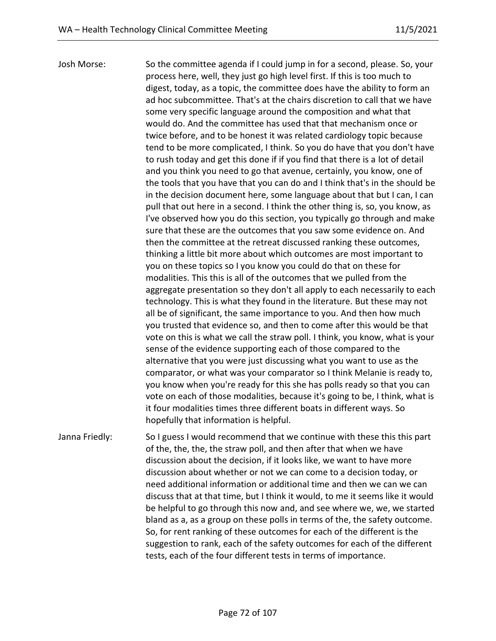Josh Morse: So the committee agenda if I could jump in for a second, please. So, your process here, well, they just go high level first. If this is too much to digest, today, as a topic, the committee does have the ability to form an ad hoc subcommittee. That's at the chairs discretion to call that we have some very specific language around the composition and what that would do. And the committee has used that that mechanism once or twice before, and to be honest it was related cardiology topic because tend to be more complicated, I think. So you do have that you don't have to rush today and get this done if if you find that there is a lot of detail and you think you need to go that avenue, certainly, you know, one of the tools that you have that you can do and I think that's in the should be in the decision document here, some language about that but I can, I can pull that out here in a second. I think the other thing is, so, you know, as I've observed how you do this section, you typically go through and make sure that these are the outcomes that you saw some evidence on. And then the committee at the retreat discussed ranking these outcomes, thinking a little bit more about which outcomes are most important to you on these topics so I you know you could do that on these for modalities. This this is all of the outcomes that we pulled from the aggregate presentation so they don't all apply to each necessarily to each technology. This is what they found in the literature. But these may not all be of significant, the same importance to you. And then how much you trusted that evidence so, and then to come after this would be that vote on this is what we call the straw poll. I think, you know, what is your sense of the evidence supporting each of those compared to the alternative that you were just discussing what you want to use as the comparator, or what was your comparator so I think Melanie is ready to, you know when you're ready for this she has polls ready so that you can vote on each of those modalities, because it's going to be, I think, what is it four modalities times three different boats in different ways. So hopefully that information is helpful.

Janna Friedly: So I guess I would recommend that we continue with these this this part of the, the, the, the straw poll, and then after that when we have discussion about the decision, if it looks like, we want to have more discussion about whether or not we can come to a decision today, or need additional information or additional time and then we can we can discuss that at that time, but I think it would, to me it seems like it would be helpful to go through this now and, and see where we, we, we started bland as a, as a group on these polls in terms of the, the safety outcome. So, for rent ranking of these outcomes for each of the different is the suggestion to rank, each of the safety outcomes for each of the different tests, each of the four different tests in terms of importance.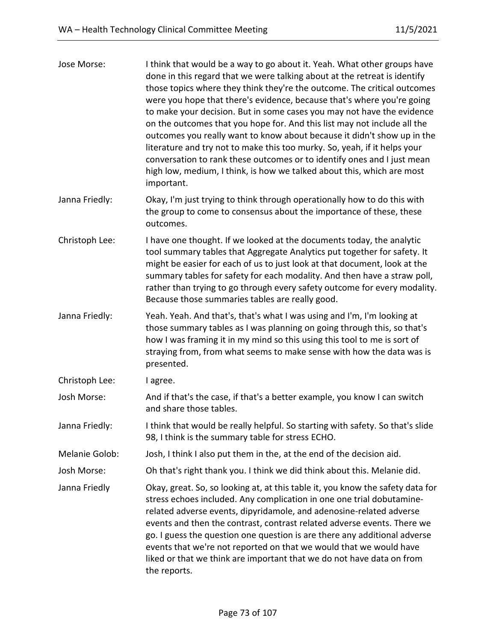| Jose Morse:    | I think that would be a way to go about it. Yeah. What other groups have<br>done in this regard that we were talking about at the retreat is identify<br>those topics where they think they're the outcome. The critical outcomes<br>were you hope that there's evidence, because that's where you're going<br>to make your decision. But in some cases you may not have the evidence<br>on the outcomes that you hope for. And this list may not include all the<br>outcomes you really want to know about because it didn't show up in the<br>literature and try not to make this too murky. So, yeah, if it helps your<br>conversation to rank these outcomes or to identify ones and I just mean<br>high low, medium, I think, is how we talked about this, which are most<br>important. |
|----------------|----------------------------------------------------------------------------------------------------------------------------------------------------------------------------------------------------------------------------------------------------------------------------------------------------------------------------------------------------------------------------------------------------------------------------------------------------------------------------------------------------------------------------------------------------------------------------------------------------------------------------------------------------------------------------------------------------------------------------------------------------------------------------------------------|
| Janna Friedly: | Okay, I'm just trying to think through operationally how to do this with<br>the group to come to consensus about the importance of these, these<br>outcomes.                                                                                                                                                                                                                                                                                                                                                                                                                                                                                                                                                                                                                                 |
| Christoph Lee: | I have one thought. If we looked at the documents today, the analytic<br>tool summary tables that Aggregate Analytics put together for safety. It<br>might be easier for each of us to just look at that document, look at the<br>summary tables for safety for each modality. And then have a straw poll,<br>rather than trying to go through every safety outcome for every modality.<br>Because those summaries tables are really good.                                                                                                                                                                                                                                                                                                                                                   |
| Janna Friedly: | Yeah. Yeah. And that's, that's what I was using and I'm, I'm looking at<br>those summary tables as I was planning on going through this, so that's<br>how I was framing it in my mind so this using this tool to me is sort of<br>straying from, from what seems to make sense with how the data was is<br>presented.                                                                                                                                                                                                                                                                                                                                                                                                                                                                        |
| Christoph Lee: | I agree.                                                                                                                                                                                                                                                                                                                                                                                                                                                                                                                                                                                                                                                                                                                                                                                     |
| Josh Morse:    | And if that's the case, if that's a better example, you know I can switch<br>and share those tables.                                                                                                                                                                                                                                                                                                                                                                                                                                                                                                                                                                                                                                                                                         |
| Janna Friedly: | I think that would be really helpful. So starting with safety. So that's slide<br>98, I think is the summary table for stress ECHO.                                                                                                                                                                                                                                                                                                                                                                                                                                                                                                                                                                                                                                                          |
| Melanie Golob: | Josh, I think I also put them in the, at the end of the decision aid.                                                                                                                                                                                                                                                                                                                                                                                                                                                                                                                                                                                                                                                                                                                        |
| Josh Morse:    | Oh that's right thank you. I think we did think about this. Melanie did.                                                                                                                                                                                                                                                                                                                                                                                                                                                                                                                                                                                                                                                                                                                     |
| Janna Friedly  | Okay, great. So, so looking at, at this table it, you know the safety data for<br>stress echoes included. Any complication in one one trial dobutamine-<br>related adverse events, dipyridamole, and adenosine-related adverse<br>events and then the contrast, contrast related adverse events. There we<br>go. I guess the question one question is are there any additional adverse<br>events that we're not reported on that we would that we would have<br>liked or that we think are important that we do not have data on from<br>the reports.                                                                                                                                                                                                                                        |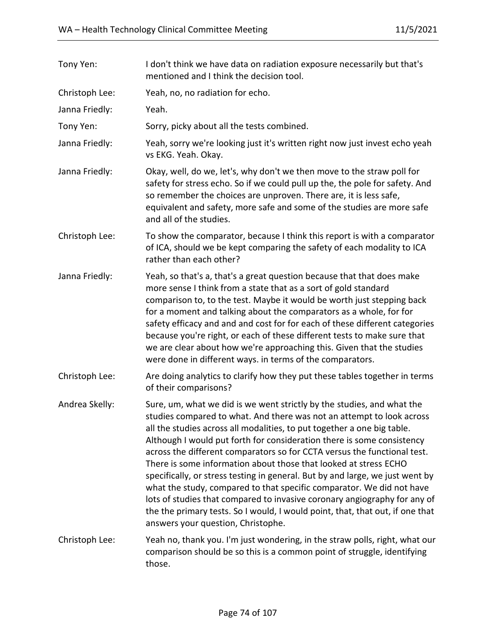| Tony Yen:      | I don't think we have data on radiation exposure necessarily but that's<br>mentioned and I think the decision tool.                                                                                                                                                                                                                                                                                                                                                                                                                                                                                                                                                                                                                                                                                                |
|----------------|--------------------------------------------------------------------------------------------------------------------------------------------------------------------------------------------------------------------------------------------------------------------------------------------------------------------------------------------------------------------------------------------------------------------------------------------------------------------------------------------------------------------------------------------------------------------------------------------------------------------------------------------------------------------------------------------------------------------------------------------------------------------------------------------------------------------|
| Christoph Lee: | Yeah, no, no radiation for echo.                                                                                                                                                                                                                                                                                                                                                                                                                                                                                                                                                                                                                                                                                                                                                                                   |
| Janna Friedly: | Yeah.                                                                                                                                                                                                                                                                                                                                                                                                                                                                                                                                                                                                                                                                                                                                                                                                              |
| Tony Yen:      | Sorry, picky about all the tests combined.                                                                                                                                                                                                                                                                                                                                                                                                                                                                                                                                                                                                                                                                                                                                                                         |
| Janna Friedly: | Yeah, sorry we're looking just it's written right now just invest echo yeah<br>vs EKG. Yeah. Okay.                                                                                                                                                                                                                                                                                                                                                                                                                                                                                                                                                                                                                                                                                                                 |
| Janna Friedly: | Okay, well, do we, let's, why don't we then move to the straw poll for<br>safety for stress echo. So if we could pull up the, the pole for safety. And<br>so remember the choices are unproven. There are, it is less safe,<br>equivalent and safety, more safe and some of the studies are more safe<br>and all of the studies.                                                                                                                                                                                                                                                                                                                                                                                                                                                                                   |
| Christoph Lee: | To show the comparator, because I think this report is with a comparator<br>of ICA, should we be kept comparing the safety of each modality to ICA<br>rather than each other?                                                                                                                                                                                                                                                                                                                                                                                                                                                                                                                                                                                                                                      |
| Janna Friedly: | Yeah, so that's a, that's a great question because that that does make<br>more sense I think from a state that as a sort of gold standard<br>comparison to, to the test. Maybe it would be worth just stepping back<br>for a moment and talking about the comparators as a whole, for for<br>safety efficacy and and and cost for for each of these different categories<br>because you're right, or each of these different tests to make sure that<br>we are clear about how we're approaching this. Given that the studies<br>were done in different ways. in terms of the comparators.                                                                                                                                                                                                                         |
| Christoph Lee: | Are doing analytics to clarify how they put these tables together in terms<br>of their comparisons?                                                                                                                                                                                                                                                                                                                                                                                                                                                                                                                                                                                                                                                                                                                |
| Andrea Skelly: | Sure, um, what we did is we went strictly by the studies, and what the<br>studies compared to what. And there was not an attempt to look across<br>all the studies across all modalities, to put together a one big table.<br>Although I would put forth for consideration there is some consistency<br>across the different comparators so for CCTA versus the functional test.<br>There is some information about those that looked at stress ECHO<br>specifically, or stress testing in general. But by and large, we just went by<br>what the study, compared to that specific comparator. We did not have<br>lots of studies that compared to invasive coronary angiography for any of<br>the the primary tests. So I would, I would point, that, that out, if one that<br>answers your question, Christophe. |
| Christoph Lee: | Yeah no, thank you. I'm just wondering, in the straw polls, right, what our<br>comparison should be so this is a common point of struggle, identifying<br>those.                                                                                                                                                                                                                                                                                                                                                                                                                                                                                                                                                                                                                                                   |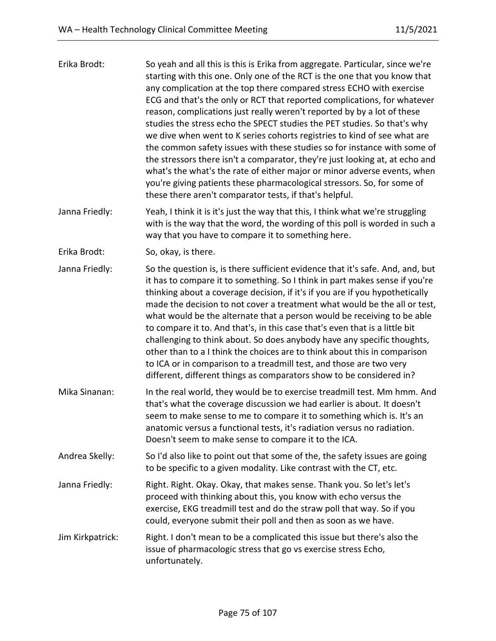| Erika Brodt:   | So yeah and all this is this is Erika from aggregate. Particular, since we're<br>starting with this one. Only one of the RCT is the one that you know that<br>any complication at the top there compared stress ECHO with exercise<br>ECG and that's the only or RCT that reported complications, for whatever<br>reason, complications just really weren't reported by by a lot of these<br>studies the stress echo the SPECT studies the PET studies. So that's why<br>we dive when went to K series cohorts registries to kind of see what are<br>the common safety issues with these studies so for instance with some of<br>the stressors there isn't a comparator, they're just looking at, at echo and<br>what's the what's the rate of either major or minor adverse events, when<br>you're giving patients these pharmacological stressors. So, for some of<br>these there aren't comparator tests, if that's helpful. |
|----------------|---------------------------------------------------------------------------------------------------------------------------------------------------------------------------------------------------------------------------------------------------------------------------------------------------------------------------------------------------------------------------------------------------------------------------------------------------------------------------------------------------------------------------------------------------------------------------------------------------------------------------------------------------------------------------------------------------------------------------------------------------------------------------------------------------------------------------------------------------------------------------------------------------------------------------------|
| Janna Friedly: | Yeah, I think it is it's just the way that this, I think what we're struggling<br>with is the way that the word, the wording of this poll is worded in such a<br>way that you have to compare it to something here.                                                                                                                                                                                                                                                                                                                                                                                                                                                                                                                                                                                                                                                                                                             |
| Erika Brodt:   | So, okay, is there.                                                                                                                                                                                                                                                                                                                                                                                                                                                                                                                                                                                                                                                                                                                                                                                                                                                                                                             |
| Janna Friedly: | So the question is, is there sufficient evidence that it's safe. And, and, but<br>it has to compare it to something. So I think in part makes sense if you're<br>thinking about a coverage decision, if it's if you are if you hypothetically<br>made the decision to not cover a treatment what would be the all or test,<br>what would be the alternate that a person would be receiving to be able<br>to compare it to. And that's, in this case that's even that is a little bit<br>challenging to think about. So does anybody have any specific thoughts,<br>other than to a I think the choices are to think about this in comparison<br>to ICA or in comparison to a treadmill test, and those are two very<br>different, different things as comparators show to be considered in?                                                                                                                                     |
| Mika Sinanan:  | In the real world, they would be to exercise treadmill test. Mm hmm. And<br>that's what the coverage discussion we had earlier is about. It doesn't<br>seem to make sense to me to compare it to something which is. It's an<br>anatomic versus a functional tests, it's radiation versus no radiation.<br>Doesn't seem to make sense to compare it to the ICA.                                                                                                                                                                                                                                                                                                                                                                                                                                                                                                                                                                 |
| Andrea Skelly: | So I'd also like to point out that some of the, the safety issues are going<br>to be specific to a given modality. Like contrast with the CT, etc.                                                                                                                                                                                                                                                                                                                                                                                                                                                                                                                                                                                                                                                                                                                                                                              |
| Janna Friedly: | Right. Right. Okay. Okay, that makes sense. Thank you. So let's let's<br>proceed with thinking about this, you know with echo versus the<br>exercise, EKG treadmill test and do the straw poll that way. So if you<br>could, everyone submit their poll and then as soon as we have.                                                                                                                                                                                                                                                                                                                                                                                                                                                                                                                                                                                                                                            |

Jim Kirkpatrick: Right. I don't mean to be a complicated this issue but there's also the issue of pharmacologic stress that go vs exercise stress Echo, unfortunately.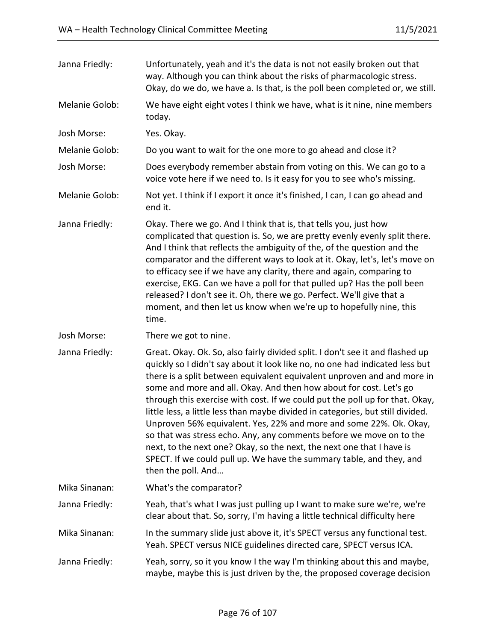| Janna Friedly: | Unfortunately, yeah and it's the data is not not easily broken out that<br>way. Although you can think about the risks of pharmacologic stress.<br>Okay, do we do, we have a. Is that, is the poll been completed or, we still.                                                                                                                                                                                                                                                                                                                                                                                                                                                                                                                                                                       |
|----------------|-------------------------------------------------------------------------------------------------------------------------------------------------------------------------------------------------------------------------------------------------------------------------------------------------------------------------------------------------------------------------------------------------------------------------------------------------------------------------------------------------------------------------------------------------------------------------------------------------------------------------------------------------------------------------------------------------------------------------------------------------------------------------------------------------------|
| Melanie Golob: | We have eight eight votes I think we have, what is it nine, nine members<br>today.                                                                                                                                                                                                                                                                                                                                                                                                                                                                                                                                                                                                                                                                                                                    |
| Josh Morse:    | Yes. Okay.                                                                                                                                                                                                                                                                                                                                                                                                                                                                                                                                                                                                                                                                                                                                                                                            |
| Melanie Golob: | Do you want to wait for the one more to go ahead and close it?                                                                                                                                                                                                                                                                                                                                                                                                                                                                                                                                                                                                                                                                                                                                        |
| Josh Morse:    | Does everybody remember abstain from voting on this. We can go to a<br>voice vote here if we need to. Is it easy for you to see who's missing.                                                                                                                                                                                                                                                                                                                                                                                                                                                                                                                                                                                                                                                        |
| Melanie Golob: | Not yet. I think if I export it once it's finished, I can, I can go ahead and<br>end it.                                                                                                                                                                                                                                                                                                                                                                                                                                                                                                                                                                                                                                                                                                              |
| Janna Friedly: | Okay. There we go. And I think that is, that tells you, just how<br>complicated that question is. So, we are pretty evenly evenly split there.<br>And I think that reflects the ambiguity of the, of the question and the<br>comparator and the different ways to look at it. Okay, let's, let's move on<br>to efficacy see if we have any clarity, there and again, comparing to<br>exercise, EKG. Can we have a poll for that pulled up? Has the poll been<br>released? I don't see it. Oh, there we go. Perfect. We'll give that a<br>moment, and then let us know when we're up to hopefully nine, this<br>time.                                                                                                                                                                                  |
| Josh Morse:    | There we got to nine.                                                                                                                                                                                                                                                                                                                                                                                                                                                                                                                                                                                                                                                                                                                                                                                 |
| Janna Friedly: | Great. Okay. Ok. So, also fairly divided split. I don't see it and flashed up<br>quickly so I didn't say about it look like no, no one had indicated less but<br>there is a split between equivalent equivalent unproven and and more in<br>some and more and all. Okay. And then how about for cost. Let's go<br>through this exercise with cost. If we could put the poll up for that. Okay,<br>little less, a little less than maybe divided in categories, but still divided.<br>Unproven 56% equivalent. Yes, 22% and more and some 22%. Ok. Okay,<br>so that was stress echo. Any, any comments before we move on to the<br>next, to the next one? Okay, so the next, the next one that I have is<br>SPECT. If we could pull up. We have the summary table, and they, and<br>then the poll. And |
| Mika Sinanan:  | What's the comparator?                                                                                                                                                                                                                                                                                                                                                                                                                                                                                                                                                                                                                                                                                                                                                                                |
| Janna Friedly: | Yeah, that's what I was just pulling up I want to make sure we're, we're<br>clear about that. So, sorry, I'm having a little technical difficulty here                                                                                                                                                                                                                                                                                                                                                                                                                                                                                                                                                                                                                                                |
| Mika Sinanan:  | In the summary slide just above it, it's SPECT versus any functional test.<br>Yeah. SPECT versus NICE guidelines directed care, SPECT versus ICA.                                                                                                                                                                                                                                                                                                                                                                                                                                                                                                                                                                                                                                                     |
| Janna Friedly: | Yeah, sorry, so it you know I the way I'm thinking about this and maybe,<br>maybe, maybe this is just driven by the, the proposed coverage decision                                                                                                                                                                                                                                                                                                                                                                                                                                                                                                                                                                                                                                                   |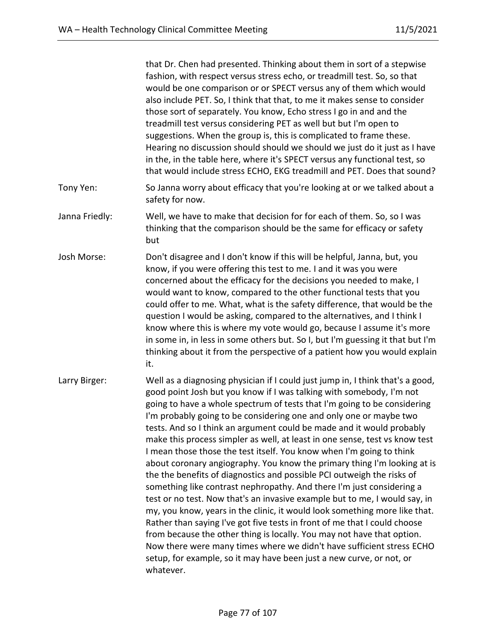|                | that Dr. Chen had presented. Thinking about them in sort of a stepwise<br>fashion, with respect versus stress echo, or treadmill test. So, so that<br>would be one comparison or or SPECT versus any of them which would<br>also include PET. So, I think that that, to me it makes sense to consider<br>those sort of separately. You know, Echo stress I go in and and the<br>treadmill test versus considering PET as well but but I'm open to<br>suggestions. When the group is, this is complicated to frame these.<br>Hearing no discussion should should we should we just do it just as I have<br>in the, in the table here, where it's SPECT versus any functional test, so<br>that would include stress ECHO, EKG treadmill and PET. Does that sound?                                                                                                                                                                                                                                                                                                                                                                                                                                                                                          |
|----------------|----------------------------------------------------------------------------------------------------------------------------------------------------------------------------------------------------------------------------------------------------------------------------------------------------------------------------------------------------------------------------------------------------------------------------------------------------------------------------------------------------------------------------------------------------------------------------------------------------------------------------------------------------------------------------------------------------------------------------------------------------------------------------------------------------------------------------------------------------------------------------------------------------------------------------------------------------------------------------------------------------------------------------------------------------------------------------------------------------------------------------------------------------------------------------------------------------------------------------------------------------------|
| Tony Yen:      | So Janna worry about efficacy that you're looking at or we talked about a<br>safety for now.                                                                                                                                                                                                                                                                                                                                                                                                                                                                                                                                                                                                                                                                                                                                                                                                                                                                                                                                                                                                                                                                                                                                                             |
| Janna Friedly: | Well, we have to make that decision for for each of them. So, so I was<br>thinking that the comparison should be the same for efficacy or safety<br>but                                                                                                                                                                                                                                                                                                                                                                                                                                                                                                                                                                                                                                                                                                                                                                                                                                                                                                                                                                                                                                                                                                  |
| Josh Morse:    | Don't disagree and I don't know if this will be helpful, Janna, but, you<br>know, if you were offering this test to me. I and it was you were<br>concerned about the efficacy for the decisions you needed to make, I<br>would want to know, compared to the other functional tests that you<br>could offer to me. What, what is the safety difference, that would be the<br>question I would be asking, compared to the alternatives, and I think I<br>know where this is where my vote would go, because I assume it's more<br>in some in, in less in some others but. So I, but I'm guessing it that but I'm<br>thinking about it from the perspective of a patient how you would explain<br>it.                                                                                                                                                                                                                                                                                                                                                                                                                                                                                                                                                      |
| Larry Birger:  | Well as a diagnosing physician if I could just jump in, I think that's a good,<br>good point Josh but you know if I was talking with somebody, I'm not<br>going to have a whole spectrum of tests that I'm going to be considering<br>I'm probably going to be considering one and only one or maybe two<br>tests. And so I think an argument could be made and it would probably<br>make this process simpler as well, at least in one sense, test vs know test<br>I mean those those the test itself. You know when I'm going to think<br>about coronary angiography. You know the primary thing I'm looking at is<br>the the benefits of diagnostics and possible PCI outweigh the risks of<br>something like contrast nephropathy. And there I'm just considering a<br>test or no test. Now that's an invasive example but to me, I would say, in<br>my, you know, years in the clinic, it would look something more like that.<br>Rather than saying I've got five tests in front of me that I could choose<br>from because the other thing is locally. You may not have that option.<br>Now there were many times where we didn't have sufficient stress ECHO<br>setup, for example, so it may have been just a new curve, or not, or<br>whatever. |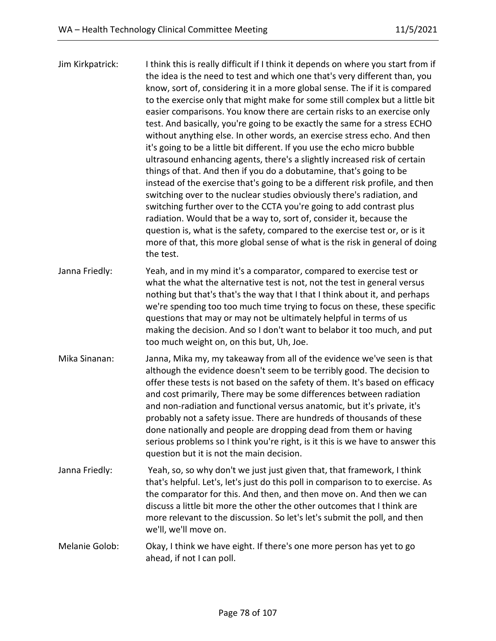| Jim Kirkpatrick: | I think this is really difficult if I think it depends on where you start from if<br>the idea is the need to test and which one that's very different than, you<br>know, sort of, considering it in a more global sense. The if it is compared<br>to the exercise only that might make for some still complex but a little bit<br>easier comparisons. You know there are certain risks to an exercise only<br>test. And basically, you're going to be exactly the same for a stress ECHO<br>without anything else. In other words, an exercise stress echo. And then<br>it's going to be a little bit different. If you use the echo micro bubble<br>ultrasound enhancing agents, there's a slightly increased risk of certain<br>things of that. And then if you do a dobutamine, that's going to be<br>instead of the exercise that's going to be a different risk profile, and then<br>switching over to the nuclear studies obviously there's radiation, and<br>switching further over to the CCTA you're going to add contrast plus<br>radiation. Would that be a way to, sort of, consider it, because the<br>question is, what is the safety, compared to the exercise test or, or is it<br>more of that, this more global sense of what is the risk in general of doing<br>the test. |
|------------------|----------------------------------------------------------------------------------------------------------------------------------------------------------------------------------------------------------------------------------------------------------------------------------------------------------------------------------------------------------------------------------------------------------------------------------------------------------------------------------------------------------------------------------------------------------------------------------------------------------------------------------------------------------------------------------------------------------------------------------------------------------------------------------------------------------------------------------------------------------------------------------------------------------------------------------------------------------------------------------------------------------------------------------------------------------------------------------------------------------------------------------------------------------------------------------------------------------------------------------------------------------------------------------------------|
| Janna Friedly:   | Yeah, and in my mind it's a comparator, compared to exercise test or<br>what the what the alternative test is not, not the test in general versus<br>nothing but that's that's the way that I that I think about it, and perhaps<br>we're spending too too much time trying to focus on these, these specific<br>questions that may or may not be ultimately helpful in terms of us<br>making the decision. And so I don't want to belabor it too much, and put<br>too much weight on, on this but, Uh, Joe.                                                                                                                                                                                                                                                                                                                                                                                                                                                                                                                                                                                                                                                                                                                                                                                 |
| Mika Sinanan:    | Janna, Mika my, my takeaway from all of the evidence we've seen is that<br>although the evidence doesn't seem to be terribly good. The decision to<br>offer these tests is not based on the safety of them. It's based on efficacy<br>and cost primarily, There may be some differences between radiation<br>and non-radiation and functional versus anatomic, but it's private, it's<br>probably not a safety issue. There are hundreds of thousands of these<br>done nationally and people are dropping dead from them or having<br>serious problems so I think you're right, is it this is we have to answer this<br>question but it is not the main decision.                                                                                                                                                                                                                                                                                                                                                                                                                                                                                                                                                                                                                            |
| Janna Friedly:   | Yeah, so, so why don't we just just given that, that framework, I think<br>that's helpful. Let's, let's just do this poll in comparison to to exercise. As<br>the comparator for this. And then, and then move on. And then we can<br>discuss a little bit more the other the other outcomes that I think are<br>more relevant to the discussion. So let's let's submit the poll, and then<br>we'll, we'll move on.                                                                                                                                                                                                                                                                                                                                                                                                                                                                                                                                                                                                                                                                                                                                                                                                                                                                          |
| Melanie Golob:   | Okay, I think we have eight. If there's one more person has yet to go<br>ahead, if not I can poll.                                                                                                                                                                                                                                                                                                                                                                                                                                                                                                                                                                                                                                                                                                                                                                                                                                                                                                                                                                                                                                                                                                                                                                                           |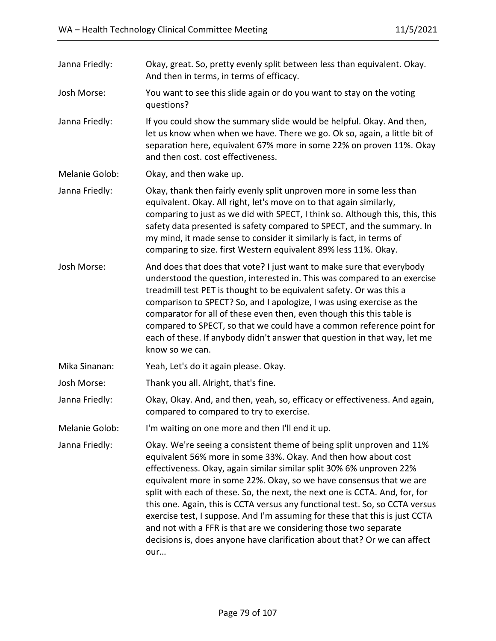| Janna Friedly: | Okay, great. So, pretty evenly split between less than equivalent. Okay.<br>And then in terms, in terms of efficacy.                                                                                                                                                                                                                                                                                                                                                                                                                                                                                                                                                                         |
|----------------|----------------------------------------------------------------------------------------------------------------------------------------------------------------------------------------------------------------------------------------------------------------------------------------------------------------------------------------------------------------------------------------------------------------------------------------------------------------------------------------------------------------------------------------------------------------------------------------------------------------------------------------------------------------------------------------------|
| Josh Morse:    | You want to see this slide again or do you want to stay on the voting<br>questions?                                                                                                                                                                                                                                                                                                                                                                                                                                                                                                                                                                                                          |
| Janna Friedly: | If you could show the summary slide would be helpful. Okay. And then,<br>let us know when when we have. There we go. Ok so, again, a little bit of<br>separation here, equivalent 67% more in some 22% on proven 11%. Okay<br>and then cost. cost effectiveness.                                                                                                                                                                                                                                                                                                                                                                                                                             |
| Melanie Golob: | Okay, and then wake up.                                                                                                                                                                                                                                                                                                                                                                                                                                                                                                                                                                                                                                                                      |
| Janna Friedly: | Okay, thank then fairly evenly split unproven more in some less than<br>equivalent. Okay. All right, let's move on to that again similarly,<br>comparing to just as we did with SPECT, I think so. Although this, this, this<br>safety data presented is safety compared to SPECT, and the summary. In<br>my mind, it made sense to consider it similarly is fact, in terms of<br>comparing to size. first Western equivalent 89% less 11%. Okay.                                                                                                                                                                                                                                            |
| Josh Morse:    | And does that does that vote? I just want to make sure that everybody<br>understood the question, interested in. This was compared to an exercise<br>treadmill test PET is thought to be equivalent safety. Or was this a<br>comparison to SPECT? So, and I apologize, I was using exercise as the<br>comparator for all of these even then, even though this this table is<br>compared to SPECT, so that we could have a common reference point for<br>each of these. If anybody didn't answer that question in that way, let me<br>know so we can.                                                                                                                                         |
| Mika Sinanan:  | Yeah, Let's do it again please. Okay.                                                                                                                                                                                                                                                                                                                                                                                                                                                                                                                                                                                                                                                        |
| Josh Morse:    | Thank you all. Alright, that's fine.                                                                                                                                                                                                                                                                                                                                                                                                                                                                                                                                                                                                                                                         |
| Janna Friedly: | Okay, Okay. And, and then, yeah, so, efficacy or effectiveness. And again,<br>compared to compared to try to exercise.                                                                                                                                                                                                                                                                                                                                                                                                                                                                                                                                                                       |
| Melanie Golob: | I'm waiting on one more and then I'll end it up.                                                                                                                                                                                                                                                                                                                                                                                                                                                                                                                                                                                                                                             |
| Janna Friedly: | Okay. We're seeing a consistent theme of being split unproven and 11%<br>equivalent 56% more in some 33%. Okay. And then how about cost<br>effectiveness. Okay, again similar similar split 30% 6% unproven 22%<br>equivalent more in some 22%. Okay, so we have consensus that we are<br>split with each of these. So, the next, the next one is CCTA. And, for, for<br>this one. Again, this is CCTA versus any functional test. So, so CCTA versus<br>exercise test, I suppose. And I'm assuming for these that this is just CCTA<br>and not with a FFR is that are we considering those two separate<br>decisions is, does anyone have clarification about that? Or we can affect<br>our |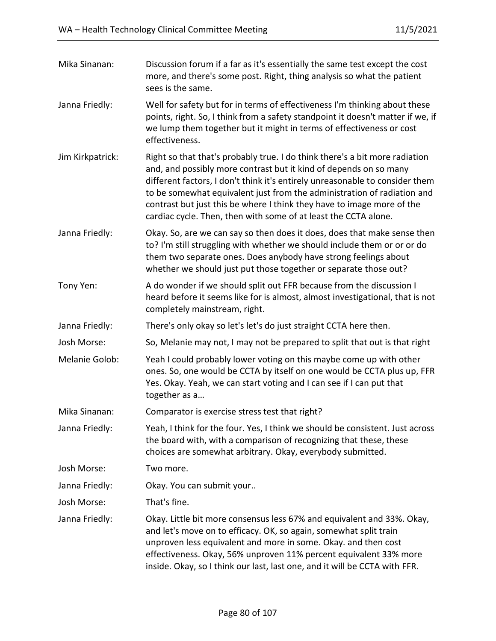| Mika Sinanan:    | Discussion forum if a far as it's essentially the same test except the cost<br>more, and there's some post. Right, thing analysis so what the patient<br>sees is the same.                                                                                                                                                                                                                                                                               |
|------------------|----------------------------------------------------------------------------------------------------------------------------------------------------------------------------------------------------------------------------------------------------------------------------------------------------------------------------------------------------------------------------------------------------------------------------------------------------------|
| Janna Friedly:   | Well for safety but for in terms of effectiveness I'm thinking about these<br>points, right. So, I think from a safety standpoint it doesn't matter if we, if<br>we lump them together but it might in terms of effectiveness or cost<br>effectiveness.                                                                                                                                                                                                  |
| Jim Kirkpatrick: | Right so that that's probably true. I do think there's a bit more radiation<br>and, and possibly more contrast but it kind of depends on so many<br>different factors, I don't think it's entirely unreasonable to consider them<br>to be somewhat equivalent just from the administration of radiation and<br>contrast but just this be where I think they have to image more of the<br>cardiac cycle. Then, then with some of at least the CCTA alone. |
| Janna Friedly:   | Okay. So, are we can say so then does it does, does that make sense then<br>to? I'm still struggling with whether we should include them or or or do<br>them two separate ones. Does anybody have strong feelings about<br>whether we should just put those together or separate those out?                                                                                                                                                              |
| Tony Yen:        | A do wonder if we should split out FFR because from the discussion I<br>heard before it seems like for is almost, almost investigational, that is not<br>completely mainstream, right.                                                                                                                                                                                                                                                                   |
| Janna Friedly:   | There's only okay so let's let's do just straight CCTA here then.                                                                                                                                                                                                                                                                                                                                                                                        |
| Josh Morse:      | So, Melanie may not, I may not be prepared to split that out is that right                                                                                                                                                                                                                                                                                                                                                                               |
| Melanie Golob:   | Yeah I could probably lower voting on this maybe come up with other<br>ones. So, one would be CCTA by itself on one would be CCTA plus up, FFR<br>Yes. Okay. Yeah, we can start voting and I can see if I can put that<br>together as a                                                                                                                                                                                                                  |
| Mika Sinanan:    | Comparator is exercise stress test that right?                                                                                                                                                                                                                                                                                                                                                                                                           |
| Janna Friedly:   | Yeah, I think for the four. Yes, I think we should be consistent. Just across<br>the board with, with a comparison of recognizing that these, these<br>choices are somewhat arbitrary. Okay, everybody submitted.                                                                                                                                                                                                                                        |
| Josh Morse:      | Two more.                                                                                                                                                                                                                                                                                                                                                                                                                                                |
| Janna Friedly:   | Okay. You can submit your                                                                                                                                                                                                                                                                                                                                                                                                                                |
| Josh Morse:      | That's fine.                                                                                                                                                                                                                                                                                                                                                                                                                                             |
| Janna Friedly:   | Okay. Little bit more consensus less 67% and equivalent and 33%. Okay,<br>and let's move on to efficacy. OK, so again, somewhat split train<br>unproven less equivalent and more in some. Okay. and then cost<br>effectiveness. Okay, 56% unproven 11% percent equivalent 33% more<br>inside. Okay, so I think our last, last one, and it will be CCTA with FFR.                                                                                         |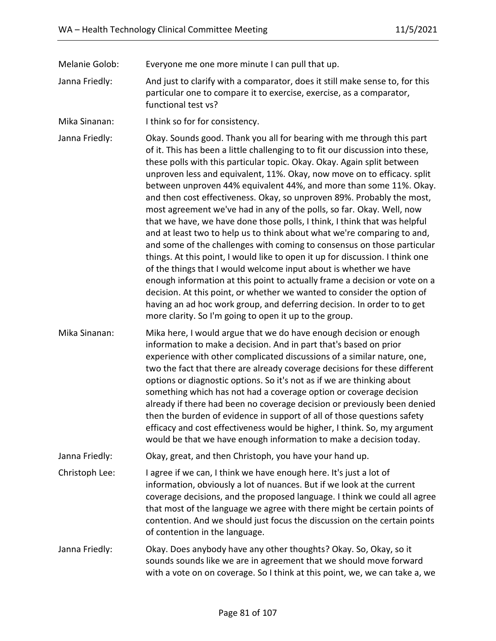Melanie Golob: Everyone me one more minute I can pull that up.

Janna Friedly: And just to clarify with a comparator, does it still make sense to, for this particular one to compare it to exercise, exercise, as a comparator, functional test vs?

Mika Sinanan: I think so for for consistency.

Janna Friedly: Okay. Sounds good. Thank you all for bearing with me through this part of it. This has been a little challenging to to fit our discussion into these, these polls with this particular topic. Okay. Okay. Again split between unproven less and equivalent, 11%. Okay, now move on to efficacy. split between unproven 44% equivalent 44%, and more than some 11%. Okay. and then cost effectiveness. Okay, so unproven 89%. Probably the most, most agreement we've had in any of the polls, so far. Okay. Well, now that we have, we have done those polls, I think, I think that was helpful and at least two to help us to think about what we're comparing to and, and some of the challenges with coming to consensus on those particular things. At this point, I would like to open it up for discussion. I think one of the things that I would welcome input about is whether we have enough information at this point to actually frame a decision or vote on a decision. At this point, or whether we wanted to consider the option of having an ad hoc work group, and deferring decision. In order to to get more clarity. So I'm going to open it up to the group.

Mika Sinanan: Mika here, I would argue that we do have enough decision or enough information to make a decision. And in part that's based on prior experience with other complicated discussions of a similar nature, one, two the fact that there are already coverage decisions for these different options or diagnostic options. So it's not as if we are thinking about something which has not had a coverage option or coverage decision already if there had been no coverage decision or previously been denied then the burden of evidence in support of all of those questions safety efficacy and cost effectiveness would be higher, I think. So, my argument would be that we have enough information to make a decision today.

Janna Friedly: Okay, great, and then Christoph, you have your hand up.

Christoph Lee: I agree if we can, I think we have enough here. It's just a lot of information, obviously a lot of nuances. But if we look at the current coverage decisions, and the proposed language. I think we could all agree that most of the language we agree with there might be certain points of contention. And we should just focus the discussion on the certain points of contention in the language.

Janna Friedly: Okay. Does anybody have any other thoughts? Okay. So, Okay, so it sounds sounds like we are in agreement that we should move forward with a vote on on coverage. So I think at this point, we, we can take a, we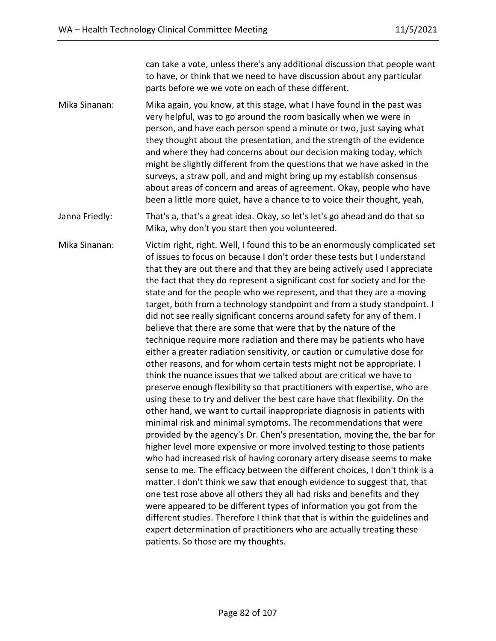can take a vote, unless there's any additional discussion that people want to have, or think that we need to have discussion about any particular parts before we we vote on each of these different.

Mika Sinanan: Mika again, you know, at this stage, what I have found in the past was very helpful, was to go around the room basically when we were in person, and have each person spend a minute or two, just saying what they thought about the presentation, and the strength of the evidence and where they had concerns about our decision making today, which might be slightly different from the questions that we have asked in the surveys, a straw poll, and and might bring up my establish consensus about areas of concern and areas of agreement. Okay, people who have been a little more quiet, have a chance to to voice their thought, yeah,

Janna Friedly: That's a, that's a great idea. Okay, so let's let's go ahead and do that so Mika, why don't you start then you volunteered.

Mika Sinanan: Victim right, right. Well, I found this to be an enormously complicated set of issues to focus on because I don't order these tests but I understand that they are out there and that they are being actively used I appreciate the fact that they do represent a significant cost for society and for the state and for the people who we represent, and that they are a moving target, both from a technology standpoint and from a study standpoint. I did not see really significant concerns around safety for any of them. I believe that there are some that were that by the nature of the technique require more radiation and there may be patients who have either a greater radiation sensitivity, or caution or cumulative dose for other reasons, and for whom certain tests might not be appropriate. I think the nuance issues that we talked about are critical we have to preserve enough flexibility so that practitioners with expertise, who are using these to try and deliver the best care have that flexibility. On the other hand, we want to curtail inappropriate diagnosis in patients with minimal risk and minimal symptoms. The recommendations that were provided by the agency's Dr. Chen's presentation, moving the, the bar for higher level more expensive or more involved testing to those patients who had increased risk of having coronary artery disease seems to make sense to me. The efficacy between the different choices, I don't think is a matter. I don't think we saw that enough evidence to suggest that, that one test rose above all others they all had risks and benefits and they were appeared to be different types of information you got from the different studies. Therefore I think that that is within the guidelines and expert determination of practitioners who are actually treating these patients. So those are my thoughts.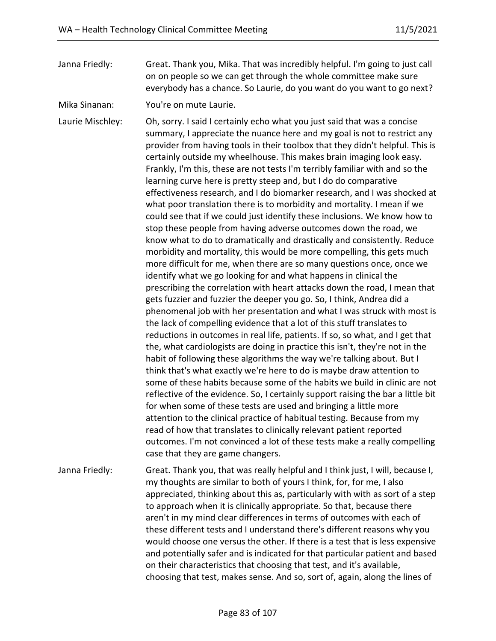Janna Friedly: Great. Thank you, Mika. That was incredibly helpful. I'm going to just call on on people so we can get through the whole committee make sure everybody has a chance. So Laurie, do you want do you want to go next?

Mika Sinanan: You're on mute Laurie.

Laurie Mischley: Oh, sorry. I said I certainly echo what you just said that was a concise summary, I appreciate the nuance here and my goal is not to restrict any provider from having tools in their toolbox that they didn't helpful. This is certainly outside my wheelhouse. This makes brain imaging look easy. Frankly, I'm this, these are not tests I'm terribly familiar with and so the learning curve here is pretty steep and, but I do do comparative effectiveness research, and I do biomarker research, and I was shocked at what poor translation there is to morbidity and mortality. I mean if we could see that if we could just identify these inclusions. We know how to stop these people from having adverse outcomes down the road, we know what to do to dramatically and drastically and consistently. Reduce morbidity and mortality, this would be more compelling, this gets much more difficult for me, when there are so many questions once, once we identify what we go looking for and what happens in clinical the prescribing the correlation with heart attacks down the road, I mean that gets fuzzier and fuzzier the deeper you go. So, I think, Andrea did a phenomenal job with her presentation and what I was struck with most is the lack of compelling evidence that a lot of this stuff translates to reductions in outcomes in real life, patients. If so, so what, and I get that the, what cardiologists are doing in practice this isn't, they're not in the habit of following these algorithms the way we're talking about. But I think that's what exactly we're here to do is maybe draw attention to some of these habits because some of the habits we build in clinic are not reflective of the evidence. So, I certainly support raising the bar a little bit for when some of these tests are used and bringing a little more attention to the clinical practice of habitual testing. Because from my read of how that translates to clinically relevant patient reported outcomes. I'm not convinced a lot of these tests make a really compelling case that they are game changers.

Janna Friedly: Great. Thank you, that was really helpful and I think just, I will, because I, my thoughts are similar to both of yours I think, for, for me, I also appreciated, thinking about this as, particularly with with as sort of a step to approach when it is clinically appropriate. So that, because there aren't in my mind clear differences in terms of outcomes with each of these different tests and I understand there's different reasons why you would choose one versus the other. If there is a test that is less expensive and potentially safer and is indicated for that particular patient and based on their characteristics that choosing that test, and it's available, choosing that test, makes sense. And so, sort of, again, along the lines of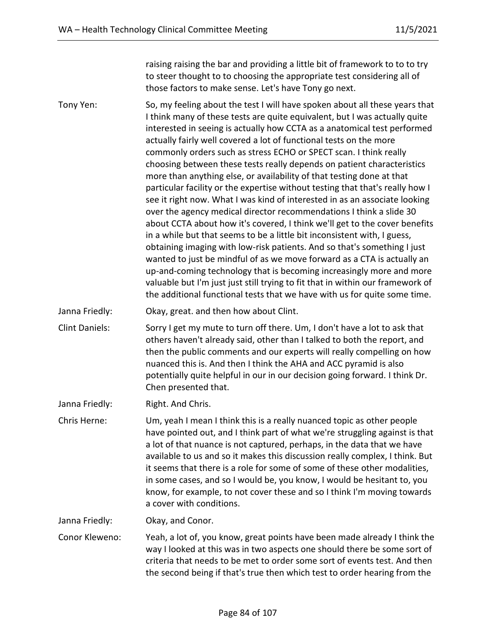raising raising the bar and providing a little bit of framework to to to try to steer thought to to choosing the appropriate test considering all of those factors to make sense. Let's have Tony go next.

Tony Yen: So, my feeling about the test I will have spoken about all these years that I think many of these tests are quite equivalent, but I was actually quite interested in seeing is actually how CCTA as a anatomical test performed actually fairly well covered a lot of functional tests on the more commonly orders such as stress ECHO or SPECT scan. I think really choosing between these tests really depends on patient characteristics more than anything else, or availability of that testing done at that particular facility or the expertise without testing that that's really how I see it right now. What I was kind of interested in as an associate looking over the agency medical director recommendations I think a slide 30 about CCTA about how it's covered, I think we'll get to the cover benefits in a while but that seems to be a little bit inconsistent with, I guess, obtaining imaging with low-risk patients. And so that's something I just wanted to just be mindful of as we move forward as a CTA is actually an up-and-coming technology that is becoming increasingly more and more valuable but I'm just just still trying to fit that in within our framework of the additional functional tests that we have with us for quite some time.

Janna Friedly: Okay, great. and then how about Clint.

Clint Daniels: Sorry I get my mute to turn off there. Um, I don't have a lot to ask that others haven't already said, other than I talked to both the report, and then the public comments and our experts will really compelling on how nuanced this is. And then I think the AHA and ACC pyramid is also potentially quite helpful in our in our decision going forward. I think Dr. Chen presented that.

Janna Friedly: Right. And Chris.

Chris Herne: Um, yeah I mean I think this is a really nuanced topic as other people have pointed out, and I think part of what we're struggling against is that a lot of that nuance is not captured, perhaps, in the data that we have available to us and so it makes this discussion really complex, I think. But it seems that there is a role for some of some of these other modalities, in some cases, and so I would be, you know, I would be hesitant to, you know, for example, to not cover these and so I think I'm moving towards a cover with conditions.

Janna Friedly: Okay, and Conor.

Conor Kleweno: Yeah, a lot of, you know, great points have been made already I think the way I looked at this was in two aspects one should there be some sort of criteria that needs to be met to order some sort of events test. And then the second being if that's true then which test to order hearing from the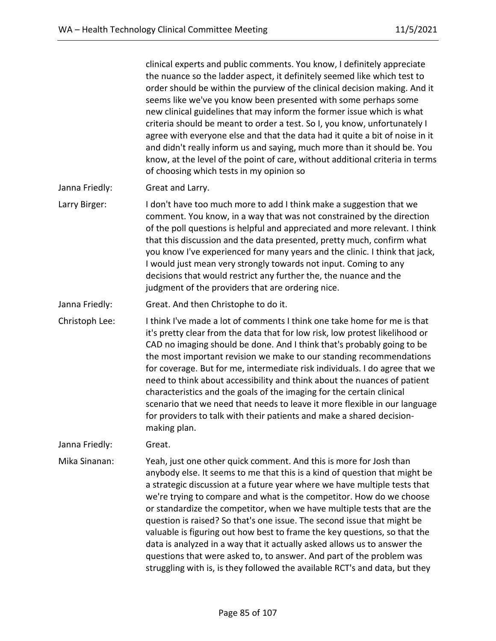clinical experts and public comments. You know, I definitely appreciate the nuance so the ladder aspect, it definitely seemed like which test to order should be within the purview of the clinical decision making. And it seems like we've you know been presented with some perhaps some new clinical guidelines that may inform the former issue which is what criteria should be meant to order a test. So I, you know, unfortunately I agree with everyone else and that the data had it quite a bit of noise in it and didn't really inform us and saying, much more than it should be. You know, at the level of the point of care, without additional criteria in terms of choosing which tests in my opinion so

Janna Friedly: Great and Larry.

- Larry Birger: I don't have too much more to add I think make a suggestion that we comment. You know, in a way that was not constrained by the direction of the poll questions is helpful and appreciated and more relevant. I think that this discussion and the data presented, pretty much, confirm what you know I've experienced for many years and the clinic. I think that jack, I would just mean very strongly towards not input. Coming to any decisions that would restrict any further the, the nuance and the judgment of the providers that are ordering nice.
- Janna Friedly: Great. And then Christophe to do it.

Christoph Lee: I think I've made a lot of comments I think one take home for me is that it's pretty clear from the data that for low risk, low protest likelihood or CAD no imaging should be done. And I think that's probably going to be the most important revision we make to our standing recommendations for coverage. But for me, intermediate risk individuals. I do agree that we need to think about accessibility and think about the nuances of patient characteristics and the goals of the imaging for the certain clinical scenario that we need that needs to leave it more flexible in our language for providers to talk with their patients and make a shared decisionmaking plan.

Janna Friedly: Great.

Mika Sinanan: Yeah, just one other quick comment. And this is more for Josh than anybody else. It seems to me that this is a kind of question that might be a strategic discussion at a future year where we have multiple tests that we're trying to compare and what is the competitor. How do we choose or standardize the competitor, when we have multiple tests that are the question is raised? So that's one issue. The second issue that might be valuable is figuring out how best to frame the key questions, so that the data is analyzed in a way that it actually asked allows us to answer the questions that were asked to, to answer. And part of the problem was struggling with is, is they followed the available RCT's and data, but they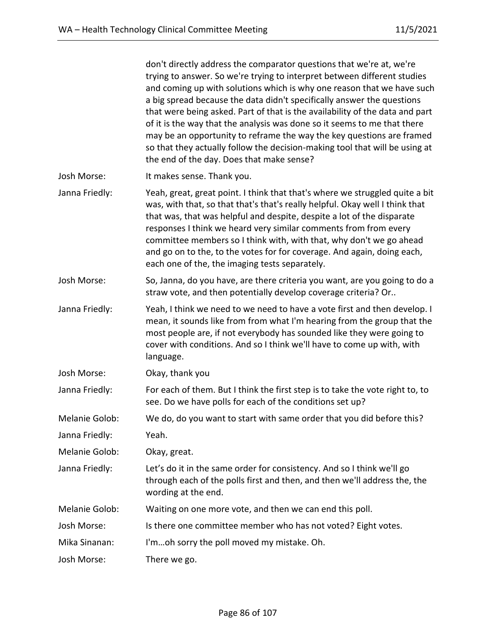|                | don't directly address the comparator questions that we're at, we're<br>trying to answer. So we're trying to interpret between different studies<br>and coming up with solutions which is why one reason that we have such<br>a big spread because the data didn't specifically answer the questions<br>that were being asked. Part of that is the availability of the data and part<br>of it is the way that the analysis was done so it seems to me that there<br>may be an opportunity to reframe the way the key questions are framed<br>so that they actually follow the decision-making tool that will be using at<br>the end of the day. Does that make sense? |
|----------------|-----------------------------------------------------------------------------------------------------------------------------------------------------------------------------------------------------------------------------------------------------------------------------------------------------------------------------------------------------------------------------------------------------------------------------------------------------------------------------------------------------------------------------------------------------------------------------------------------------------------------------------------------------------------------|
| Josh Morse:    | It makes sense. Thank you.                                                                                                                                                                                                                                                                                                                                                                                                                                                                                                                                                                                                                                            |
| Janna Friedly: | Yeah, great, great point. I think that that's where we struggled quite a bit<br>was, with that, so that that's that's really helpful. Okay well I think that<br>that was, that was helpful and despite, despite a lot of the disparate<br>responses I think we heard very similar comments from from every<br>committee members so I think with, with that, why don't we go ahead<br>and go on to the, to the votes for for coverage. And again, doing each,<br>each one of the, the imaging tests separately.                                                                                                                                                        |
| Josh Morse:    | So, Janna, do you have, are there criteria you want, are you going to do a<br>straw vote, and then potentially develop coverage criteria? Or                                                                                                                                                                                                                                                                                                                                                                                                                                                                                                                          |
| Janna Friedly: | Yeah, I think we need to we need to have a vote first and then develop. I<br>mean, it sounds like from from what I'm hearing from the group that the<br>most people are, if not everybody has sounded like they were going to<br>cover with conditions. And so I think we'll have to come up with, with<br>language.                                                                                                                                                                                                                                                                                                                                                  |
| Josh Morse:    | Okay, thank you                                                                                                                                                                                                                                                                                                                                                                                                                                                                                                                                                                                                                                                       |
| Janna Friedly: | For each of them. But I think the first step is to take the vote right to, to<br>see. Do we have polls for each of the conditions set up?                                                                                                                                                                                                                                                                                                                                                                                                                                                                                                                             |
| Melanie Golob: | We do, do you want to start with same order that you did before this?                                                                                                                                                                                                                                                                                                                                                                                                                                                                                                                                                                                                 |
| Janna Friedly: | Yeah.                                                                                                                                                                                                                                                                                                                                                                                                                                                                                                                                                                                                                                                                 |
| Melanie Golob: | Okay, great.                                                                                                                                                                                                                                                                                                                                                                                                                                                                                                                                                                                                                                                          |
| Janna Friedly: | Let's do it in the same order for consistency. And so I think we'll go<br>through each of the polls first and then, and then we'll address the, the<br>wording at the end.                                                                                                                                                                                                                                                                                                                                                                                                                                                                                            |
| Melanie Golob: | Waiting on one more vote, and then we can end this poll.                                                                                                                                                                                                                                                                                                                                                                                                                                                                                                                                                                                                              |
| Josh Morse:    | Is there one committee member who has not voted? Eight votes.                                                                                                                                                                                                                                                                                                                                                                                                                                                                                                                                                                                                         |
| Mika Sinanan:  | I'moh sorry the poll moved my mistake. Oh.                                                                                                                                                                                                                                                                                                                                                                                                                                                                                                                                                                                                                            |
| Josh Morse:    | There we go.                                                                                                                                                                                                                                                                                                                                                                                                                                                                                                                                                                                                                                                          |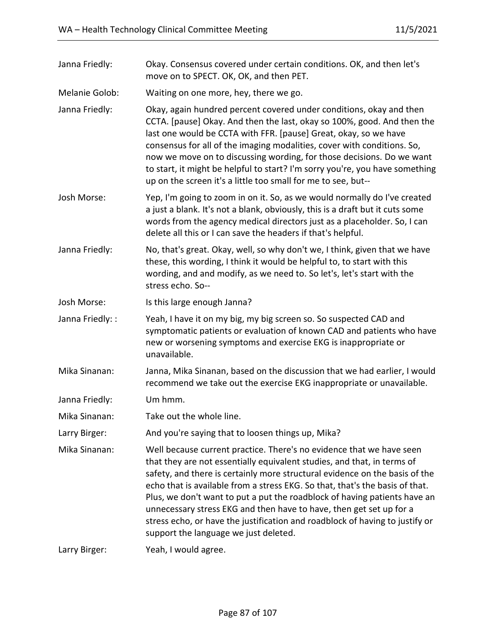| Janna Friedly:   | Okay. Consensus covered under certain conditions. OK, and then let's<br>move on to SPECT. OK, OK, and then PET.                                                                                                                                                                                                                                                                                                                                                                                                                                                                             |
|------------------|---------------------------------------------------------------------------------------------------------------------------------------------------------------------------------------------------------------------------------------------------------------------------------------------------------------------------------------------------------------------------------------------------------------------------------------------------------------------------------------------------------------------------------------------------------------------------------------------|
| Melanie Golob:   | Waiting on one more, hey, there we go.                                                                                                                                                                                                                                                                                                                                                                                                                                                                                                                                                      |
| Janna Friedly:   | Okay, again hundred percent covered under conditions, okay and then<br>CCTA. [pause] Okay. And then the last, okay so 100%, good. And then the<br>last one would be CCTA with FFR. [pause] Great, okay, so we have<br>consensus for all of the imaging modalities, cover with conditions. So,<br>now we move on to discussing wording, for those decisions. Do we want<br>to start, it might be helpful to start? I'm sorry you're, you have something<br>up on the screen it's a little too small for me to see, but--                                                                     |
| Josh Morse:      | Yep, I'm going to zoom in on it. So, as we would normally do I've created<br>a just a blank. It's not a blank, obviously, this is a draft but it cuts some<br>words from the agency medical directors just as a placeholder. So, I can<br>delete all this or I can save the headers if that's helpful.                                                                                                                                                                                                                                                                                      |
| Janna Friedly:   | No, that's great. Okay, well, so why don't we, I think, given that we have<br>these, this wording, I think it would be helpful to, to start with this<br>wording, and and modify, as we need to. So let's, let's start with the<br>stress echo. So--                                                                                                                                                                                                                                                                                                                                        |
| Josh Morse:      | Is this large enough Janna?                                                                                                                                                                                                                                                                                                                                                                                                                                                                                                                                                                 |
| Janna Friedly: : | Yeah, I have it on my big, my big screen so. So suspected CAD and<br>symptomatic patients or evaluation of known CAD and patients who have<br>new or worsening symptoms and exercise EKG is inappropriate or<br>unavailable.                                                                                                                                                                                                                                                                                                                                                                |
| Mika Sinanan:    | Janna, Mika Sinanan, based on the discussion that we had earlier, I would<br>recommend we take out the exercise EKG inappropriate or unavailable.                                                                                                                                                                                                                                                                                                                                                                                                                                           |
| Janna Friedly:   | Um hmm.                                                                                                                                                                                                                                                                                                                                                                                                                                                                                                                                                                                     |
| Mika Sinanan:    | Take out the whole line.                                                                                                                                                                                                                                                                                                                                                                                                                                                                                                                                                                    |
| Larry Birger:    | And you're saying that to loosen things up, Mika?                                                                                                                                                                                                                                                                                                                                                                                                                                                                                                                                           |
| Mika Sinanan:    | Well because current practice. There's no evidence that we have seen<br>that they are not essentially equivalent studies, and that, in terms of<br>safety, and there is certainly more structural evidence on the basis of the<br>echo that is available from a stress EKG. So that, that's the basis of that.<br>Plus, we don't want to put a put the roadblock of having patients have an<br>unnecessary stress EKG and then have to have, then get set up for a<br>stress echo, or have the justification and roadblock of having to justify or<br>support the language we just deleted. |
| Larry Birger:    | Yeah, I would agree.                                                                                                                                                                                                                                                                                                                                                                                                                                                                                                                                                                        |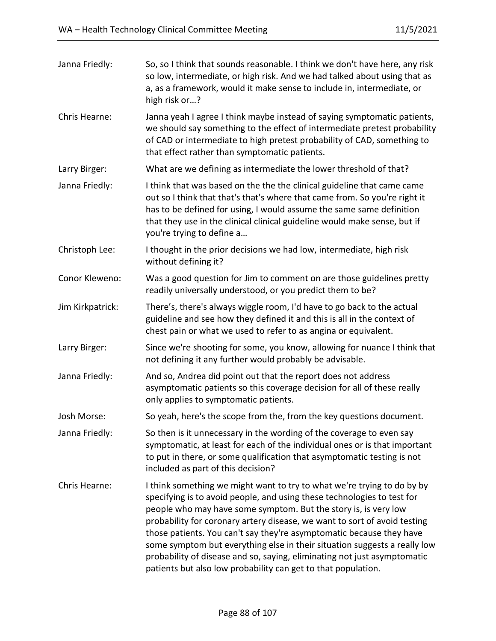| Janna Friedly:   | So, so I think that sounds reasonable. I think we don't have here, any risk<br>so low, intermediate, or high risk. And we had talked about using that as<br>a, as a framework, would it make sense to include in, intermediate, or<br>high risk or?                                                                                                                                                                                                                                                                                                                                                  |
|------------------|------------------------------------------------------------------------------------------------------------------------------------------------------------------------------------------------------------------------------------------------------------------------------------------------------------------------------------------------------------------------------------------------------------------------------------------------------------------------------------------------------------------------------------------------------------------------------------------------------|
| Chris Hearne:    | Janna yeah I agree I think maybe instead of saying symptomatic patients,<br>we should say something to the effect of intermediate pretest probability<br>of CAD or intermediate to high pretest probability of CAD, something to<br>that effect rather than symptomatic patients.                                                                                                                                                                                                                                                                                                                    |
| Larry Birger:    | What are we defining as intermediate the lower threshold of that?                                                                                                                                                                                                                                                                                                                                                                                                                                                                                                                                    |
| Janna Friedly:   | I think that was based on the the the clinical guideline that came came<br>out so I think that that's that's where that came from. So you're right it<br>has to be defined for using, I would assume the same same definition<br>that they use in the clinical clinical guideline would make sense, but if<br>you're trying to define a                                                                                                                                                                                                                                                              |
| Christoph Lee:   | I thought in the prior decisions we had low, intermediate, high risk<br>without defining it?                                                                                                                                                                                                                                                                                                                                                                                                                                                                                                         |
| Conor Kleweno:   | Was a good question for Jim to comment on are those guidelines pretty<br>readily universally understood, or you predict them to be?                                                                                                                                                                                                                                                                                                                                                                                                                                                                  |
| Jim Kirkpatrick: | There's, there's always wiggle room, I'd have to go back to the actual<br>guideline and see how they defined it and this is all in the context of<br>chest pain or what we used to refer to as angina or equivalent.                                                                                                                                                                                                                                                                                                                                                                                 |
| Larry Birger:    | Since we're shooting for some, you know, allowing for nuance I think that<br>not defining it any further would probably be advisable.                                                                                                                                                                                                                                                                                                                                                                                                                                                                |
| Janna Friedly:   | And so, Andrea did point out that the report does not address<br>asymptomatic patients so this coverage decision for all of these really<br>only applies to symptomatic patients.                                                                                                                                                                                                                                                                                                                                                                                                                    |
| Josh Morse:      | So yeah, here's the scope from the, from the key questions document.                                                                                                                                                                                                                                                                                                                                                                                                                                                                                                                                 |
| Janna Friedly:   | So then is it unnecessary in the wording of the coverage to even say<br>symptomatic, at least for each of the individual ones or is that important<br>to put in there, or some qualification that asymptomatic testing is not<br>included as part of this decision?                                                                                                                                                                                                                                                                                                                                  |
| Chris Hearne:    | I think something we might want to try to what we're trying to do by by<br>specifying is to avoid people, and using these technologies to test for<br>people who may have some symptom. But the story is, is very low<br>probability for coronary artery disease, we want to sort of avoid testing<br>those patients. You can't say they're asymptomatic because they have<br>some symptom but everything else in their situation suggests a really low<br>probability of disease and so, saying, eliminating not just asymptomatic<br>patients but also low probability can get to that population. |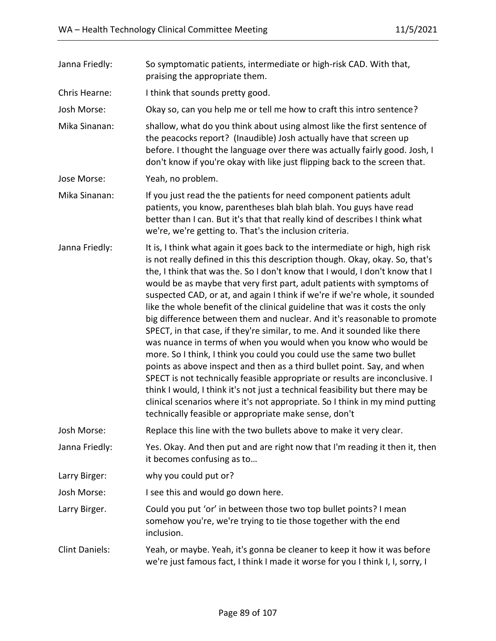| Janna Friedly:        | So symptomatic patients, intermediate or high-risk CAD. With that,<br>praising the appropriate them.                                                                                                                                                                                                                                                                                                                                                                                                                                                                                                                                                                                                                                                                                                                                                                                                                                                                                                                                                                                                                                                                              |
|-----------------------|-----------------------------------------------------------------------------------------------------------------------------------------------------------------------------------------------------------------------------------------------------------------------------------------------------------------------------------------------------------------------------------------------------------------------------------------------------------------------------------------------------------------------------------------------------------------------------------------------------------------------------------------------------------------------------------------------------------------------------------------------------------------------------------------------------------------------------------------------------------------------------------------------------------------------------------------------------------------------------------------------------------------------------------------------------------------------------------------------------------------------------------------------------------------------------------|
| Chris Hearne:         | I think that sounds pretty good.                                                                                                                                                                                                                                                                                                                                                                                                                                                                                                                                                                                                                                                                                                                                                                                                                                                                                                                                                                                                                                                                                                                                                  |
| Josh Morse:           | Okay so, can you help me or tell me how to craft this intro sentence?                                                                                                                                                                                                                                                                                                                                                                                                                                                                                                                                                                                                                                                                                                                                                                                                                                                                                                                                                                                                                                                                                                             |
| Mika Sinanan:         | shallow, what do you think about using almost like the first sentence of<br>the peacocks report? (Inaudible) Josh actually have that screen up<br>before. I thought the language over there was actually fairly good. Josh, I<br>don't know if you're okay with like just flipping back to the screen that.                                                                                                                                                                                                                                                                                                                                                                                                                                                                                                                                                                                                                                                                                                                                                                                                                                                                       |
| Jose Morse:           | Yeah, no problem.                                                                                                                                                                                                                                                                                                                                                                                                                                                                                                                                                                                                                                                                                                                                                                                                                                                                                                                                                                                                                                                                                                                                                                 |
| Mika Sinanan:         | If you just read the the patients for need component patients adult<br>patients, you know, parentheses blah blah blah. You guys have read<br>better than I can. But it's that that really kind of describes I think what<br>we're, we're getting to. That's the inclusion criteria.                                                                                                                                                                                                                                                                                                                                                                                                                                                                                                                                                                                                                                                                                                                                                                                                                                                                                               |
| Janna Friedly:        | It is, I think what again it goes back to the intermediate or high, high risk<br>is not really defined in this this description though. Okay, okay. So, that's<br>the, I think that was the. So I don't know that I would, I don't know that I<br>would be as maybe that very first part, adult patients with symptoms of<br>suspected CAD, or at, and again I think if we're if we're whole, it sounded<br>like the whole benefit of the clinical guideline that was it costs the only<br>big difference between them and nuclear. And it's reasonable to promote<br>SPECT, in that case, if they're similar, to me. And it sounded like there<br>was nuance in terms of when you would when you know who would be<br>more. So I think, I think you could you could use the same two bullet<br>points as above inspect and then as a third bullet point. Say, and when<br>SPECT is not technically feasible appropriate or results are inconclusive. I<br>think I would, I think it's not just a technical feasibility but there may be<br>clinical scenarios where it's not appropriate. So I think in my mind putting<br>technically feasible or appropriate make sense, don't |
| Josh Morse:           | Replace this line with the two bullets above to make it very clear.                                                                                                                                                                                                                                                                                                                                                                                                                                                                                                                                                                                                                                                                                                                                                                                                                                                                                                                                                                                                                                                                                                               |
| Janna Friedly:        | Yes. Okay. And then put and are right now that I'm reading it then it, then<br>it becomes confusing as to                                                                                                                                                                                                                                                                                                                                                                                                                                                                                                                                                                                                                                                                                                                                                                                                                                                                                                                                                                                                                                                                         |
| Larry Birger:         | why you could put or?                                                                                                                                                                                                                                                                                                                                                                                                                                                                                                                                                                                                                                                                                                                                                                                                                                                                                                                                                                                                                                                                                                                                                             |
| Josh Morse:           | I see this and would go down here.                                                                                                                                                                                                                                                                                                                                                                                                                                                                                                                                                                                                                                                                                                                                                                                                                                                                                                                                                                                                                                                                                                                                                |
| Larry Birger.         | Could you put 'or' in between those two top bullet points? I mean<br>somehow you're, we're trying to tie those together with the end<br>inclusion.                                                                                                                                                                                                                                                                                                                                                                                                                                                                                                                                                                                                                                                                                                                                                                                                                                                                                                                                                                                                                                |
| <b>Clint Daniels:</b> | Yeah, or maybe. Yeah, it's gonna be cleaner to keep it how it was before<br>we're just famous fact, I think I made it worse for you I think I, I, sorry, I                                                                                                                                                                                                                                                                                                                                                                                                                                                                                                                                                                                                                                                                                                                                                                                                                                                                                                                                                                                                                        |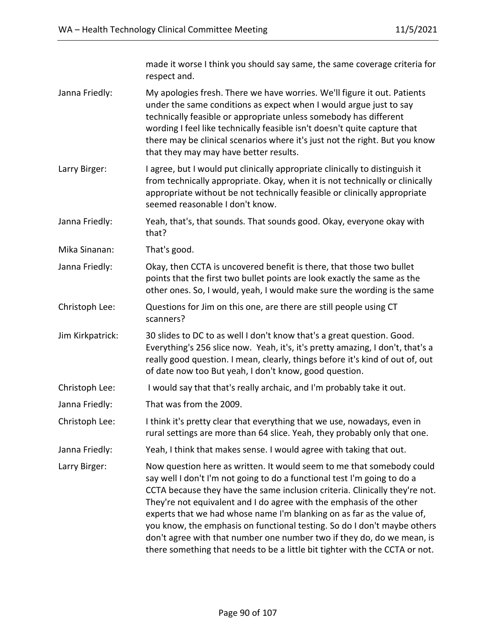|                  | made it worse I think you should say same, the same coverage criteria for<br>respect and.                                                                                                                                                                                                                                                                                                                                                                                                                                                                                                                               |
|------------------|-------------------------------------------------------------------------------------------------------------------------------------------------------------------------------------------------------------------------------------------------------------------------------------------------------------------------------------------------------------------------------------------------------------------------------------------------------------------------------------------------------------------------------------------------------------------------------------------------------------------------|
| Janna Friedly:   | My apologies fresh. There we have worries. We'll figure it out. Patients<br>under the same conditions as expect when I would argue just to say<br>technically feasible or appropriate unless somebody has different<br>wording I feel like technically feasible isn't doesn't quite capture that<br>there may be clinical scenarios where it's just not the right. But you know<br>that they may may have better results.                                                                                                                                                                                               |
| Larry Birger:    | I agree, but I would put clinically appropriate clinically to distinguish it<br>from technically appropriate. Okay, when it is not technically or clinically<br>appropriate without be not technically feasible or clinically appropriate<br>seemed reasonable I don't know.                                                                                                                                                                                                                                                                                                                                            |
| Janna Friedly:   | Yeah, that's, that sounds. That sounds good. Okay, everyone okay with<br>that?                                                                                                                                                                                                                                                                                                                                                                                                                                                                                                                                          |
| Mika Sinanan:    | That's good.                                                                                                                                                                                                                                                                                                                                                                                                                                                                                                                                                                                                            |
| Janna Friedly:   | Okay, then CCTA is uncovered benefit is there, that those two bullet<br>points that the first two bullet points are look exactly the same as the<br>other ones. So, I would, yeah, I would make sure the wording is the same                                                                                                                                                                                                                                                                                                                                                                                            |
| Christoph Lee:   | Questions for Jim on this one, are there are still people using CT<br>scanners?                                                                                                                                                                                                                                                                                                                                                                                                                                                                                                                                         |
| Jim Kirkpatrick: | 30 slides to DC to as well I don't know that's a great question. Good.<br>Everything's 256 slice now. Yeah, it's, it's pretty amazing, I don't, that's a<br>really good question. I mean, clearly, things before it's kind of out of, out<br>of date now too But yeah, I don't know, good question.                                                                                                                                                                                                                                                                                                                     |
| Christoph Lee:   | I would say that that's really archaic, and I'm probably take it out.                                                                                                                                                                                                                                                                                                                                                                                                                                                                                                                                                   |
| Janna Friedly:   | That was from the 2009.                                                                                                                                                                                                                                                                                                                                                                                                                                                                                                                                                                                                 |
| Christoph Lee:   | I think it's pretty clear that everything that we use, nowadays, even in<br>rural settings are more than 64 slice. Yeah, they probably only that one.                                                                                                                                                                                                                                                                                                                                                                                                                                                                   |
| Janna Friedly:   | Yeah, I think that makes sense. I would agree with taking that out.                                                                                                                                                                                                                                                                                                                                                                                                                                                                                                                                                     |
| Larry Birger:    | Now question here as written. It would seem to me that somebody could<br>say well I don't I'm not going to do a functional test I'm going to do a<br>CCTA because they have the same inclusion criteria. Clinically they're not.<br>They're not equivalent and I do agree with the emphasis of the other<br>experts that we had whose name I'm blanking on as far as the value of,<br>you know, the emphasis on functional testing. So do I don't maybe others<br>don't agree with that number one number two if they do, do we mean, is<br>there something that needs to be a little bit tighter with the CCTA or not. |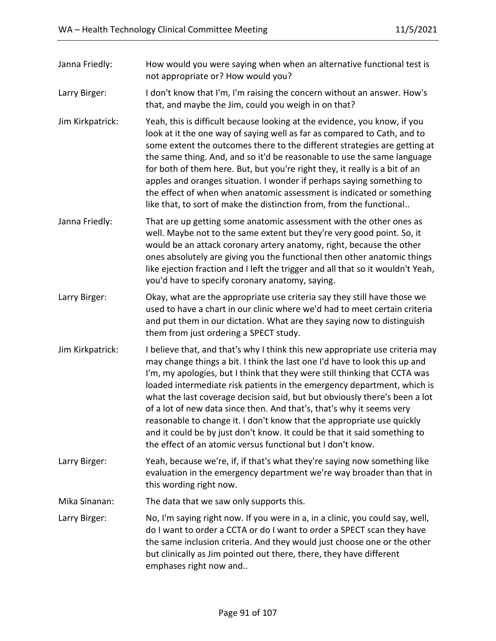| Janna Friedly:   | How would you were saying when when an alternative functional test is<br>not appropriate or? How would you?                                                                                                                                                                                                                                                                                                                                                                                                                                                                                                                                                                                      |
|------------------|--------------------------------------------------------------------------------------------------------------------------------------------------------------------------------------------------------------------------------------------------------------------------------------------------------------------------------------------------------------------------------------------------------------------------------------------------------------------------------------------------------------------------------------------------------------------------------------------------------------------------------------------------------------------------------------------------|
| Larry Birger:    | I don't know that I'm, I'm raising the concern without an answer. How's<br>that, and maybe the Jim, could you weigh in on that?                                                                                                                                                                                                                                                                                                                                                                                                                                                                                                                                                                  |
| Jim Kirkpatrick: | Yeah, this is difficult because looking at the evidence, you know, if you<br>look at it the one way of saying well as far as compared to Cath, and to<br>some extent the outcomes there to the different strategies are getting at<br>the same thing. And, and so it'd be reasonable to use the same language<br>for both of them here. But, but you're right they, it really is a bit of an<br>apples and oranges situation. I wonder if perhaps saying something to<br>the effect of when when anatomic assessment is indicated or something<br>like that, to sort of make the distinction from, from the functional                                                                           |
| Janna Friedly:   | That are up getting some anatomic assessment with the other ones as<br>well. Maybe not to the same extent but they're very good point. So, it<br>would be an attack coronary artery anatomy, right, because the other<br>ones absolutely are giving you the functional then other anatomic things<br>like ejection fraction and I left the trigger and all that so it wouldn't Yeah,<br>you'd have to specify coronary anatomy, saying.                                                                                                                                                                                                                                                          |
| Larry Birger:    | Okay, what are the appropriate use criteria say they still have those we<br>used to have a chart in our clinic where we'd had to meet certain criteria<br>and put them in our dictation. What are they saying now to distinguish<br>them from just ordering a SPECT study.                                                                                                                                                                                                                                                                                                                                                                                                                       |
| Jim Kirkpatrick: | I believe that, and that's why I think this new appropriate use criteria may<br>may change things a bit. I think the last one I'd have to look this up and<br>I'm, my apologies, but I think that they were still thinking that CCTA was<br>loaded intermediate risk patients in the emergency department, which is<br>what the last coverage decision said, but but obviously there's been a lot<br>of a lot of new data since then. And that's, that's why it seems very<br>reasonable to change it. I don't know that the appropriate use quickly<br>and it could be by just don't know. It could be that it said something to<br>the effect of an atomic versus functional but I don't know. |
| Larry Birger:    | Yeah, because we're, if, if that's what they're saying now something like<br>evaluation in the emergency department we're way broader than that in<br>this wording right now.                                                                                                                                                                                                                                                                                                                                                                                                                                                                                                                    |
| Mika Sinanan:    | The data that we saw only supports this.                                                                                                                                                                                                                                                                                                                                                                                                                                                                                                                                                                                                                                                         |
| Larry Birger:    | No, I'm saying right now. If you were in a, in a clinic, you could say, well,<br>do I want to order a CCTA or do I want to order a SPECT scan they have<br>the same inclusion criteria. And they would just choose one or the other<br>but clinically as Jim pointed out there, there, they have different<br>emphases right now and                                                                                                                                                                                                                                                                                                                                                             |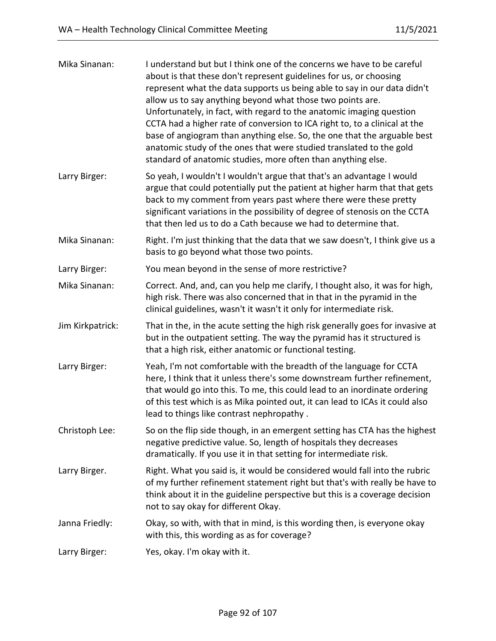| Mika Sinanan:    | I understand but but I think one of the concerns we have to be careful<br>about is that these don't represent guidelines for us, or choosing<br>represent what the data supports us being able to say in our data didn't<br>allow us to say anything beyond what those two points are.<br>Unfortunately, in fact, with regard to the anatomic imaging question<br>CCTA had a higher rate of conversion to ICA right to, to a clinical at the<br>base of angiogram than anything else. So, the one that the arguable best<br>anatomic study of the ones that were studied translated to the gold<br>standard of anatomic studies, more often than anything else. |
|------------------|-----------------------------------------------------------------------------------------------------------------------------------------------------------------------------------------------------------------------------------------------------------------------------------------------------------------------------------------------------------------------------------------------------------------------------------------------------------------------------------------------------------------------------------------------------------------------------------------------------------------------------------------------------------------|
| Larry Birger:    | So yeah, I wouldn't I wouldn't argue that that's an advantage I would<br>argue that could potentially put the patient at higher harm that that gets<br>back to my comment from years past where there were these pretty<br>significant variations in the possibility of degree of stenosis on the CCTA<br>that then led us to do a Cath because we had to determine that.                                                                                                                                                                                                                                                                                       |
| Mika Sinanan:    | Right. I'm just thinking that the data that we saw doesn't, I think give us a<br>basis to go beyond what those two points.                                                                                                                                                                                                                                                                                                                                                                                                                                                                                                                                      |
| Larry Birger:    | You mean beyond in the sense of more restrictive?                                                                                                                                                                                                                                                                                                                                                                                                                                                                                                                                                                                                               |
| Mika Sinanan:    | Correct. And, and, can you help me clarify, I thought also, it was for high,<br>high risk. There was also concerned that in that in the pyramid in the<br>clinical guidelines, wasn't it wasn't it only for intermediate risk.                                                                                                                                                                                                                                                                                                                                                                                                                                  |
| Jim Kirkpatrick: | That in the, in the acute setting the high risk generally goes for invasive at<br>but in the outpatient setting. The way the pyramid has it structured is<br>that a high risk, either anatomic or functional testing.                                                                                                                                                                                                                                                                                                                                                                                                                                           |
| Larry Birger:    | Yeah, I'm not comfortable with the breadth of the language for CCTA<br>here, I think that it unless there's some downstream further refinement,<br>that would go into this. To me, this could lead to an inordinate ordering<br>of this test which is as Mika pointed out, it can lead to ICAs it could also<br>lead to things like contrast nephropathy.                                                                                                                                                                                                                                                                                                       |
| Christoph Lee:   | So on the flip side though, in an emergent setting has CTA has the highest<br>negative predictive value. So, length of hospitals they decreases<br>dramatically. If you use it in that setting for intermediate risk.                                                                                                                                                                                                                                                                                                                                                                                                                                           |
| Larry Birger.    | Right. What you said is, it would be considered would fall into the rubric<br>of my further refinement statement right but that's with really be have to<br>think about it in the guideline perspective but this is a coverage decision<br>not to say okay for different Okay.                                                                                                                                                                                                                                                                                                                                                                                  |
| Janna Friedly:   | Okay, so with, with that in mind, is this wording then, is everyone okay<br>with this, this wording as as for coverage?                                                                                                                                                                                                                                                                                                                                                                                                                                                                                                                                         |
| Larry Birger:    | Yes, okay. I'm okay with it.                                                                                                                                                                                                                                                                                                                                                                                                                                                                                                                                                                                                                                    |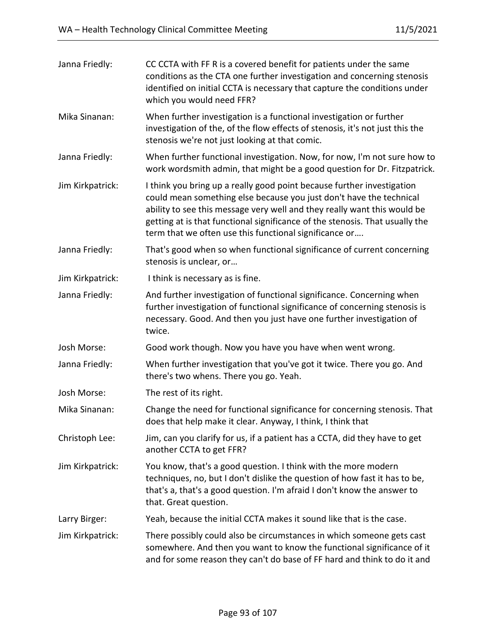| Janna Friedly:   | CC CCTA with FF R is a covered benefit for patients under the same<br>conditions as the CTA one further investigation and concerning stenosis<br>identified on initial CCTA is necessary that capture the conditions under<br>which you would need FFR?                                                                                                             |
|------------------|---------------------------------------------------------------------------------------------------------------------------------------------------------------------------------------------------------------------------------------------------------------------------------------------------------------------------------------------------------------------|
| Mika Sinanan:    | When further investigation is a functional investigation or further<br>investigation of the, of the flow effects of stenosis, it's not just this the<br>stenosis we're not just looking at that comic.                                                                                                                                                              |
| Janna Friedly:   | When further functional investigation. Now, for now, I'm not sure how to<br>work wordsmith admin, that might be a good question for Dr. Fitzpatrick.                                                                                                                                                                                                                |
| Jim Kirkpatrick: | I think you bring up a really good point because further investigation<br>could mean something else because you just don't have the technical<br>ability to see this message very well and they really want this would be<br>getting at is that functional significance of the stenosis. That usually the<br>term that we often use this functional significance or |
| Janna Friedly:   | That's good when so when functional significance of current concerning<br>stenosis is unclear, or                                                                                                                                                                                                                                                                   |
| Jim Kirkpatrick: | I think is necessary as is fine.                                                                                                                                                                                                                                                                                                                                    |
| Janna Friedly:   | And further investigation of functional significance. Concerning when<br>further investigation of functional significance of concerning stenosis is<br>necessary. Good. And then you just have one further investigation of<br>twice.                                                                                                                               |
| Josh Morse:      | Good work though. Now you have you have when went wrong.                                                                                                                                                                                                                                                                                                            |
| Janna Friedly:   | When further investigation that you've got it twice. There you go. And<br>there's two whens. There you go. Yeah.                                                                                                                                                                                                                                                    |
| Josh Morse:      | The rest of its right.                                                                                                                                                                                                                                                                                                                                              |
| Mika Sinanan:    | Change the need for functional significance for concerning stenosis. That<br>does that help make it clear. Anyway, I think, I think that                                                                                                                                                                                                                            |
| Christoph Lee:   | Jim, can you clarify for us, if a patient has a CCTA, did they have to get<br>another CCTA to get FFR?                                                                                                                                                                                                                                                              |
| Jim Kirkpatrick: | You know, that's a good question. I think with the more modern<br>techniques, no, but I don't dislike the question of how fast it has to be,<br>that's a, that's a good question. I'm afraid I don't know the answer to<br>that. Great question.                                                                                                                    |
| Larry Birger:    | Yeah, because the initial CCTA makes it sound like that is the case.                                                                                                                                                                                                                                                                                                |
| Jim Kirkpatrick: | There possibly could also be circumstances in which someone gets cast<br>somewhere. And then you want to know the functional significance of it<br>and for some reason they can't do base of FF hard and think to do it and                                                                                                                                         |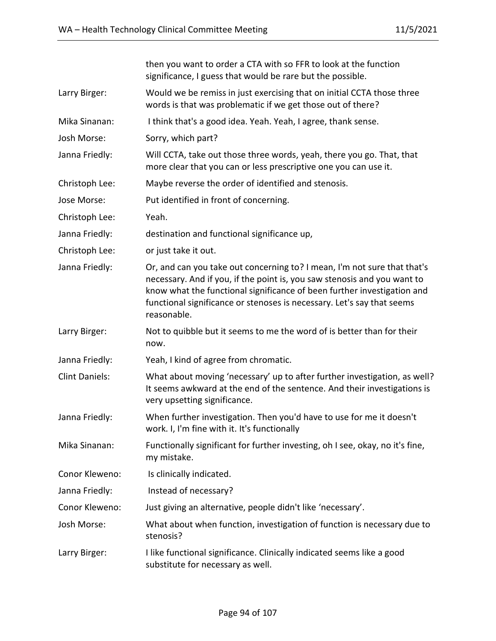|                       | then you want to order a CTA with so FFR to look at the function<br>significance, I guess that would be rare but the possible.                                                                                                                                                                                           |
|-----------------------|--------------------------------------------------------------------------------------------------------------------------------------------------------------------------------------------------------------------------------------------------------------------------------------------------------------------------|
| Larry Birger:         | Would we be remiss in just exercising that on initial CCTA those three<br>words is that was problematic if we get those out of there?                                                                                                                                                                                    |
| Mika Sinanan:         | I think that's a good idea. Yeah. Yeah, I agree, thank sense.                                                                                                                                                                                                                                                            |
| Josh Morse:           | Sorry, which part?                                                                                                                                                                                                                                                                                                       |
| Janna Friedly:        | Will CCTA, take out those three words, yeah, there you go. That, that<br>more clear that you can or less prescriptive one you can use it.                                                                                                                                                                                |
| Christoph Lee:        | Maybe reverse the order of identified and stenosis.                                                                                                                                                                                                                                                                      |
| Jose Morse:           | Put identified in front of concerning.                                                                                                                                                                                                                                                                                   |
| Christoph Lee:        | Yeah.                                                                                                                                                                                                                                                                                                                    |
| Janna Friedly:        | destination and functional significance up,                                                                                                                                                                                                                                                                              |
| Christoph Lee:        | or just take it out.                                                                                                                                                                                                                                                                                                     |
| Janna Friedly:        | Or, and can you take out concerning to? I mean, I'm not sure that that's<br>necessary. And if you, if the point is, you saw stenosis and you want to<br>know what the functional significance of been further investigation and<br>functional significance or stenoses is necessary. Let's say that seems<br>reasonable. |
| Larry Birger:         | Not to quibble but it seems to me the word of is better than for their<br>now.                                                                                                                                                                                                                                           |
| Janna Friedly:        | Yeah, I kind of agree from chromatic.                                                                                                                                                                                                                                                                                    |
| <b>Clint Daniels:</b> | What about moving 'necessary' up to after further investigation, as well?<br>It seems awkward at the end of the sentence. And their investigations is<br>very upsetting significance.                                                                                                                                    |
| Janna Friedly:        | When further investigation. Then you'd have to use for me it doesn't<br>work. I, I'm fine with it. It's functionally                                                                                                                                                                                                     |
| Mika Sinanan:         | Functionally significant for further investing, oh I see, okay, no it's fine,<br>my mistake.                                                                                                                                                                                                                             |
| Conor Kleweno:        | Is clinically indicated.                                                                                                                                                                                                                                                                                                 |
| Janna Friedly:        | Instead of necessary?                                                                                                                                                                                                                                                                                                    |
| Conor Kleweno:        | Just giving an alternative, people didn't like 'necessary'.                                                                                                                                                                                                                                                              |
| Josh Morse:           | What about when function, investigation of function is necessary due to<br>stenosis?                                                                                                                                                                                                                                     |
| Larry Birger:         | I like functional significance. Clinically indicated seems like a good<br>substitute for necessary as well.                                                                                                                                                                                                              |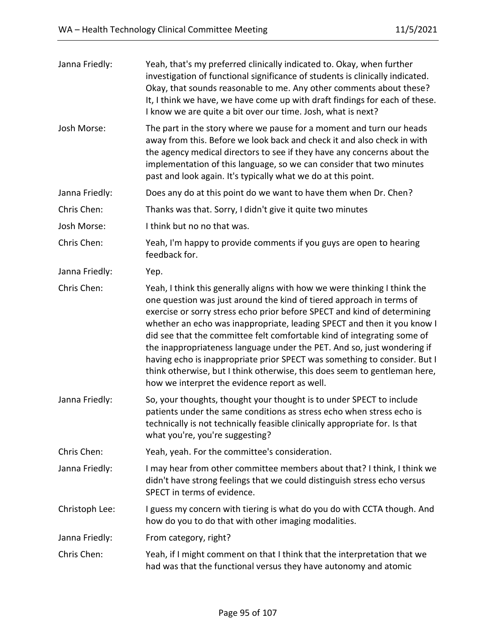| Janna Friedly: | Yeah, that's my preferred clinically indicated to. Okay, when further<br>investigation of functional significance of students is clinically indicated.<br>Okay, that sounds reasonable to me. Any other comments about these?<br>It, I think we have, we have come up with draft findings for each of these.<br>I know we are quite a bit over our time. Josh, what is next?                                                                                                                                                                                                                                                                                              |
|----------------|---------------------------------------------------------------------------------------------------------------------------------------------------------------------------------------------------------------------------------------------------------------------------------------------------------------------------------------------------------------------------------------------------------------------------------------------------------------------------------------------------------------------------------------------------------------------------------------------------------------------------------------------------------------------------|
| Josh Morse:    | The part in the story where we pause for a moment and turn our heads<br>away from this. Before we look back and check it and also check in with<br>the agency medical directors to see if they have any concerns about the<br>implementation of this language, so we can consider that two minutes<br>past and look again. It's typically what we do at this point.                                                                                                                                                                                                                                                                                                       |
| Janna Friedly: | Does any do at this point do we want to have them when Dr. Chen?                                                                                                                                                                                                                                                                                                                                                                                                                                                                                                                                                                                                          |
| Chris Chen:    | Thanks was that. Sorry, I didn't give it quite two minutes                                                                                                                                                                                                                                                                                                                                                                                                                                                                                                                                                                                                                |
| Josh Morse:    | I think but no no that was.                                                                                                                                                                                                                                                                                                                                                                                                                                                                                                                                                                                                                                               |
| Chris Chen:    | Yeah, I'm happy to provide comments if you guys are open to hearing<br>feedback for.                                                                                                                                                                                                                                                                                                                                                                                                                                                                                                                                                                                      |
| Janna Friedly: | Yep.                                                                                                                                                                                                                                                                                                                                                                                                                                                                                                                                                                                                                                                                      |
| Chris Chen:    | Yeah, I think this generally aligns with how we were thinking I think the<br>one question was just around the kind of tiered approach in terms of<br>exercise or sorry stress echo prior before SPECT and kind of determining<br>whether an echo was inappropriate, leading SPECT and then it you know I<br>did see that the committee felt comfortable kind of integrating some of<br>the inappropriateness language under the PET. And so, just wondering if<br>having echo is inappropriate prior SPECT was something to consider. But I<br>think otherwise, but I think otherwise, this does seem to gentleman here,<br>how we interpret the evidence report as well. |
| Janna Friedly: | So, your thoughts, thought your thought is to under SPECT to include<br>patients under the same conditions as stress echo when stress echo is<br>technically is not technically feasible clinically appropriate for. Is that<br>what you're, you're suggesting?                                                                                                                                                                                                                                                                                                                                                                                                           |
| Chris Chen:    | Yeah, yeah. For the committee's consideration.                                                                                                                                                                                                                                                                                                                                                                                                                                                                                                                                                                                                                            |
| Janna Friedly: | I may hear from other committee members about that? I think, I think we<br>didn't have strong feelings that we could distinguish stress echo versus<br>SPECT in terms of evidence.                                                                                                                                                                                                                                                                                                                                                                                                                                                                                        |
| Christoph Lee: | I guess my concern with tiering is what do you do with CCTA though. And<br>how do you to do that with other imaging modalities.                                                                                                                                                                                                                                                                                                                                                                                                                                                                                                                                           |
| Janna Friedly: | From category, right?                                                                                                                                                                                                                                                                                                                                                                                                                                                                                                                                                                                                                                                     |
| Chris Chen:    | Yeah, if I might comment on that I think that the interpretation that we<br>had was that the functional versus they have autonomy and atomic                                                                                                                                                                                                                                                                                                                                                                                                                                                                                                                              |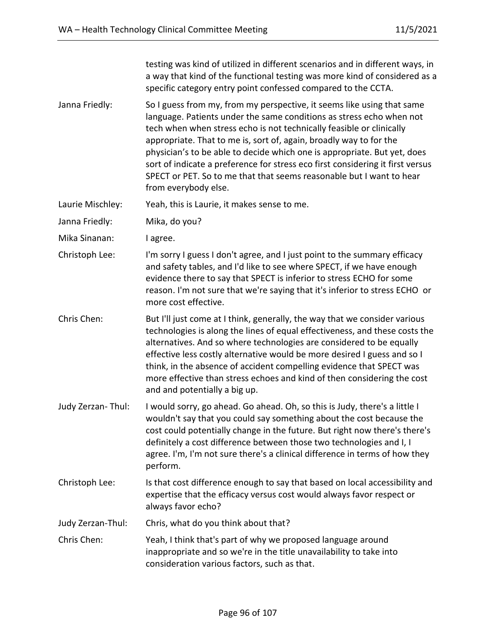testing was kind of utilized in different scenarios and in different ways, in a way that kind of the functional testing was more kind of considered as a specific category entry point confessed compared to the CCTA.

- Janna Friedly: So I guess from my, from my perspective, it seems like using that same language. Patients under the same conditions as stress echo when not tech when when stress echo is not technically feasible or clinically appropriate. That to me is, sort of, again, broadly way to for the physician's to be able to decide which one is appropriate. But yet, does sort of indicate a preference for stress eco first considering it first versus SPECT or PET. So to me that that seems reasonable but I want to hear from everybody else.
- Laurie Mischley: Yeah, this is Laurie, it makes sense to me.

Janna Friedly: Mika, do you?

Mika Sinanan: I agree.

- Christoph Lee: I'm sorry I guess I don't agree, and I just point to the summary efficacy and safety tables, and I'd like to see where SPECT, if we have enough evidence there to say that SPECT is inferior to stress ECHO for some reason. I'm not sure that we're saying that it's inferior to stress ECHO or more cost effective.
- Chris Chen: But I'll just come at I think, generally, the way that we consider various technologies is along the lines of equal effectiveness, and these costs the alternatives. And so where technologies are considered to be equally effective less costly alternative would be more desired I guess and so I think, in the absence of accident compelling evidence that SPECT was more effective than stress echoes and kind of then considering the cost and and potentially a big up.
- Judy Zerzan- Thul: I would sorry, go ahead. Go ahead. Oh, so this is Judy, there's a little I wouldn't say that you could say something about the cost because the cost could potentially change in the future. But right now there's there's definitely a cost difference between those two technologies and I, I agree. I'm, I'm not sure there's a clinical difference in terms of how they perform.
- Christoph Lee: Is that cost difference enough to say that based on local accessibility and expertise that the efficacy versus cost would always favor respect or always favor echo?

Judy Zerzan-Thul: Chris, what do you think about that?

Chris Chen: Yeah, I think that's part of why we proposed language around inappropriate and so we're in the title unavailability to take into consideration various factors, such as that.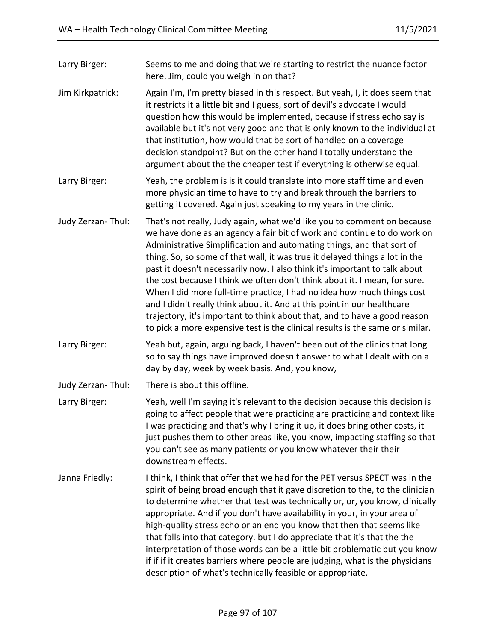| Seems to me and doing that we're starting to restrict the nuance factor<br>here. Jim, could you weigh in on that?                                                                                                                                                                                                                                                                                                                                                                                                                                                                                                                                                                                                                                                                        |
|------------------------------------------------------------------------------------------------------------------------------------------------------------------------------------------------------------------------------------------------------------------------------------------------------------------------------------------------------------------------------------------------------------------------------------------------------------------------------------------------------------------------------------------------------------------------------------------------------------------------------------------------------------------------------------------------------------------------------------------------------------------------------------------|
| Again I'm, I'm pretty biased in this respect. But yeah, I, it does seem that<br>it restricts it a little bit and I guess, sort of devil's advocate I would<br>question how this would be implemented, because if stress echo say is<br>available but it's not very good and that is only known to the individual at<br>that institution, how would that be sort of handled on a coverage<br>decision standpoint? But on the other hand I totally understand the<br>argument about the the cheaper test if everything is otherwise equal.                                                                                                                                                                                                                                                 |
| Yeah, the problem is is it could translate into more staff time and even<br>more physician time to have to try and break through the barriers to<br>getting it covered. Again just speaking to my years in the clinic.                                                                                                                                                                                                                                                                                                                                                                                                                                                                                                                                                                   |
| That's not really, Judy again, what we'd like you to comment on because<br>we have done as an agency a fair bit of work and continue to do work on<br>Administrative Simplification and automating things, and that sort of<br>thing. So, so some of that wall, it was true it delayed things a lot in the<br>past it doesn't necessarily now. I also think it's important to talk about<br>the cost because I think we often don't think about it. I mean, for sure.<br>When I did more full-time practice, I had no idea how much things cost<br>and I didn't really think about it. And at this point in our healthcare<br>trajectory, it's important to think about that, and to have a good reason<br>to pick a more expensive test is the clinical results is the same or similar. |
| Yeah but, again, arguing back, I haven't been out of the clinics that long<br>so to say things have improved doesn't answer to what I dealt with on a<br>day by day, week by week basis. And, you know,                                                                                                                                                                                                                                                                                                                                                                                                                                                                                                                                                                                  |
| There is about this offline.                                                                                                                                                                                                                                                                                                                                                                                                                                                                                                                                                                                                                                                                                                                                                             |
| Yeah, well I'm saying it's relevant to the decision because this decision is<br>going to affect people that were practicing are practicing and context like<br>I was practicing and that's why I bring it up, it does bring other costs, it<br>just pushes them to other areas like, you know, impacting staffing so that<br>you can't see as many patients or you know whatever their their<br>downstream effects.                                                                                                                                                                                                                                                                                                                                                                      |
| I think, I think that offer that we had for the PET versus SPECT was in the<br>spirit of being broad enough that it gave discretion to the, to the clinician<br>to determine whether that test was technically or, or, you know, clinically<br>appropriate. And if you don't have availability in your, in your area of<br>high-quality stress echo or an end you know that then that seems like<br>that falls into that category. but I do appreciate that it's that the the<br>interpretation of those words can be a little bit problematic but you know<br>if if if it creates barriers where people are judging, what is the physicians<br>description of what's technically feasible or appropriate.                                                                               |
|                                                                                                                                                                                                                                                                                                                                                                                                                                                                                                                                                                                                                                                                                                                                                                                          |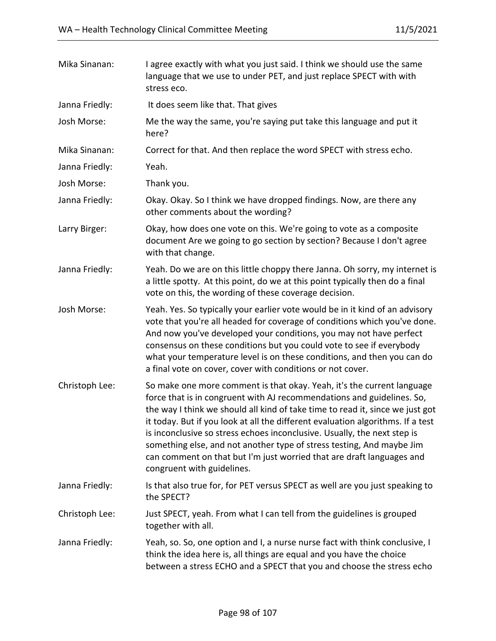| Mika Sinanan:  | I agree exactly with what you just said. I think we should use the same<br>language that we use to under PET, and just replace SPECT with with<br>stress eco.                                                                                                                                                                                                                                                                                                                                                                                                                    |
|----------------|----------------------------------------------------------------------------------------------------------------------------------------------------------------------------------------------------------------------------------------------------------------------------------------------------------------------------------------------------------------------------------------------------------------------------------------------------------------------------------------------------------------------------------------------------------------------------------|
| Janna Friedly: | It does seem like that. That gives                                                                                                                                                                                                                                                                                                                                                                                                                                                                                                                                               |
| Josh Morse:    | Me the way the same, you're saying put take this language and put it<br>here?                                                                                                                                                                                                                                                                                                                                                                                                                                                                                                    |
| Mika Sinanan:  | Correct for that. And then replace the word SPECT with stress echo.                                                                                                                                                                                                                                                                                                                                                                                                                                                                                                              |
| Janna Friedly: | Yeah.                                                                                                                                                                                                                                                                                                                                                                                                                                                                                                                                                                            |
| Josh Morse:    | Thank you.                                                                                                                                                                                                                                                                                                                                                                                                                                                                                                                                                                       |
| Janna Friedly: | Okay. Okay. So I think we have dropped findings. Now, are there any<br>other comments about the wording?                                                                                                                                                                                                                                                                                                                                                                                                                                                                         |
| Larry Birger:  | Okay, how does one vote on this. We're going to vote as a composite<br>document Are we going to go section by section? Because I don't agree<br>with that change.                                                                                                                                                                                                                                                                                                                                                                                                                |
| Janna Friedly: | Yeah. Do we are on this little choppy there Janna. Oh sorry, my internet is<br>a little spotty. At this point, do we at this point typically then do a final<br>vote on this, the wording of these coverage decision.                                                                                                                                                                                                                                                                                                                                                            |
| Josh Morse:    | Yeah. Yes. So typically your earlier vote would be in it kind of an advisory<br>vote that you're all headed for coverage of conditions which you've done.<br>And now you've developed your conditions, you may not have perfect<br>consensus on these conditions but you could vote to see if everybody<br>what your temperature level is on these conditions, and then you can do<br>a final vote on cover, cover with conditions or not cover.                                                                                                                                 |
| Christoph Lee: | So make one more comment is that okay. Yeah, it's the current language<br>force that is in congruent with AJ recommendations and guidelines. So,<br>the way I think we should all kind of take time to read it, since we just got<br>it today. But if you look at all the different evaluation algorithms. If a test<br>is inconclusive so stress echoes inconclusive. Usually, the next step is<br>something else, and not another type of stress testing, And maybe Jim<br>can comment on that but I'm just worried that are draft languages and<br>congruent with guidelines. |
| Janna Friedly: | Is that also true for, for PET versus SPECT as well are you just speaking to<br>the SPECT?                                                                                                                                                                                                                                                                                                                                                                                                                                                                                       |
| Christoph Lee: | Just SPECT, yeah. From what I can tell from the guidelines is grouped<br>together with all.                                                                                                                                                                                                                                                                                                                                                                                                                                                                                      |
| Janna Friedly: | Yeah, so. So, one option and I, a nurse nurse fact with think conclusive, I<br>think the idea here is, all things are equal and you have the choice<br>between a stress ECHO and a SPECT that you and choose the stress echo                                                                                                                                                                                                                                                                                                                                                     |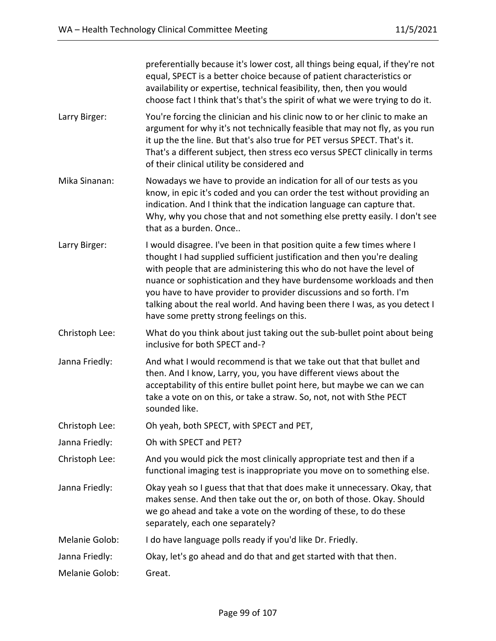|                | preferentially because it's lower cost, all things being equal, if they're not<br>equal, SPECT is a better choice because of patient characteristics or<br>availability or expertise, technical feasibility, then, then you would<br>choose fact I think that's that's the spirit of what we were trying to do it.                                                                                                                                                                                  |
|----------------|-----------------------------------------------------------------------------------------------------------------------------------------------------------------------------------------------------------------------------------------------------------------------------------------------------------------------------------------------------------------------------------------------------------------------------------------------------------------------------------------------------|
| Larry Birger:  | You're forcing the clinician and his clinic now to or her clinic to make an<br>argument for why it's not technically feasible that may not fly, as you run<br>it up the the line. But that's also true for PET versus SPECT. That's it.<br>That's a different subject, then stress eco versus SPECT clinically in terms<br>of their clinical utility be considered and                                                                                                                              |
| Mika Sinanan:  | Nowadays we have to provide an indication for all of our tests as you<br>know, in epic it's coded and you can order the test without providing an<br>indication. And I think that the indication language can capture that.<br>Why, why you chose that and not something else pretty easily. I don't see<br>that as a burden. Once                                                                                                                                                                  |
| Larry Birger:  | I would disagree. I've been in that position quite a few times where I<br>thought I had supplied sufficient justification and then you're dealing<br>with people that are administering this who do not have the level of<br>nuance or sophistication and they have burdensome workloads and then<br>you have to have provider to provider discussions and so forth. I'm<br>talking about the real world. And having been there I was, as you detect I<br>have some pretty strong feelings on this. |
| Christoph Lee: | What do you think about just taking out the sub-bullet point about being<br>inclusive for both SPECT and-?                                                                                                                                                                                                                                                                                                                                                                                          |
| Janna Friedly: | And what I would recommend is that we take out that that bullet and<br>then. And I know, Larry, you, you have different views about the<br>acceptability of this entire bullet point here, but maybe we can we can<br>take a vote on on this, or take a straw. So, not, not with Sthe PECT<br>sounded like.                                                                                                                                                                                         |
| Christoph Lee: | Oh yeah, both SPECT, with SPECT and PET,                                                                                                                                                                                                                                                                                                                                                                                                                                                            |
| Janna Friedly: | Oh with SPECT and PET?                                                                                                                                                                                                                                                                                                                                                                                                                                                                              |
| Christoph Lee: | And you would pick the most clinically appropriate test and then if a<br>functional imaging test is inappropriate you move on to something else.                                                                                                                                                                                                                                                                                                                                                    |
| Janna Friedly: | Okay yeah so I guess that that that does make it unnecessary. Okay, that<br>makes sense. And then take out the or, on both of those. Okay. Should<br>we go ahead and take a vote on the wording of these, to do these<br>separately, each one separately?                                                                                                                                                                                                                                           |
| Melanie Golob: | I do have language polls ready if you'd like Dr. Friedly.                                                                                                                                                                                                                                                                                                                                                                                                                                           |
| Janna Friedly: | Okay, let's go ahead and do that and get started with that then.                                                                                                                                                                                                                                                                                                                                                                                                                                    |
| Melanie Golob: | Great.                                                                                                                                                                                                                                                                                                                                                                                                                                                                                              |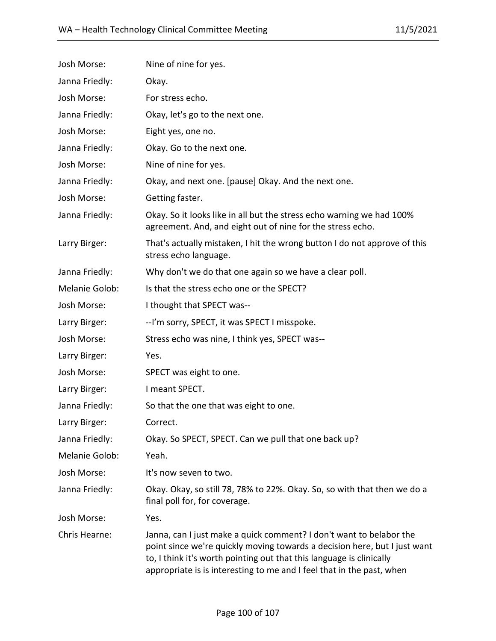| Josh Morse:    | Nine of nine for yes.                                                                                                                                                                                                                                                                             |
|----------------|---------------------------------------------------------------------------------------------------------------------------------------------------------------------------------------------------------------------------------------------------------------------------------------------------|
| Janna Friedly: | Okay.                                                                                                                                                                                                                                                                                             |
| Josh Morse:    | For stress echo.                                                                                                                                                                                                                                                                                  |
| Janna Friedly: | Okay, let's go to the next one.                                                                                                                                                                                                                                                                   |
| Josh Morse:    | Eight yes, one no.                                                                                                                                                                                                                                                                                |
| Janna Friedly: | Okay. Go to the next one.                                                                                                                                                                                                                                                                         |
| Josh Morse:    | Nine of nine for yes.                                                                                                                                                                                                                                                                             |
| Janna Friedly: | Okay, and next one. [pause] Okay. And the next one.                                                                                                                                                                                                                                               |
| Josh Morse:    | Getting faster.                                                                                                                                                                                                                                                                                   |
| Janna Friedly: | Okay. So it looks like in all but the stress echo warning we had 100%<br>agreement. And, and eight out of nine for the stress echo.                                                                                                                                                               |
| Larry Birger:  | That's actually mistaken, I hit the wrong button I do not approve of this<br>stress echo language.                                                                                                                                                                                                |
| Janna Friedly: | Why don't we do that one again so we have a clear poll.                                                                                                                                                                                                                                           |
| Melanie Golob: | Is that the stress echo one or the SPECT?                                                                                                                                                                                                                                                         |
| Josh Morse:    | I thought that SPECT was--                                                                                                                                                                                                                                                                        |
| Larry Birger:  | --I'm sorry, SPECT, it was SPECT I misspoke.                                                                                                                                                                                                                                                      |
| Josh Morse:    | Stress echo was nine, I think yes, SPECT was--                                                                                                                                                                                                                                                    |
| Larry Birger:  | Yes.                                                                                                                                                                                                                                                                                              |
| Josh Morse:    | SPECT was eight to one.                                                                                                                                                                                                                                                                           |
| Larry Birger:  | I meant SPECT.                                                                                                                                                                                                                                                                                    |
| Janna Friedly: | So that the one that was eight to one.                                                                                                                                                                                                                                                            |
| Larry Birger:  | Correct.                                                                                                                                                                                                                                                                                          |
| Janna Friedly: | Okay. So SPECT, SPECT. Can we pull that one back up?                                                                                                                                                                                                                                              |
| Melanie Golob: | Yeah.                                                                                                                                                                                                                                                                                             |
| Josh Morse:    | It's now seven to two.                                                                                                                                                                                                                                                                            |
| Janna Friedly: | Okay. Okay, so still 78, 78% to 22%. Okay. So, so with that then we do a<br>final poll for, for coverage.                                                                                                                                                                                         |
| Josh Morse:    | Yes.                                                                                                                                                                                                                                                                                              |
| Chris Hearne:  | Janna, can I just make a quick comment? I don't want to belabor the<br>point since we're quickly moving towards a decision here, but I just want<br>to, I think it's worth pointing out that this language is clinically<br>appropriate is is interesting to me and I feel that in the past, when |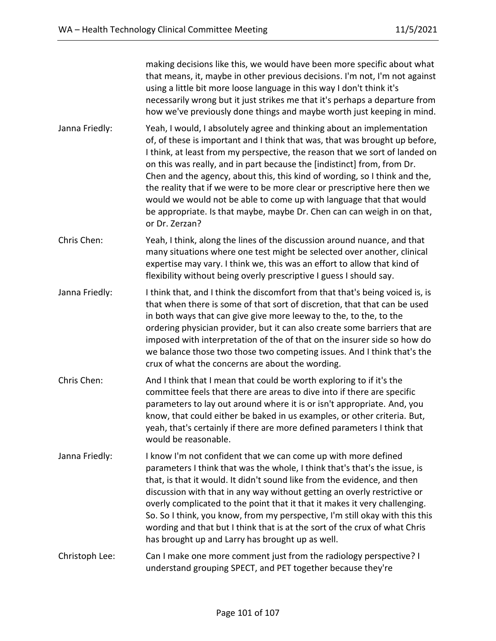making decisions like this, we would have been more specific about what that means, it, maybe in other previous decisions. I'm not, I'm not against using a little bit more loose language in this way I don't think it's necessarily wrong but it just strikes me that it's perhaps a departure from how we've previously done things and maybe worth just keeping in mind.

- Janna Friedly: Yeah, I would, I absolutely agree and thinking about an implementation of, of these is important and I think that was, that was brought up before, I think, at least from my perspective, the reason that we sort of landed on on this was really, and in part because the [indistinct] from, from Dr. Chen and the agency, about this, this kind of wording, so I think and the, the reality that if we were to be more clear or prescriptive here then we would we would not be able to come up with language that that would be appropriate. Is that maybe, maybe Dr. Chen can can weigh in on that, or Dr. Zerzan?
- Chris Chen: Yeah, I think, along the lines of the discussion around nuance, and that many situations where one test might be selected over another, clinical expertise may vary. I think we, this was an effort to allow that kind of flexibility without being overly prescriptive I guess I should say.
- Janna Friedly: Ithink that, and I think the discomfort from that that's being voiced is, is that when there is some of that sort of discretion, that that can be used in both ways that can give give more leeway to the, to the, to the ordering physician provider, but it can also create some barriers that are imposed with interpretation of the of that on the insurer side so how do we balance those two those two competing issues. And I think that's the crux of what the concerns are about the wording.
- Chris Chen: And I think that I mean that could be worth exploring to if it's the committee feels that there are areas to dive into if there are specific parameters to lay out around where it is or isn't appropriate. And, you know, that could either be baked in us examples, or other criteria. But, yeah, that's certainly if there are more defined parameters I think that would be reasonable.
- Janna Friedly: I know I'm not confident that we can come up with more defined parameters I think that was the whole, I think that's that's the issue, is that, is that it would. It didn't sound like from the evidence, and then discussion with that in any way without getting an overly restrictive or overly complicated to the point that it that it makes it very challenging. So. So I think, you know, from my perspective, I'm still okay with this this wording and that but I think that is at the sort of the crux of what Chris has brought up and Larry has brought up as well.
- Christoph Lee: Can I make one more comment just from the radiology perspective? I understand grouping SPECT, and PET together because they're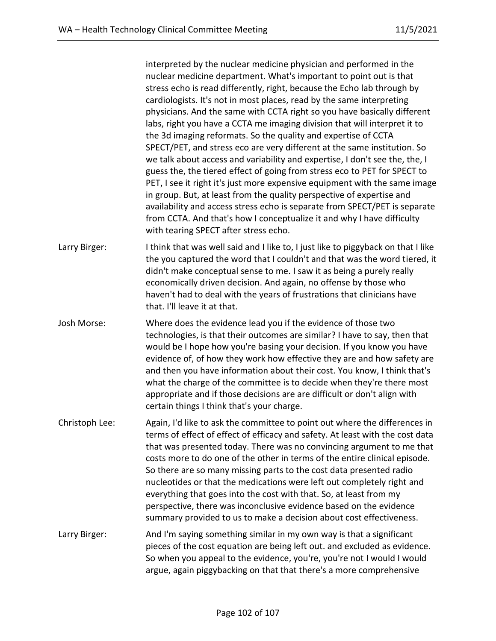interpreted by the nuclear medicine physician and performed in the nuclear medicine department. What's important to point out is that stress echo is read differently, right, because the Echo lab through by cardiologists. It's not in most places, read by the same interpreting physicians. And the same with CCTA right so you have basically different labs, right you have a CCTA me imaging division that will interpret it to the 3d imaging reformats. So the quality and expertise of CCTA SPECT/PET, and stress eco are very different at the same institution. So we talk about access and variability and expertise, I don't see the, the, I guess the, the tiered effect of going from stress eco to PET for SPECT to PET, I see it right it's just more expensive equipment with the same image in group. But, at least from the quality perspective of expertise and availability and access stress echo is separate from SPECT/PET is separate from CCTA. And that's how I conceptualize it and why I have difficulty with tearing SPECT after stress echo.

- Larry Birger: I think that was well said and I like to, I just like to piggyback on that I like the you captured the word that I couldn't and that was the word tiered, it didn't make conceptual sense to me. I saw it as being a purely really economically driven decision. And again, no offense by those who haven't had to deal with the years of frustrations that clinicians have that. I'll leave it at that.
- Josh Morse: Where does the evidence lead you if the evidence of those two technologies, is that their outcomes are similar? I have to say, then that would be I hope how you're basing your decision. If you know you have evidence of, of how they work how effective they are and how safety are and then you have information about their cost. You know, I think that's what the charge of the committee is to decide when they're there most appropriate and if those decisions are are difficult or don't align with certain things I think that's your charge.
- Christoph Lee: Again, I'd like to ask the committee to point out where the differences in terms of effect of effect of efficacy and safety. At least with the cost data that was presented today. There was no convincing argument to me that costs more to do one of the other in terms of the entire clinical episode. So there are so many missing parts to the cost data presented radio nucleotides or that the medications were left out completely right and everything that goes into the cost with that. So, at least from my perspective, there was inconclusive evidence based on the evidence summary provided to us to make a decision about cost effectiveness.
- Larry Birger: And I'm saying something similar in my own way is that a significant pieces of the cost equation are being left out. and excluded as evidence. So when you appeal to the evidence, you're, you're not I would I would argue, again piggybacking on that that there's a more comprehensive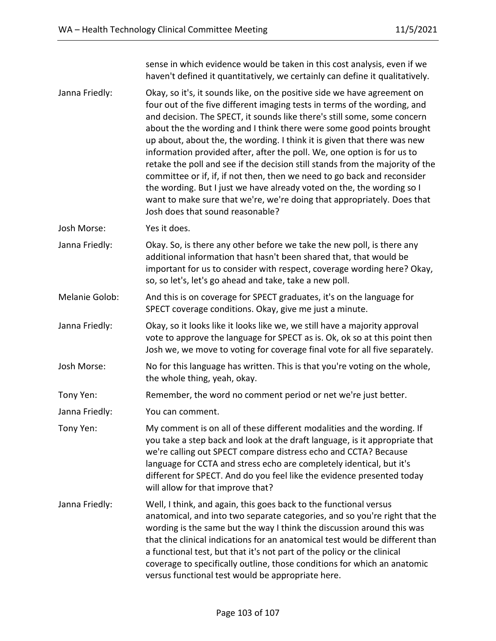sense in which evidence would be taken in this cost analysis, even if we haven't defined it quantitatively, we certainly can define it qualitatively. Janna Friedly: Okay, so it's, it sounds like, on the positive side we have agreement on four out of the five different imaging tests in terms of the wording, and and decision. The SPECT, it sounds like there's still some, some concern about the the wording and I think there were some good points brought up about, about the, the wording. I think it is given that there was new information provided after, after the poll. We, one option is for us to retake the poll and see if the decision still stands from the majority of the committee or if, if, if not then, then we need to go back and reconsider the wording. But I just we have already voted on the, the wording so I want to make sure that we're, we're doing that appropriately. Does that Josh does that sound reasonable? Josh Morse: Yes it does. Janna Friedly: Okay. So, is there any other before we take the new poll, is there any additional information that hasn't been shared that, that would be important for us to consider with respect, coverage wording here? Okay, so, so let's, let's go ahead and take, take a new poll. Melanie Golob: And this is on coverage for SPECT graduates, it's on the language for SPECT coverage conditions. Okay, give me just a minute. Janna Friedly: Okay, so it looks like it looks like we, we still have a majority approval vote to approve the language for SPECT as is. Ok, ok so at this point then Josh we, we move to voting for coverage final vote for all five separately. Josh Morse: No for this language has written. This is that you're voting on the whole, the whole thing, yeah, okay. Tony Yen: Remember, the word no comment period or net we're just better. Janna Friedly: You can comment. Tony Yen: My comment is on all of these different modalities and the wording. If you take a step back and look at the draft language, is it appropriate that we're calling out SPECT compare distress echo and CCTA? Because language for CCTA and stress echo are completely identical, but it's different for SPECT. And do you feel like the evidence presented today will allow for that improve that? Janna Friedly: Well, I think, and again, this goes back to the functional versus anatomical, and into two separate categories, and so you're right that the wording is the same but the way I think the discussion around this was that the clinical indications for an anatomical test would be different than a functional test, but that it's not part of the policy or the clinical coverage to specifically outline, those conditions for which an anatomic versus functional test would be appropriate here.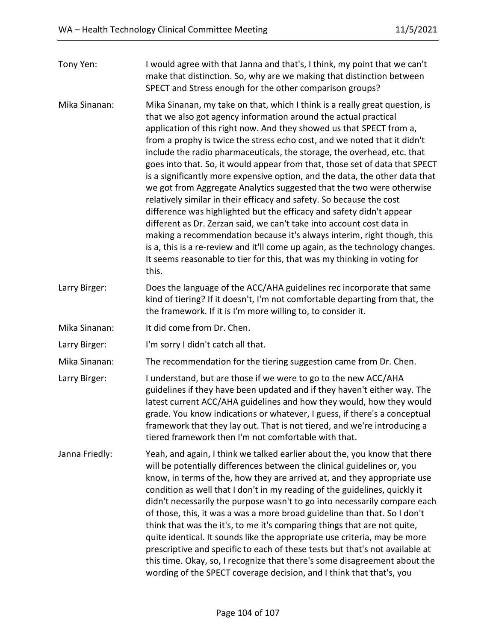| Tony Yen:      | I would agree with that Janna and that's, I think, my point that we can't<br>make that distinction. So, why are we making that distinction between<br>SPECT and Stress enough for the other comparison groups?                                                                                                                                                                                                                                                                                                                                                                                                                                                                                                                                                                                                                                                                                                                                                                                                                                                                                 |
|----------------|------------------------------------------------------------------------------------------------------------------------------------------------------------------------------------------------------------------------------------------------------------------------------------------------------------------------------------------------------------------------------------------------------------------------------------------------------------------------------------------------------------------------------------------------------------------------------------------------------------------------------------------------------------------------------------------------------------------------------------------------------------------------------------------------------------------------------------------------------------------------------------------------------------------------------------------------------------------------------------------------------------------------------------------------------------------------------------------------|
| Mika Sinanan:  | Mika Sinanan, my take on that, which I think is a really great question, is<br>that we also got agency information around the actual practical<br>application of this right now. And they showed us that SPECT from a,<br>from a prophy is twice the stress echo cost, and we noted that it didn't<br>include the radio pharmaceuticals, the storage, the overhead, etc. that<br>goes into that. So, it would appear from that, those set of data that SPECT<br>is a significantly more expensive option, and the data, the other data that<br>we got from Aggregate Analytics suggested that the two were otherwise<br>relatively similar in their efficacy and safety. So because the cost<br>difference was highlighted but the efficacy and safety didn't appear<br>different as Dr. Zerzan said, we can't take into account cost data in<br>making a recommendation because it's always interim, right though, this<br>is a, this is a re-review and it'll come up again, as the technology changes.<br>It seems reasonable to tier for this, that was my thinking in voting for<br>this. |
| Larry Birger:  | Does the language of the ACC/AHA guidelines rec incorporate that same<br>kind of tiering? If it doesn't, I'm not comfortable departing from that, the<br>the framework. If it is I'm more willing to, to consider it.                                                                                                                                                                                                                                                                                                                                                                                                                                                                                                                                                                                                                                                                                                                                                                                                                                                                          |
| Mika Sinanan:  | It did come from Dr. Chen.                                                                                                                                                                                                                                                                                                                                                                                                                                                                                                                                                                                                                                                                                                                                                                                                                                                                                                                                                                                                                                                                     |
| Larry Birger:  | I'm sorry I didn't catch all that.                                                                                                                                                                                                                                                                                                                                                                                                                                                                                                                                                                                                                                                                                                                                                                                                                                                                                                                                                                                                                                                             |
| Mika Sinanan:  | The recommendation for the tiering suggestion came from Dr. Chen.                                                                                                                                                                                                                                                                                                                                                                                                                                                                                                                                                                                                                                                                                                                                                                                                                                                                                                                                                                                                                              |
| Larry Birger:  | I understand, but are those if we were to go to the new ACC/AHA<br>guidelines if they have been updated and if they haven't either way. The<br>latest current ACC/AHA guidelines and how they would, how they would<br>grade. You know indications or whatever, I guess, if there's a conceptual<br>framework that they lay out. That is not tiered, and we're introducing a<br>tiered framework then I'm not comfortable with that.                                                                                                                                                                                                                                                                                                                                                                                                                                                                                                                                                                                                                                                           |
| Janna Friedly: | Yeah, and again, I think we talked earlier about the, you know that there<br>will be potentially differences between the clinical guidelines or, you<br>know, in terms of the, how they are arrived at, and they appropriate use<br>condition as well that I don't in my reading of the guidelines, quickly it<br>didn't necessarily the purpose wasn't to go into necessarily compare each<br>of those, this, it was a was a more broad guideline than that. So I don't<br>think that was the it's, to me it's comparing things that are not quite,<br>quite identical. It sounds like the appropriate use criteria, may be more<br>prescriptive and specific to each of these tests but that's not available at<br>this time. Okay, so, I recognize that there's some disagreement about the<br>wording of the SPECT coverage decision, and I think that that's, you                                                                                                                                                                                                                         |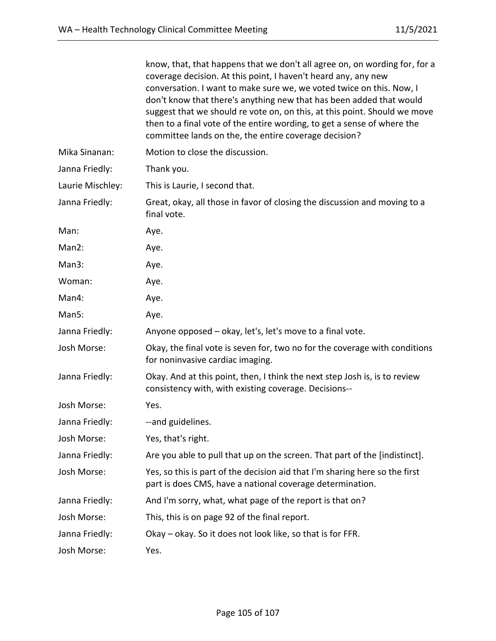|                  | know, that, that happens that we don't all agree on, on wording for, for a<br>coverage decision. At this point, I haven't heard any, any new<br>conversation. I want to make sure we, we voted twice on this. Now, I<br>don't know that there's anything new that has been added that would<br>suggest that we should re vote on, on this, at this point. Should we move<br>then to a final vote of the entire wording, to get a sense of where the<br>committee lands on the, the entire coverage decision? |
|------------------|--------------------------------------------------------------------------------------------------------------------------------------------------------------------------------------------------------------------------------------------------------------------------------------------------------------------------------------------------------------------------------------------------------------------------------------------------------------------------------------------------------------|
| Mika Sinanan:    | Motion to close the discussion.                                                                                                                                                                                                                                                                                                                                                                                                                                                                              |
| Janna Friedly:   | Thank you.                                                                                                                                                                                                                                                                                                                                                                                                                                                                                                   |
| Laurie Mischley: | This is Laurie, I second that.                                                                                                                                                                                                                                                                                                                                                                                                                                                                               |
| Janna Friedly:   | Great, okay, all those in favor of closing the discussion and moving to a<br>final vote.                                                                                                                                                                                                                                                                                                                                                                                                                     |
| Man:             | Aye.                                                                                                                                                                                                                                                                                                                                                                                                                                                                                                         |
| Man2:            | Aye.                                                                                                                                                                                                                                                                                                                                                                                                                                                                                                         |
| Man3:            | Aye.                                                                                                                                                                                                                                                                                                                                                                                                                                                                                                         |
| Woman:           | Aye.                                                                                                                                                                                                                                                                                                                                                                                                                                                                                                         |
| Man4:            | Aye.                                                                                                                                                                                                                                                                                                                                                                                                                                                                                                         |
| Man5:            | Aye.                                                                                                                                                                                                                                                                                                                                                                                                                                                                                                         |
| Janna Friedly:   | Anyone opposed - okay, let's, let's move to a final vote.                                                                                                                                                                                                                                                                                                                                                                                                                                                    |
| Josh Morse:      | Okay, the final vote is seven for, two no for the coverage with conditions<br>for noninvasive cardiac imaging.                                                                                                                                                                                                                                                                                                                                                                                               |
| Janna Friedly:   | Okay. And at this point, then, I think the next step Josh is, is to review<br>consistency with, with existing coverage. Decisions--                                                                                                                                                                                                                                                                                                                                                                          |
| Josh Morse:      | Yes.                                                                                                                                                                                                                                                                                                                                                                                                                                                                                                         |
| Janna Friedly:   | --and guidelines.                                                                                                                                                                                                                                                                                                                                                                                                                                                                                            |
| Josh Morse:      | Yes, that's right.                                                                                                                                                                                                                                                                                                                                                                                                                                                                                           |
| Janna Friedly:   | Are you able to pull that up on the screen. That part of the [indistinct].                                                                                                                                                                                                                                                                                                                                                                                                                                   |
| Josh Morse:      | Yes, so this is part of the decision aid that I'm sharing here so the first<br>part is does CMS, have a national coverage determination.                                                                                                                                                                                                                                                                                                                                                                     |
| Janna Friedly:   | And I'm sorry, what, what page of the report is that on?                                                                                                                                                                                                                                                                                                                                                                                                                                                     |
| Josh Morse:      | This, this is on page 92 of the final report.                                                                                                                                                                                                                                                                                                                                                                                                                                                                |
| Janna Friedly:   | Okay - okay. So it does not look like, so that is for FFR.                                                                                                                                                                                                                                                                                                                                                                                                                                                   |
| Josh Morse:      | Yes.                                                                                                                                                                                                                                                                                                                                                                                                                                                                                                         |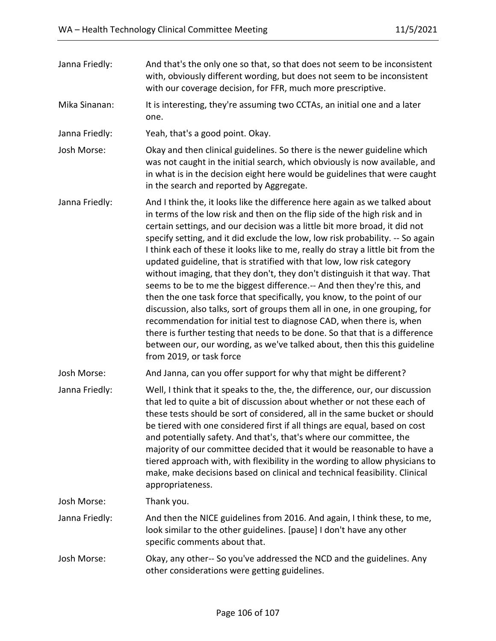| Janna Friedly: | And that's the only one so that, so that does not seem to be inconsistent<br>with, obviously different wording, but does not seem to be inconsistent<br>with our coverage decision, for FFR, much more prescriptive.                                                                                                                                                                                                                                                                                                                                                                                                                                                                                                                                                                                                                                                                                                                                                                                                                                                         |
|----------------|------------------------------------------------------------------------------------------------------------------------------------------------------------------------------------------------------------------------------------------------------------------------------------------------------------------------------------------------------------------------------------------------------------------------------------------------------------------------------------------------------------------------------------------------------------------------------------------------------------------------------------------------------------------------------------------------------------------------------------------------------------------------------------------------------------------------------------------------------------------------------------------------------------------------------------------------------------------------------------------------------------------------------------------------------------------------------|
| Mika Sinanan:  | It is interesting, they're assuming two CCTAs, an initial one and a later<br>one.                                                                                                                                                                                                                                                                                                                                                                                                                                                                                                                                                                                                                                                                                                                                                                                                                                                                                                                                                                                            |
| Janna Friedly: | Yeah, that's a good point. Okay.                                                                                                                                                                                                                                                                                                                                                                                                                                                                                                                                                                                                                                                                                                                                                                                                                                                                                                                                                                                                                                             |
| Josh Morse:    | Okay and then clinical guidelines. So there is the newer guideline which<br>was not caught in the initial search, which obviously is now available, and<br>in what is in the decision eight here would be guidelines that were caught<br>in the search and reported by Aggregate.                                                                                                                                                                                                                                                                                                                                                                                                                                                                                                                                                                                                                                                                                                                                                                                            |
| Janna Friedly: | And I think the, it looks like the difference here again as we talked about<br>in terms of the low risk and then on the flip side of the high risk and in<br>certain settings, and our decision was a little bit more broad, it did not<br>specify setting, and it did exclude the low, low risk probability. -- So again<br>I think each of these it looks like to me, really do stray a little bit from the<br>updated guideline, that is stratified with that low, low risk category<br>without imaging, that they don't, they don't distinguish it that way. That<br>seems to be to me the biggest difference.-- And then they're this, and<br>then the one task force that specifically, you know, to the point of our<br>discussion, also talks, sort of groups them all in one, in one grouping, for<br>recommendation for initial test to diagnose CAD, when there is, when<br>there is further testing that needs to be done. So that that is a difference<br>between our, our wording, as we've talked about, then this this guideline<br>from 2019, or task force |
| Josh Morse:    | And Janna, can you offer support for why that might be different?                                                                                                                                                                                                                                                                                                                                                                                                                                                                                                                                                                                                                                                                                                                                                                                                                                                                                                                                                                                                            |
| Janna Friedly: | Well, I think that it speaks to the, the, the difference, our, our discussion<br>that led to quite a bit of discussion about whether or not these each of<br>these tests should be sort of considered, all in the same bucket or should<br>be tiered with one considered first if all things are equal, based on cost<br>and potentially safety. And that's, that's where our committee, the<br>majority of our committee decided that it would be reasonable to have a<br>tiered approach with, with flexibility in the wording to allow physicians to<br>make, make decisions based on clinical and technical feasibility. Clinical<br>appropriateness.                                                                                                                                                                                                                                                                                                                                                                                                                    |
| Josh Morse:    | Thank you.                                                                                                                                                                                                                                                                                                                                                                                                                                                                                                                                                                                                                                                                                                                                                                                                                                                                                                                                                                                                                                                                   |
| Janna Friedly: | And then the NICE guidelines from 2016. And again, I think these, to me,<br>look similar to the other guidelines. [pause] I don't have any other<br>specific comments about that.                                                                                                                                                                                                                                                                                                                                                                                                                                                                                                                                                                                                                                                                                                                                                                                                                                                                                            |
| Josh Morse:    | Okay, any other-- So you've addressed the NCD and the guidelines. Any<br>other considerations were getting guidelines.                                                                                                                                                                                                                                                                                                                                                                                                                                                                                                                                                                                                                                                                                                                                                                                                                                                                                                                                                       |